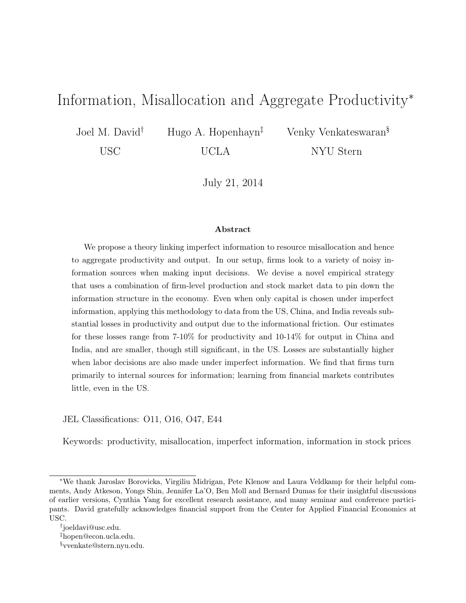# Information, Misallocation and Aggregate Productivity<sup>∗</sup>

Joel M. David†

Hugo A. Hopenhayn‡

USC

UCLA

NYU Stern

Venky Venkateswaran§

July 21, 2014

#### Abstract

We propose a theory linking imperfect information to resource misallocation and hence to aggregate productivity and output. In our setup, firms look to a variety of noisy information sources when making input decisions. We devise a novel empirical strategy that uses a combination of firm-level production and stock market data to pin down the information structure in the economy. Even when only capital is chosen under imperfect information, applying this methodology to data from the US, China, and India reveals substantial losses in productivity and output due to the informational friction. Our estimates for these losses range from 7-10% for productivity and 10-14% for output in China and India, and are smaller, though still significant, in the US. Losses are substantially higher when labor decisions are also made under imperfect information. We find that firms turn primarily to internal sources for information; learning from financial markets contributes little, even in the US.

JEL Classifications: O11, O16, O47, E44

Keywords: productivity, misallocation, imperfect information, information in stock prices

<sup>∗</sup>We thank Jaroslav Borovicka, Virgiliu Midrigan, Pete Klenow and Laura Veldkamp for their helpful comments, Andy Atkeson, Yongs Shin, Jennifer La'O, Ben Moll and Bernard Dumas for their insightful discussions of earlier versions, Cynthia Yang for excellent research assistance, and many seminar and conference participants. David gratefully acknowledges financial support from the Center for Applied Financial Economics at USC.

<sup>†</sup> joeldavi@usc.edu.

<sup>‡</sup>hopen@econ.ucla.edu.

<sup>§</sup>vvenkate@stern.nyu.edu.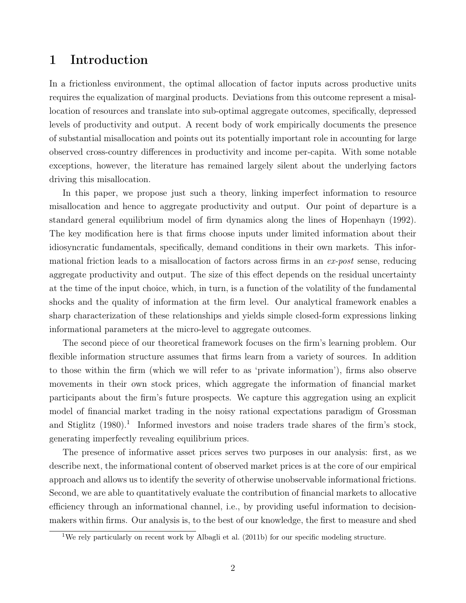## 1 Introduction

In a frictionless environment, the optimal allocation of factor inputs across productive units requires the equalization of marginal products. Deviations from this outcome represent a misallocation of resources and translate into sub-optimal aggregate outcomes, specifically, depressed levels of productivity and output. A recent body of work empirically documents the presence of substantial misallocation and points out its potentially important role in accounting for large observed cross-country differences in productivity and income per-capita. With some notable exceptions, however, the literature has remained largely silent about the underlying factors driving this misallocation.

In this paper, we propose just such a theory, linking imperfect information to resource misallocation and hence to aggregate productivity and output. Our point of departure is a standard general equilibrium model of firm dynamics along the lines of Hopenhayn (1992). The key modification here is that firms choose inputs under limited information about their idiosyncratic fundamentals, specifically, demand conditions in their own markets. This informational friction leads to a misallocation of factors across firms in an  $ex\text{-}post$  sense, reducing aggregate productivity and output. The size of this effect depends on the residual uncertainty at the time of the input choice, which, in turn, is a function of the volatility of the fundamental shocks and the quality of information at the firm level. Our analytical framework enables a sharp characterization of these relationships and yields simple closed-form expressions linking informational parameters at the micro-level to aggregate outcomes.

The second piece of our theoretical framework focuses on the firm's learning problem. Our flexible information structure assumes that firms learn from a variety of sources. In addition to those within the firm (which we will refer to as 'private information'), firms also observe movements in their own stock prices, which aggregate the information of financial market participants about the firm's future prospects. We capture this aggregation using an explicit model of financial market trading in the noisy rational expectations paradigm of Grossman and Stiglitz (1980).<sup>1</sup> Informed investors and noise traders trade shares of the firm's stock, generating imperfectly revealing equilibrium prices.

The presence of informative asset prices serves two purposes in our analysis: first, as we describe next, the informational content of observed market prices is at the core of our empirical approach and allows us to identify the severity of otherwise unobservable informational frictions. Second, we are able to quantitatively evaluate the contribution of financial markets to allocative efficiency through an informational channel, i.e., by providing useful information to decisionmakers within firms. Our analysis is, to the best of our knowledge, the first to measure and shed

<sup>&</sup>lt;sup>1</sup>We rely particularly on recent work by Albagli et al. (2011b) for our specific modeling structure.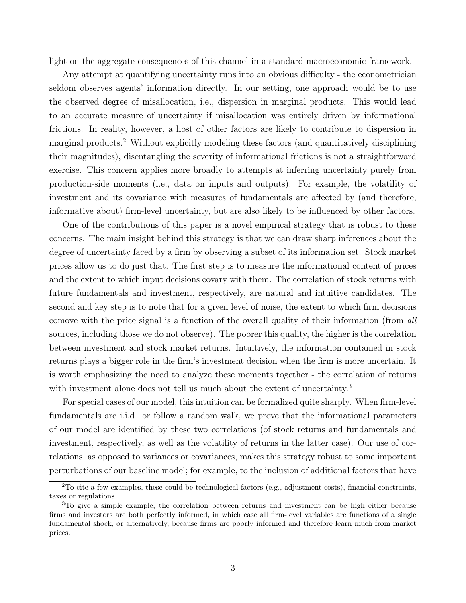light on the aggregate consequences of this channel in a standard macroeconomic framework.

Any attempt at quantifying uncertainty runs into an obvious difficulty - the econometrician seldom observes agents' information directly. In our setting, one approach would be to use the observed degree of misallocation, i.e., dispersion in marginal products. This would lead to an accurate measure of uncertainty if misallocation was entirely driven by informational frictions. In reality, however, a host of other factors are likely to contribute to dispersion in marginal products.<sup>2</sup> Without explicitly modeling these factors (and quantitatively disciplining their magnitudes), disentangling the severity of informational frictions is not a straightforward exercise. This concern applies more broadly to attempts at inferring uncertainty purely from production-side moments (i.e., data on inputs and outputs). For example, the volatility of investment and its covariance with measures of fundamentals are affected by (and therefore, informative about) firm-level uncertainty, but are also likely to be influenced by other factors.

One of the contributions of this paper is a novel empirical strategy that is robust to these concerns. The main insight behind this strategy is that we can draw sharp inferences about the degree of uncertainty faced by a firm by observing a subset of its information set. Stock market prices allow us to do just that. The first step is to measure the informational content of prices and the extent to which input decisions covary with them. The correlation of stock returns with future fundamentals and investment, respectively, are natural and intuitive candidates. The second and key step is to note that for a given level of noise, the extent to which firm decisions comove with the price signal is a function of the overall quality of their information (from all sources, including those we do not observe). The poorer this quality, the higher is the correlation between investment and stock market returns. Intuitively, the information contained in stock returns plays a bigger role in the firm's investment decision when the firm is more uncertain. It is worth emphasizing the need to analyze these moments together - the correlation of returns with investment alone does not tell us much about the extent of uncertainty.<sup>3</sup>

For special cases of our model, this intuition can be formalized quite sharply. When firm-level fundamentals are i.i.d. or follow a random walk, we prove that the informational parameters of our model are identified by these two correlations (of stock returns and fundamentals and investment, respectively, as well as the volatility of returns in the latter case). Our use of correlations, as opposed to variances or covariances, makes this strategy robust to some important perturbations of our baseline model; for example, to the inclusion of additional factors that have

 $^{2}$ To cite a few examples, these could be technological factors (e.g., adjustment costs), financial constraints, taxes or regulations.

<sup>3</sup>To give a simple example, the correlation between returns and investment can be high either because firms and investors are both perfectly informed, in which case all firm-level variables are functions of a single fundamental shock, or alternatively, because firms are poorly informed and therefore learn much from market prices.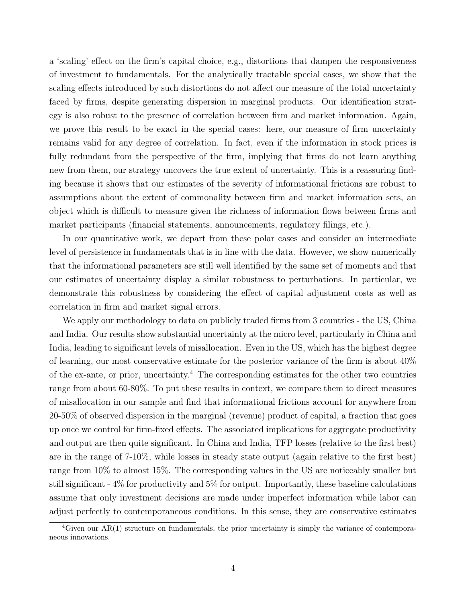a 'scaling' effect on the firm's capital choice, e.g., distortions that dampen the responsiveness of investment to fundamentals. For the analytically tractable special cases, we show that the scaling effects introduced by such distortions do not affect our measure of the total uncertainty faced by firms, despite generating dispersion in marginal products. Our identification strategy is also robust to the presence of correlation between firm and market information. Again, we prove this result to be exact in the special cases: here, our measure of firm uncertainty remains valid for any degree of correlation. In fact, even if the information in stock prices is fully redundant from the perspective of the firm, implying that firms do not learn anything new from them, our strategy uncovers the true extent of uncertainty. This is a reassuring finding because it shows that our estimates of the severity of informational frictions are robust to assumptions about the extent of commonality between firm and market information sets, an object which is difficult to measure given the richness of information flows between firms and market participants (financial statements, announcements, regulatory filings, etc.).

In our quantitative work, we depart from these polar cases and consider an intermediate level of persistence in fundamentals that is in line with the data. However, we show numerically that the informational parameters are still well identified by the same set of moments and that our estimates of uncertainty display a similar robustness to perturbations. In particular, we demonstrate this robustness by considering the effect of capital adjustment costs as well as correlation in firm and market signal errors.

We apply our methodology to data on publicly traded firms from 3 countries - the US, China and India. Our results show substantial uncertainty at the micro level, particularly in China and India, leading to significant levels of misallocation. Even in the US, which has the highest degree of learning, our most conservative estimate for the posterior variance of the firm is about 40% of the ex-ante, or prior, uncertainty.<sup>4</sup> The corresponding estimates for the other two countries range from about 60-80%. To put these results in context, we compare them to direct measures of misallocation in our sample and find that informational frictions account for anywhere from 20-50% of observed dispersion in the marginal (revenue) product of capital, a fraction that goes up once we control for firm-fixed effects. The associated implications for aggregate productivity and output are then quite significant. In China and India, TFP losses (relative to the first best) are in the range of 7-10%, while losses in steady state output (again relative to the first best) range from 10% to almost 15%. The corresponding values in the US are noticeably smaller but still significant - 4% for productivity and 5% for output. Importantly, these baseline calculations assume that only investment decisions are made under imperfect information while labor can adjust perfectly to contemporaneous conditions. In this sense, they are conservative estimates

 ${}^{4}$ Given our AR(1) structure on fundamentals, the prior uncertainty is simply the variance of contemporaneous innovations.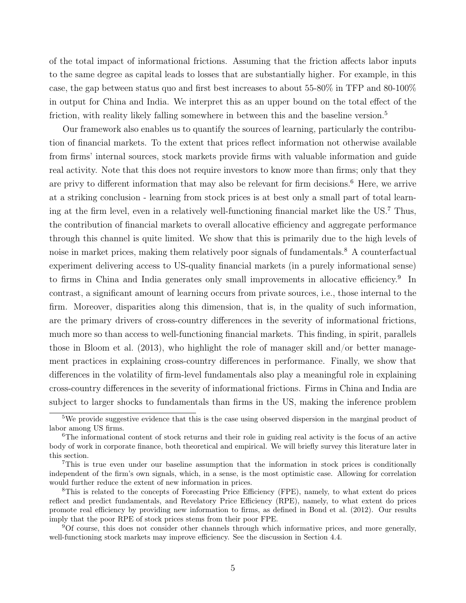of the total impact of informational frictions. Assuming that the friction affects labor inputs to the same degree as capital leads to losses that are substantially higher. For example, in this case, the gap between status quo and first best increases to about 55-80% in TFP and 80-100% in output for China and India. We interpret this as an upper bound on the total effect of the friction, with reality likely falling somewhere in between this and the baseline version.<sup>5</sup>

Our framework also enables us to quantify the sources of learning, particularly the contribution of financial markets. To the extent that prices reflect information not otherwise available from firms' internal sources, stock markets provide firms with valuable information and guide real activity. Note that this does not require investors to know more than firms; only that they are privy to different information that may also be relevant for firm decisions.<sup>6</sup> Here, we arrive at a striking conclusion - learning from stock prices is at best only a small part of total learning at the firm level, even in a relatively well-functioning financial market like the US.<sup>7</sup> Thus, the contribution of financial markets to overall allocative efficiency and aggregate performance through this channel is quite limited. We show that this is primarily due to the high levels of noise in market prices, making them relatively poor signals of fundamentals.<sup>8</sup> A counterfactual experiment delivering access to US-quality financial markets (in a purely informational sense) to firms in China and India generates only small improvements in allocative efficiency.<sup>9</sup> In contrast, a significant amount of learning occurs from private sources, i.e., those internal to the firm. Moreover, disparities along this dimension, that is, in the quality of such information, are the primary drivers of cross-country differences in the severity of informational frictions, much more so than access to well-functioning financial markets. This finding, in spirit, parallels those in Bloom et al. (2013), who highlight the role of manager skill and/or better management practices in explaining cross-country differences in performance. Finally, we show that differences in the volatility of firm-level fundamentals also play a meaningful role in explaining cross-country differences in the severity of informational frictions. Firms in China and India are subject to larger shocks to fundamentals than firms in the US, making the inference problem

<sup>&</sup>lt;sup>5</sup>We provide suggestive evidence that this is the case using observed dispersion in the marginal product of labor among US firms.

<sup>&</sup>lt;sup>6</sup>The informational content of stock returns and their role in guiding real activity is the focus of an active body of work in corporate finance, both theoretical and empirical. We will briefly survey this literature later in this section.

<sup>7</sup>This is true even under our baseline assumption that the information in stock prices is conditionally independent of the firm's own signals, which, in a sense, is the most optimistic case. Allowing for correlation would further reduce the extent of new information in prices.

<sup>8</sup>This is related to the concepts of Forecasting Price Efficiency (FPE), namely, to what extent do prices reflect and predict fundamentals, and Revelatory Price Efficiency (RPE), namely, to what extent do prices promote real efficiency by providing new information to firms, as defined in Bond et al. (2012). Our results imply that the poor RPE of stock prices stems from their poor FPE.

<sup>9</sup>Of course, this does not consider other channels through which informative prices, and more generally, well-functioning stock markets may improve efficiency. See the discussion in Section 4.4.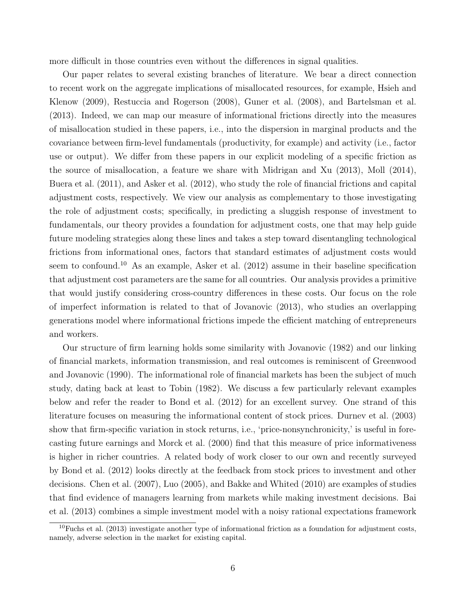more difficult in those countries even without the differences in signal qualities.

Our paper relates to several existing branches of literature. We bear a direct connection to recent work on the aggregate implications of misallocated resources, for example, Hsieh and Klenow (2009), Restuccia and Rogerson (2008), Guner et al. (2008), and Bartelsman et al. (2013). Indeed, we can map our measure of informational frictions directly into the measures of misallocation studied in these papers, i.e., into the dispersion in marginal products and the covariance between firm-level fundamentals (productivity, for example) and activity (i.e., factor use or output). We differ from these papers in our explicit modeling of a specific friction as the source of misallocation, a feature we share with Midrigan and Xu (2013), Moll (2014), Buera et al. (2011), and Asker et al. (2012), who study the role of financial frictions and capital adjustment costs, respectively. We view our analysis as complementary to those investigating the role of adjustment costs; specifically, in predicting a sluggish response of investment to fundamentals, our theory provides a foundation for adjustment costs, one that may help guide future modeling strategies along these lines and takes a step toward disentangling technological frictions from informational ones, factors that standard estimates of adjustment costs would seem to confound.<sup>10</sup> As an example, Asker et al.  $(2012)$  assume in their baseline specification that adjustment cost parameters are the same for all countries. Our analysis provides a primitive that would justify considering cross-country differences in these costs. Our focus on the role of imperfect information is related to that of Jovanovic (2013), who studies an overlapping generations model where informational frictions impede the efficient matching of entrepreneurs and workers.

Our structure of firm learning holds some similarity with Jovanovic (1982) and our linking of financial markets, information transmission, and real outcomes is reminiscent of Greenwood and Jovanovic (1990). The informational role of financial markets has been the subject of much study, dating back at least to Tobin (1982). We discuss a few particularly relevant examples below and refer the reader to Bond et al. (2012) for an excellent survey. One strand of this literature focuses on measuring the informational content of stock prices. Durnev et al. (2003) show that firm-specific variation in stock returns, i.e., 'price-nonsynchronicity,' is useful in forecasting future earnings and Morck et al. (2000) find that this measure of price informativeness is higher in richer countries. A related body of work closer to our own and recently surveyed by Bond et al. (2012) looks directly at the feedback from stock prices to investment and other decisions. Chen et al. (2007), Luo (2005), and Bakke and Whited (2010) are examples of studies that find evidence of managers learning from markets while making investment decisions. Bai et al. (2013) combines a simple investment model with a noisy rational expectations framework

 $10$ Fuchs et al. (2013) investigate another type of informational friction as a foundation for adjustment costs, namely, adverse selection in the market for existing capital.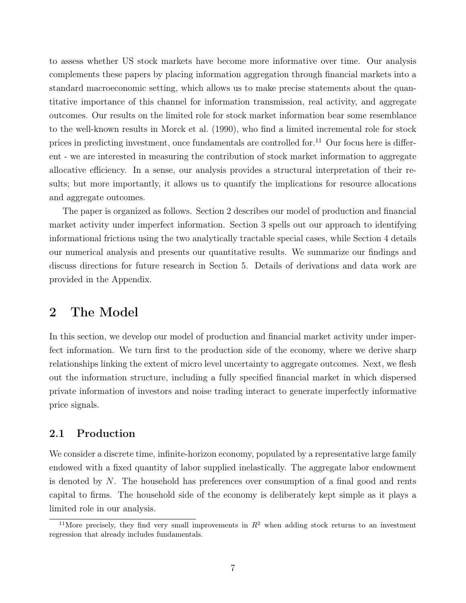to assess whether US stock markets have become more informative over time. Our analysis complements these papers by placing information aggregation through financial markets into a standard macroeconomic setting, which allows us to make precise statements about the quantitative importance of this channel for information transmission, real activity, and aggregate outcomes. Our results on the limited role for stock market information bear some resemblance to the well-known results in Morck et al. (1990), who find a limited incremental role for stock prices in predicting investment, once fundamentals are controlled for.<sup>11</sup> Our focus here is different - we are interested in measuring the contribution of stock market information to aggregate allocative efficiency. In a sense, our analysis provides a structural interpretation of their results; but more importantly, it allows us to quantify the implications for resource allocations and aggregate outcomes.

The paper is organized as follows. Section 2 describes our model of production and financial market activity under imperfect information. Section 3 spells out our approach to identifying informational frictions using the two analytically tractable special cases, while Section 4 details our numerical analysis and presents our quantitative results. We summarize our findings and discuss directions for future research in Section 5. Details of derivations and data work are provided in the Appendix.

# 2 The Model

In this section, we develop our model of production and financial market activity under imperfect information. We turn first to the production side of the economy, where we derive sharp relationships linking the extent of micro level uncertainty to aggregate outcomes. Next, we flesh out the information structure, including a fully specified financial market in which dispersed private information of investors and noise trading interact to generate imperfectly informative price signals.

#### 2.1 Production

We consider a discrete time, infinite-horizon economy, populated by a representative large family endowed with a fixed quantity of labor supplied inelastically. The aggregate labor endowment is denoted by N. The household has preferences over consumption of a final good and rents capital to firms. The household side of the economy is deliberately kept simple as it plays a limited role in our analysis.

<sup>&</sup>lt;sup>11</sup>More precisely, they find very small improvements in  $R^2$  when adding stock returns to an investment regression that already includes fundamentals.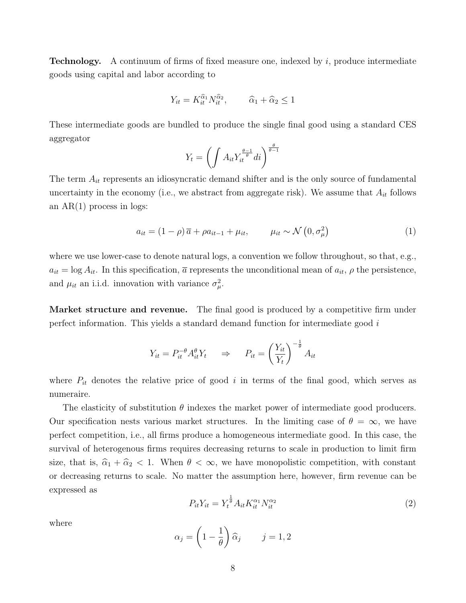**Technology.** A continuum of firms of fixed measure one, indexed by  $i$ , produce intermediate goods using capital and labor according to

$$
Y_{it} = K_{it}^{\widehat{\alpha}_1} N_{it}^{\widehat{\alpha}_2}, \qquad \widehat{\alpha}_1 + \widehat{\alpha}_2 \le 1
$$

These intermediate goods are bundled to produce the single final good using a standard CES aggregator

$$
Y_t = \left(\int A_{it} Y_{it}^{\frac{\theta - 1}{\theta}} di\right)^{\frac{\theta}{\theta - 1}}
$$

The term  $A_{it}$  represents an idiosyncratic demand shifter and is the only source of fundamental uncertainty in the economy (i.e., we abstract from aggregate risk). We assume that  $A_{it}$  follows an  $AR(1)$  process in logs:

$$
a_{it} = (1 - \rho)\overline{a} + \rho a_{it-1} + \mu_{it}, \qquad \mu_{it} \sim \mathcal{N}\left(0, \sigma_{\mu}^{2}\right)
$$
 (1)

where we use lower-case to denote natural logs, a convention we follow throughout, so that, e.g.,  $a_{it} = \log A_{it}$ . In this specification,  $\bar{a}$  represents the unconditional mean of  $a_{it}$ ,  $\rho$  the persistence, and  $\mu_{it}$  an i.i.d. innovation with variance  $\sigma_{\mu}^2$ .

**Market structure and revenue.** The final good is produced by a competitive firm under perfect information. This yields a standard demand function for intermediate good i

$$
Y_{it} = P_{it}^{-\theta} A_{it}^{\theta} Y_t \Rightarrow P_{it} = \left(\frac{Y_{it}}{Y_t}\right)^{-\frac{1}{\theta}} A_{it}
$$

where  $P_{it}$  denotes the relative price of good i in terms of the final good, which serves as numeraire.

The elasticity of substitution  $\theta$  indexes the market power of intermediate good producers. Our specification nests various market structures. In the limiting case of  $\theta = \infty$ , we have perfect competition, i.e., all firms produce a homogeneous intermediate good. In this case, the survival of heterogenous firms requires decreasing returns to scale in production to limit firm size, that is,  $\hat{\alpha}_1 + \hat{\alpha}_2 < 1$ . When  $\theta < \infty$ , we have monopolistic competition, with constant or decreasing returns to scale. No matter the assumption here, however, firm revenue can be expressed as

$$
P_{it}Y_{it} = Y_t^{\frac{1}{\theta}} A_{it} K_{it}^{\alpha_1} N_{it}^{\alpha_2} \tag{2}
$$

where

$$
\alpha_j = \left(1 - \frac{1}{\theta}\right)\widehat{\alpha}_j \qquad j = 1, 2
$$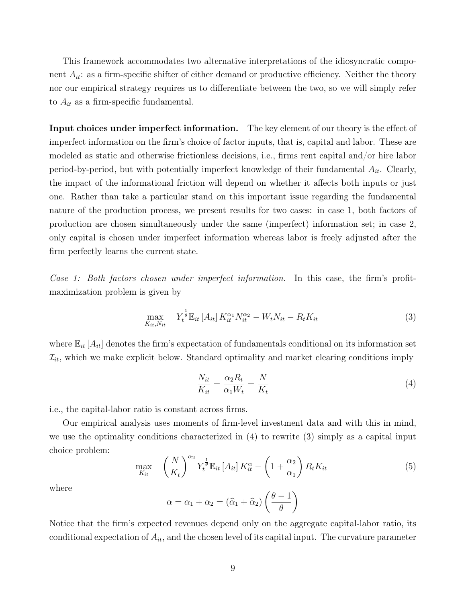This framework accommodates two alternative interpretations of the idiosyncratic component  $A_{it}$ : as a firm-specific shifter of either demand or productive efficiency. Neither the theory nor our empirical strategy requires us to differentiate between the two, so we will simply refer to  $A_{it}$  as a firm-specific fundamental.

Input choices under imperfect information. The key element of our theory is the effect of imperfect information on the firm's choice of factor inputs, that is, capital and labor. These are modeled as static and otherwise frictionless decisions, i.e., firms rent capital and/or hire labor period-by-period, but with potentially imperfect knowledge of their fundamental  $A_{it}$ . Clearly, the impact of the informational friction will depend on whether it affects both inputs or just one. Rather than take a particular stand on this important issue regarding the fundamental nature of the production process, we present results for two cases: in case 1, both factors of production are chosen simultaneously under the same (imperfect) information set; in case 2, only capital is chosen under imperfect information whereas labor is freely adjusted after the firm perfectly learns the current state.

Case 1: Both factors chosen under imperfect information. In this case, the firm's profitmaximization problem is given by

$$
\max_{K_{it}, N_{it}} Y_t^{\frac{1}{\theta}} \mathbb{E}_{it} \left[ A_{it} \right] K_{it}^{\alpha_1} N_{it}^{\alpha_2} - W_t N_{it} - R_t K_{it} \tag{3}
$$

where  $\mathbb{E}_{it} [A_{it}]$  denotes the firm's expectation of fundamentals conditional on its information set  $\mathcal{I}_{it}$ , which we make explicit below. Standard optimality and market clearing conditions imply

$$
\frac{N_{it}}{K_{it}} = \frac{\alpha_2 R_t}{\alpha_1 W_t} = \frac{N}{K_t} \tag{4}
$$

i.e., the capital-labor ratio is constant across firms.

Our empirical analysis uses moments of firm-level investment data and with this in mind, we use the optimality conditions characterized in (4) to rewrite (3) simply as a capital input choice problem:

$$
\max_{K_{it}} \quad \left(\frac{N}{K_t}\right)^{\alpha_2} Y_t^{\frac{1}{\theta}} \mathbb{E}_{it} \left[A_{it}\right] K_{it}^{\alpha} - \left(1 + \frac{\alpha_2}{\alpha_1}\right) R_t K_{it} \tag{5}
$$

where

$$
\alpha = \alpha_1 + \alpha_2 = (\widehat{\alpha}_1 + \widehat{\alpha}_2) \left( \frac{\theta - 1}{\theta} \right)
$$

Notice that the firm's expected revenues depend only on the aggregate capital-labor ratio, its conditional expectation of  $A_{it}$ , and the chosen level of its capital input. The curvature parameter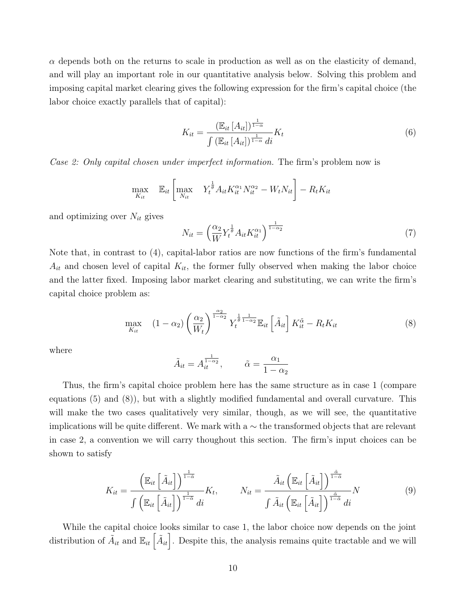$\alpha$  depends both on the returns to scale in production as well as on the elasticity of demand, and will play an important role in our quantitative analysis below. Solving this problem and imposing capital market clearing gives the following expression for the firm's capital choice (the labor choice exactly parallels that of capital):

$$
K_{it} = \frac{\left(\mathbb{E}_{it} \left[A_{it}\right]\right)^{\frac{1}{1-\alpha}}}{\int \left(\mathbb{E}_{it} \left[A_{it}\right]\right)^{\frac{1}{1-\alpha}} di} K_{t}
$$
\n(6)

Case 2: Only capital chosen under imperfect information. The firm's problem now is

$$
\max_{K_{it}} \quad \mathbb{E}_{it} \left[ \max_{N_{it}} \quad Y_t^{\frac{1}{\theta}} A_{it} K_{it}^{\alpha_1} N_{it}^{\alpha_2} - W_t N_{it} \right] - R_t K_{it}
$$

and optimizing over  $N_{it}$  gives

$$
N_{it} = \left(\frac{\alpha_2}{W} Y_t^{\frac{1}{\theta}} A_{it} K_{it}^{\alpha_1}\right)^{\frac{1}{1-\alpha_2}}
$$
(7)

Note that, in contrast to (4), capital-labor ratios are now functions of the firm's fundamental  $A_{it}$  and chosen level of capital  $K_{it}$ , the former fully observed when making the labor choice and the latter fixed. Imposing labor market clearing and substituting, we can write the firm's capital choice problem as:

$$
\max_{K_{it}} \quad (1 - \alpha_2) \left(\frac{\alpha_2}{W_t}\right)^{\frac{\alpha_2}{1 - \alpha_2}} Y_t^{\frac{1}{\theta} \frac{1}{1 - \alpha_2}} \mathbb{E}_{it} \left[\tilde{A}_{it}\right] K_{it}^{\tilde{\alpha}} - R_t K_{it} \tag{8}
$$

where

$$
\tilde{A}_{it} = A_{it}^{\frac{1}{1-\alpha_2}}, \qquad \tilde{\alpha} = \frac{\alpha_1}{1-\alpha_2}
$$

Thus, the firm's capital choice problem here has the same structure as in case 1 (compare equations (5) and (8)), but with a slightly modified fundamental and overall curvature. This will make the two cases qualitatively very similar, though, as we will see, the quantitative implications will be quite different. We mark with a  $\sim$  the transformed objects that are relevant in case 2, a convention we will carry thoughout this section. The firm's input choices can be shown to satisfy

$$
K_{it} = \frac{\left(\mathbb{E}_{it}\left[\tilde{A}_{it}\right]\right)^{\frac{1}{1-\tilde{\alpha}}}}{\int \left(\mathbb{E}_{it}\left[\tilde{A}_{it}\right]\right)^{\frac{1}{1-\tilde{\alpha}}}di}K_{t}, \qquad N_{it} = \frac{\tilde{A}_{it}\left(\mathbb{E}_{it}\left[\tilde{A}_{it}\right]\right)^{\frac{\tilde{\alpha}}{1-\tilde{\alpha}}}}{\int \tilde{A}_{it}\left(\mathbb{E}_{it}\left[\tilde{A}_{it}\right]\right)^{\frac{\tilde{\alpha}}{1-\tilde{\alpha}}}di}N
$$
\n(9)

While the capital choice looks similar to case 1, the labor choice now depends on the joint distribution of  $\tilde{A}_{it}$  and  $\mathbb{E}_{it} \left[ \tilde{A}_{it} \right]$ . Despite this, the analysis remains quite tractable and we will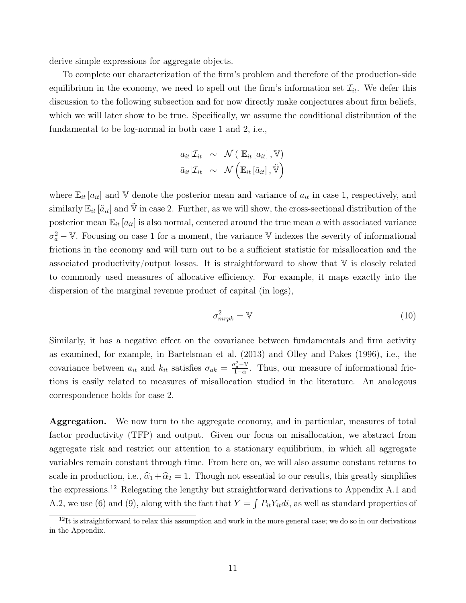derive simple expressions for aggregate objects.

To complete our characterization of the firm's problem and therefore of the production-side equilibrium in the economy, we need to spell out the firm's information set  $\mathcal{I}_{it}$ . We defer this discussion to the following subsection and for now directly make conjectures about firm beliefs, which we will later show to be true. Specifically, we assume the conditional distribution of the fundamental to be log-normal in both case 1 and 2, i.e.,

$$
a_{it}|\mathcal{I}_{it} \sim \mathcal{N}(\mathbb{E}_{it}[a_{it}], \mathbb{V})
$$

$$
\tilde{a}_{it}|\mathcal{I}_{it} \sim \mathcal{N}(\mathbb{E}_{it}[\tilde{a}_{it}], \tilde{\mathbb{V}})
$$

where  $\mathbb{E}_{it}[a_{it}]$  and V denote the posterior mean and variance of  $a_{it}$  in case 1, respectively, and similarly  $\mathbb{E}_{it}[\tilde{a}_{it}]$  and  $\tilde{V}$  in case 2. Further, as we will show, the cross-sectional distribution of the posterior mean  $\mathbb{E}_{it}[a_{it}]$  is also normal, centered around the true mean  $\overline{a}$  with associated variance  $\sigma_a^2$  – V. Focusing on case 1 for a moment, the variance V indexes the severity of informational frictions in the economy and will turn out to be a sufficient statistic for misallocation and the associated productivity/output losses. It is straightforward to show that  $V$  is closely related to commonly used measures of allocative efficiency. For example, it maps exactly into the dispersion of the marginal revenue product of capital (in logs),

$$
\sigma_{mrpk}^2 = \mathbb{V} \tag{10}
$$

Similarly, it has a negative effect on the covariance between fundamentals and firm activity as examined, for example, in Bartelsman et al. (2013) and Olley and Pakes (1996), i.e., the covariance between  $a_{it}$  and  $k_{it}$  satisfies  $\sigma_{ak} = \frac{\sigma_a^2 - \Psi}{1 - \alpha}$  $\frac{r_a^2 - \Psi}{1 - \alpha}$ . Thus, our measure of informational frictions is easily related to measures of misallocation studied in the literature. An analogous correspondence holds for case 2.

**Aggregation.** We now turn to the aggregate economy, and in particular, measures of total factor productivity (TFP) and output. Given our focus on misallocation, we abstract from aggregate risk and restrict our attention to a stationary equilibrium, in which all aggregate variables remain constant through time. From here on, we will also assume constant returns to scale in production, i.e.,  $\hat{\alpha}_1 + \hat{\alpha}_2 = 1$ . Though not essential to our results, this greatly simplifies the expressions.<sup>12</sup> Relegating the lengthy but straightforward derivations to Appendix A.1 and A.2, we use (6) and (9), along with the fact that  $Y = \int P_{it}Y_{it}di$ , as well as standard properties of

 $12$ It is straightforward to relax this assumption and work in the more general case; we do so in our derivations in the Appendix.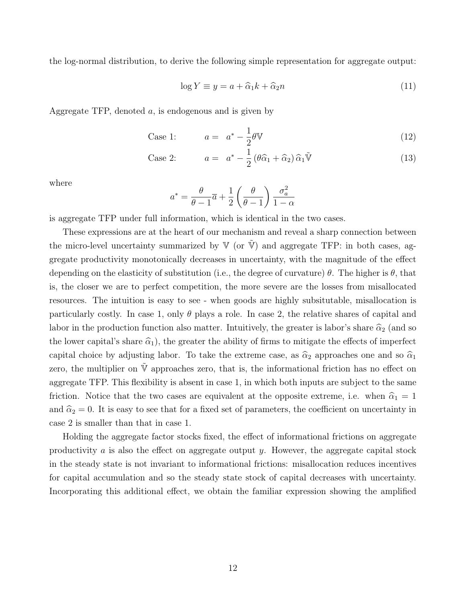the log-normal distribution, to derive the following simple representation for aggregate output:

$$
\log Y \equiv y = a + \hat{\alpha}_1 k + \hat{\alpha}_2 n \tag{11}
$$

Aggregate TFP, denoted a, is endogenous and is given by

Case 1: 
$$
a = a^* - \frac{1}{2}\theta \mathbb{V}
$$
 (12)

Case 2: 
$$
a = a^* - \frac{1}{2} (\theta \widehat{\alpha}_1 + \widehat{\alpha}_2) \widehat{\alpha}_1 \widetilde{\mathbb{V}}
$$
(13)

where

$$
a^* = \frac{\theta}{\theta - 1}\overline{a} + \frac{1}{2}\left(\frac{\theta}{\theta - 1}\right)\frac{\sigma_a^2}{1 - \alpha}
$$

is aggregate TFP under full information, which is identical in the two cases.

These expressions are at the heart of our mechanism and reveal a sharp connection between the micro-level uncertainty summarized by  $V$  (or  $\tilde{V}$ ) and aggregate TFP: in both cases, aggregate productivity monotonically decreases in uncertainty, with the magnitude of the effect depending on the elasticity of substitution (i.e., the degree of curvature)  $\theta$ . The higher is  $\theta$ , that is, the closer we are to perfect competition, the more severe are the losses from misallocated resources. The intuition is easy to see - when goods are highly subsitutable, misallocation is particularly costly. In case 1, only  $\theta$  plays a role. In case 2, the relative shares of capital and labor in the production function also matter. Intuitively, the greater is labor's share  $\hat{\alpha}_2$  (and so the lower capital's share  $\hat{\alpha}_1$ ), the greater the ability of firms to mitigate the effects of imperfect capital choice by adjusting labor. To take the extreme case, as  $\hat{\alpha}_2$  approaches one and so  $\hat{\alpha}_1$ zero, the multiplier on  $\tilde{V}$  approaches zero, that is, the informational friction has no effect on aggregate TFP. This flexibility is absent in case 1, in which both inputs are subject to the same friction. Notice that the two cases are equivalent at the opposite extreme, i.e. when  $\hat{\alpha}_1 = 1$ and  $\hat{\alpha}_2 = 0$ . It is easy to see that for a fixed set of parameters, the coefficient on uncertainty in case 2 is smaller than that in case 1.

Holding the aggregate factor stocks fixed, the effect of informational frictions on aggregate productivity a is also the effect on aggregate output y. However, the aggregate capital stock in the steady state is not invariant to informational frictions: misallocation reduces incentives for capital accumulation and so the steady state stock of capital decreases with uncertainty. Incorporating this additional effect, we obtain the familiar expression showing the amplified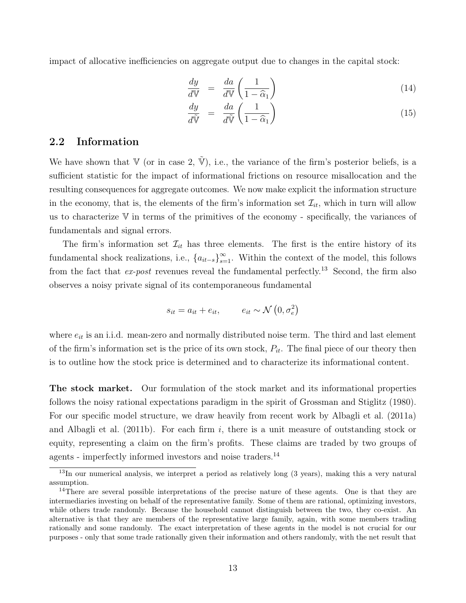impact of allocative inefficiencies on aggregate output due to changes in the capital stock:

$$
\frac{dy}{dV} = \frac{da}{dV} \left( \frac{1}{1 - \hat{\alpha}_1} \right) \tag{14}
$$

$$
\frac{dy}{d\tilde{W}} = \frac{da}{d\tilde{W}} \left(\frac{1}{1 - \hat{\alpha}_1}\right) \tag{15}
$$

#### 2.2 Information

We have shown that  $V$  (or in case 2,  $\tilde{V}$ ), i.e., the variance of the firm's posterior beliefs, is a sufficient statistic for the impact of informational frictions on resource misallocation and the resulting consequences for aggregate outcomes. We now make explicit the information structure in the economy, that is, the elements of the firm's information set  $\mathcal{I}_{it}$ , which in turn will allow us to characterize V in terms of the primitives of the economy - specifically, the variances of fundamentals and signal errors.

The firm's information set  $\mathcal{I}_{it}$  has three elements. The first is the entire history of its fundamental shock realizations, i.e.,  ${a_{it-s}}_{s=1}^{\infty}$ . Within the context of the model, this follows from the fact that ex-post revenues reveal the fundamental perfectly.<sup>13</sup> Second, the firm also observes a noisy private signal of its contemporaneous fundamental

$$
s_{it} = a_{it} + e_{it}, \qquad e_{it} \sim \mathcal{N}\left(0, \sigma_e^2\right)
$$

where  $e_{it}$  is an i.i.d. mean-zero and normally distributed noise term. The third and last element of the firm's information set is the price of its own stock,  $P_{it}$ . The final piece of our theory then is to outline how the stock price is determined and to characterize its informational content.

The stock market. Our formulation of the stock market and its informational properties follows the noisy rational expectations paradigm in the spirit of Grossman and Stiglitz (1980). For our specific model structure, we draw heavily from recent work by Albagli et al. (2011a) and Albagli et al. (2011b). For each firm  $i$ , there is a unit measure of outstanding stock or equity, representing a claim on the firm's profits. These claims are traded by two groups of agents - imperfectly informed investors and noise traders.<sup>14</sup>

<sup>13</sup>In our numerical analysis, we interpret a period as relatively long (3 years), making this a very natural assumption.

<sup>&</sup>lt;sup>14</sup>There are several possible interpretations of the precise nature of these agents. One is that they are intermediaries investing on behalf of the representative family. Some of them are rational, optimizing investors, while others trade randomly. Because the household cannot distinguish between the two, they co-exist. An alternative is that they are members of the representative large family, again, with some members trading rationally and some randomly. The exact interpretation of these agents in the model is not crucial for our purposes - only that some trade rationally given their information and others randomly, with the net result that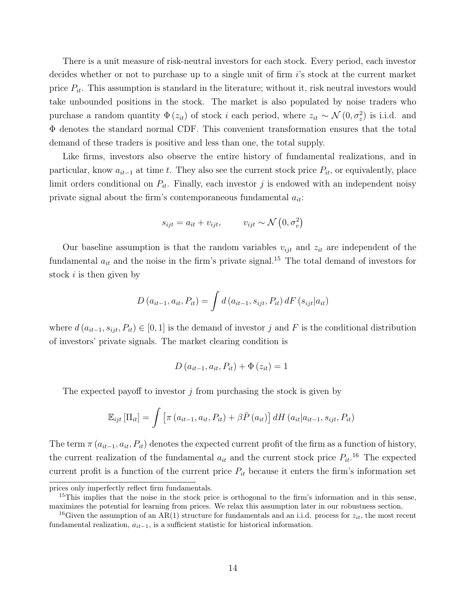There is a unit measure of risk-neutral investors for each stock. Every period, each investor decides whether or not to purchase up to a single unit of firm is stock at the current market price  $P_{it}$ . This assumption is standard in the literature; without it, risk neutral investors would take unbounded positions in the stock. The market is also populated by noise traders who purchase a random quantity  $\Phi(z_{it})$  of stock i each period, where  $z_{it} \sim \mathcal{N}(0, \sigma_z^2)$  is i.i.d. and Φ denotes the standard normal CDF. This convenient transformation ensures that the total demand of these traders is positive and less than one, the total supply.

Like firms, investors also observe the entire history of fundamental realizations, and in particular, know  $a_{it-1}$  at time t. They also see the current stock price  $P_{it}$ , or equivalently, place limit orders conditional on  $P_{it}$ . Finally, each investor j is endowed with an independent noisy private signal about the firm's contemporaneous fundamental  $a_{it}$ :

$$
s_{ijt} = a_{it} + v_{ijt}, \qquad v_{ijt} \sim \mathcal{N}\left(0, \sigma_v^2\right)
$$

Our baseline assumption is that the random variables  $v_{ijt}$  and  $z_{it}$  are independent of the fundamental  $a_{it}$  and the noise in the firm's private signal.<sup>15</sup> The total demand of investors for stock  $i$  is then given by

$$
D(a_{it-1}, a_{it}, P_{it}) = \int d(a_{it-1}, s_{ijt}, P_{it}) dF(s_{ijt}|a_{it})
$$

where  $d(a_{it-1}, s_{ijt}, P_{it}) \in [0, 1]$  is the demand of investor j and F is the conditional distribution of investors' private signals. The market clearing condition is

$$
D(a_{it-1}, a_{it}, P_{it}) + \Phi(z_{it}) = 1
$$

The expected payoff to investor  $j$  from purchasing the stock is given by

$$
\mathbb{E}_{ijt} \left[ \Pi_{it} \right] = \int \left[ \pi \left( a_{it-1}, a_{it}, P_{it} \right) + \beta \bar{P} \left( a_{it} \right) \right] dH \left( a_{it} | a_{it-1}, s_{ijt}, P_{it} \right)
$$

The term  $\pi(a_{it-1}, a_{it}, P_{it})$  denotes the expected current profit of the firm as a function of history, the current realization of the fundamental  $a_{it}$  and the current stock price  $P_{it}$ <sup>16</sup>. The expected current profit is a function of the current price  $P_{it}$  because it enters the firm's information set

prices only imperfectly reflect firm fundamentals.

<sup>&</sup>lt;sup>15</sup>This implies that the noise in the stock price is orthogonal to the firm's information and in this sense, maximizes the potential for learning from prices. We relax this assumption later in our robustness section.

<sup>&</sup>lt;sup>16</sup>Given the assumption of an AR(1) structure for fundamentals and an i.i.d. process for  $z_{it}$ , the most recent fundamental realization,  $a_{it-1}$ , is a sufficient statistic for historical information.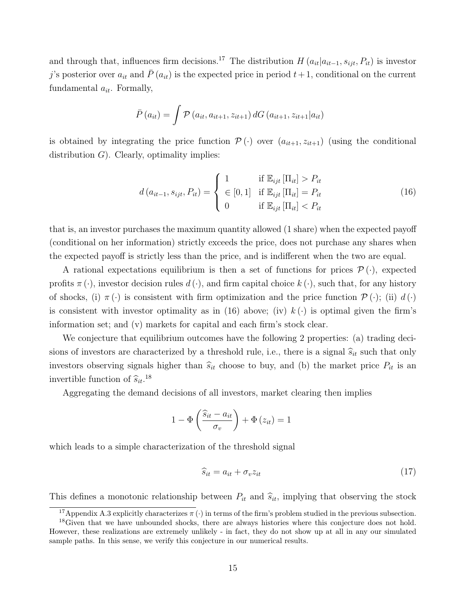and through that, influences firm decisions.<sup>17</sup> The distribution  $H(a_{it}|a_{it-1}, s_{iit}, P_{it})$  is investor j's posterior over  $a_{it}$  and  $\bar{P}(a_{it})$  is the expected price in period  $t+1$ , conditional on the current fundamental  $a_{it}$ . Formally,

$$
\bar{P}(a_{it}) = \int \mathcal{P}(a_{it}, a_{it+1}, z_{it+1}) dG(a_{it+1}, z_{it+1}|a_{it})
$$

is obtained by integrating the price function  $\mathcal{P}(\cdot)$  over  $(a_{it+1}, z_{it+1})$  (using the conditional distribution  $G$ ). Clearly, optimality implies:

$$
d\left(a_{it-1}, s_{ijt}, P_{it}\right) = \begin{cases} 1 & \text{if } \mathbb{E}_{ijt} \left[\Pi_{it}\right] > P_{it} \\ \in [0, 1] & \text{if } \mathbb{E}_{ijt} \left[\Pi_{it}\right] = P_{it} \\ 0 & \text{if } \mathbb{E}_{ijt} \left[\Pi_{it}\right] < P_{it} \end{cases}
$$
(16)

that is, an investor purchases the maximum quantity allowed (1 share) when the expected payoff (conditional on her information) strictly exceeds the price, does not purchase any shares when the expected payoff is strictly less than the price, and is indifferent when the two are equal.

A rational expectations equilibrium is then a set of functions for prices  $\mathcal{P}(\cdot)$ , expected profits  $\pi(\cdot)$ , investor decision rules  $d(\cdot)$ , and firm capital choice  $k(\cdot)$ , such that, for any history of shocks, (i)  $\pi(\cdot)$  is consistent with firm optimization and the price function  $\mathcal{P}(\cdot)$ ; (ii)  $d(\cdot)$ is consistent with investor optimality as in (16) above; (iv)  $k(\cdot)$  is optimal given the firm's information set; and (v) markets for capital and each firm's stock clear.

We conjecture that equilibrium outcomes have the following 2 properties: (a) trading decisions of investors are characterized by a threshold rule, i.e., there is a signal  $\hat{s}_{it}$  such that only investors observing signals higher than  $\hat{s}_{it}$  choose to buy, and (b) the market price  $P_{it}$  is an invertible function of  $\hat{s}_{it}$ .<sup>18</sup>

Aggregating the demand decisions of all investors, market clearing then implies

$$
1 - \Phi\left(\frac{\widehat{s}_{it} - a_{it}}{\sigma_v}\right) + \Phi\left(z_{it}\right) = 1
$$

which leads to a simple characterization of the threshold signal

$$
\widehat{s}_{it} = a_{it} + \sigma_v z_{it} \tag{17}
$$

This defines a monotonic relationship between  $P_{it}$  and  $\hat{s}_{it}$ , implying that observing the stock

<sup>&</sup>lt;sup>17</sup>Appendix A.3 explicitly characterizes  $\pi(\cdot)$  in terms of the firm's problem studied in the previous subsection.

<sup>&</sup>lt;sup>18</sup>Given that we have unbounded shocks, there are always histories where this conjecture does not hold. However, these realizations are extremely unlikely - in fact, they do not show up at all in any our simulated sample paths. In this sense, we verify this conjecture in our numerical results.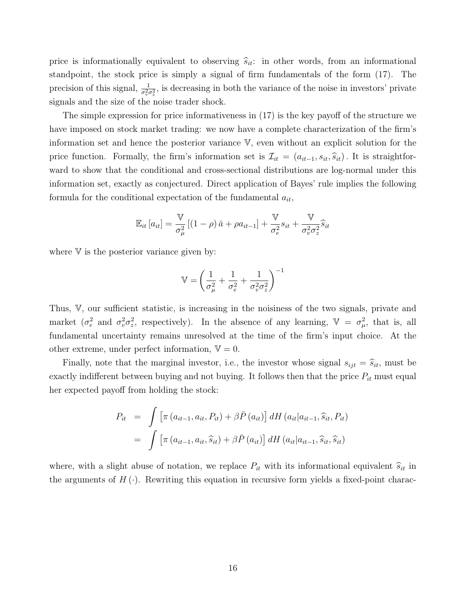price is informationally equivalent to observing  $\hat{s}_{it}$ : in other words, from an informational standpoint, the stock price is simply a signal of firm fundamentals of the form (17). The precision of this signal,  $\frac{1}{\sigma_v^2 \sigma_z^2}$ , is decreasing in both the variance of the noise in investors' private signals and the size of the noise trader shock.

The simple expression for price informativeness in (17) is the key payoff of the structure we have imposed on stock market trading: we now have a complete characterization of the firm's information set and hence the posterior variance V, even without an explicit solution for the price function. Formally, the firm's information set is  $\mathcal{I}_{it} = (a_{it-1}, s_{it}, \hat{s}_{it})$ . It is straightforward to show that the conditional and cross-sectional distributions are log-normal under this information set, exactly as conjectured. Direct application of Bayes' rule implies the following formula for the conditional expectation of the fundamental  $a_{it}$ ,

$$
\mathbb{E}_{it}[a_{it}] = \frac{\mathbb{V}}{\sigma_{\mu}^2} [(1-\rho)\bar{a} + \rho a_{it-1}] + \frac{\mathbb{V}}{\sigma_e^2} s_{it} + \frac{\mathbb{V}}{\sigma_v^2 \sigma_z^2} \widehat{s}_{it}
$$

where  $V$  is the posterior variance given by:

$$
\mathbb{V}=\left(\frac{1}{\sigma^2_{\mu}}+\frac{1}{\sigma^2_{e}}+\frac{1}{\sigma^2_{v}\sigma^2_{z}}\right)^{-1}
$$

Thus, V, our sufficient statistic, is increasing in the noisiness of the two signals, private and market  $(\sigma_e^2$  and  $\sigma_v^2 \sigma_z^2$ , respectively). In the absence of any learning,  $\mathbb{V} = \sigma_\mu^2$ , that is, all fundamental uncertainty remains unresolved at the time of the firm's input choice. At the other extreme, under perfect information,  $V = 0$ .

Finally, note that the marginal investor, i.e., the investor whose signal  $s_{ijt} = \hat{s}_{it}$ , must be exactly indifferent between buying and not buying. It follows then that the price  $P_{it}$  must equal her expected payoff from holding the stock:

$$
P_{it} = \int \left[ \pi \left( a_{it-1}, a_{it}, P_{it} \right) + \beta \bar{P} \left( a_{it} \right) \right] dH \left( a_{it} | a_{it-1}, \hat{s}_{it}, P_{it} \right)
$$

$$
= \int \left[ \pi \left( a_{it-1}, a_{it}, \hat{s}_{it} \right) + \beta \bar{P} \left( a_{it} \right) \right] dH \left( a_{it} | a_{it-1}, \hat{s}_{it}, \hat{s}_{it} \right)
$$

where, with a slight abuse of notation, we replace  $P_{it}$  with its informational equivalent  $\hat{s}_{it}$  in the arguments of  $H(\cdot)$ . Rewriting this equation in recursive form yields a fixed-point charac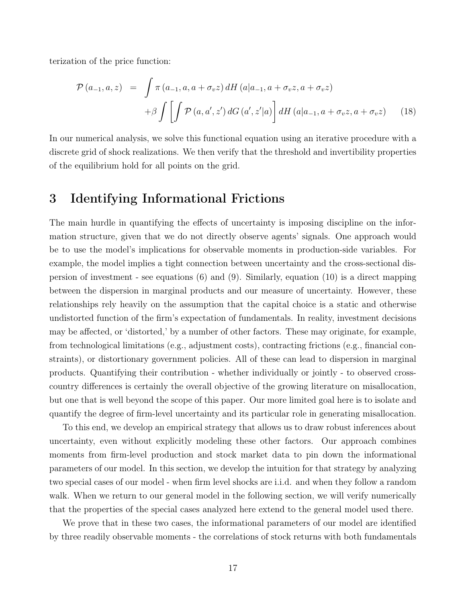terization of the price function:

$$
\mathcal{P}(a_{-1},a,z) = \int \pi (a_{-1},a,a+\sigma_v z) dH(a|a_{-1},a+\sigma_v z,a+\sigma_v z)
$$

$$
+ \beta \int \left[ \int \mathcal{P}(a,a',z') dG(a',z'|a) \right] dH(a|a_{-1},a+\sigma_v z,a+\sigma_v z) \qquad (18)
$$

In our numerical analysis, we solve this functional equation using an iterative procedure with a discrete grid of shock realizations. We then verify that the threshold and invertibility properties of the equilibrium hold for all points on the grid.

## 3 Identifying Informational Frictions

The main hurdle in quantifying the effects of uncertainty is imposing discipline on the information structure, given that we do not directly observe agents' signals. One approach would be to use the model's implications for observable moments in production-side variables. For example, the model implies a tight connection between uncertainty and the cross-sectional dispersion of investment - see equations (6) and (9). Similarly, equation (10) is a direct mapping between the dispersion in marginal products and our measure of uncertainty. However, these relationships rely heavily on the assumption that the capital choice is a static and otherwise undistorted function of the firm's expectation of fundamentals. In reality, investment decisions may be affected, or 'distorted,' by a number of other factors. These may originate, for example, from technological limitations (e.g., adjustment costs), contracting frictions (e.g., financial constraints), or distortionary government policies. All of these can lead to dispersion in marginal products. Quantifying their contribution - whether individually or jointly - to observed crosscountry differences is certainly the overall objective of the growing literature on misallocation, but one that is well beyond the scope of this paper. Our more limited goal here is to isolate and quantify the degree of firm-level uncertainty and its particular role in generating misallocation.

To this end, we develop an empirical strategy that allows us to draw robust inferences about uncertainty, even without explicitly modeling these other factors. Our approach combines moments from firm-level production and stock market data to pin down the informational parameters of our model. In this section, we develop the intuition for that strategy by analyzing two special cases of our model - when firm level shocks are i.i.d. and when they follow a random walk. When we return to our general model in the following section, we will verify numerically that the properties of the special cases analyzed here extend to the general model used there.

We prove that in these two cases, the informational parameters of our model are identified by three readily observable moments - the correlations of stock returns with both fundamentals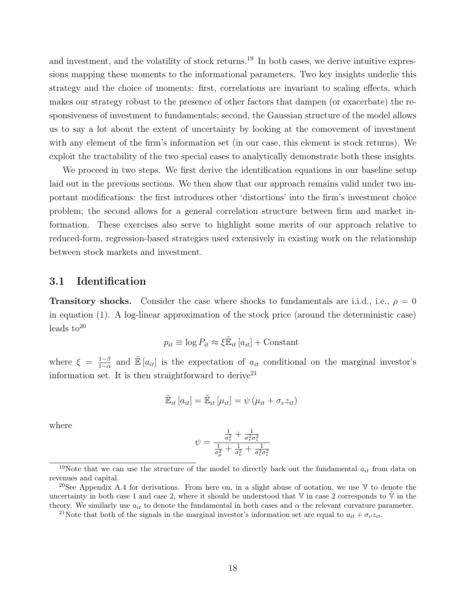and investment, and the volatility of stock returns.<sup>19</sup> In both cases, we derive intuitive expressions mapping these moments to the informational parameters. Two key insights underlie this strategy and the choice of moments: first, correlations are invariant to scaling effects, which makes our strategy robust to the presence of other factors that dampen (or exacerbate) the responsiveness of investment to fundamentals; second, the Gaussian structure of the model allows us to say a lot about the extent of uncertainty by looking at the comovement of investment with any element of the firm's information set (in our case, this element is stock returns). We exploit the tractability of the two special cases to analytically demonstrate both these insights.

We proceed in two steps. We first derive the identification equations in our baseline setup laid out in the previous sections. We then show that our approach remains valid under two important modifications: the first introduces other 'distortions' into the firm's investment choice problem; the second allows for a general correlation structure between firm and market information. These exercises also serve to highlight some merits of our approach relative to reduced-form, regression-based strategies used extensively in existing work on the relationship between stock markets and investment.

#### 3.1 Identification

**Transitory shocks.** Consider the case where shocks to fundamentals are i.i.d., i.e.,  $\rho = 0$ in equation (1). A log-linear approximation of the stock price (around the deterministic case) leads  $to^{20}$ 

$$
p_{it} \equiv \log P_{it} \approx \xi \tilde{\mathbb{E}}_{it} [a_{it}] + \text{Constant}
$$

where  $\xi = \frac{1-\beta}{1-\alpha}$  $\frac{1-\beta}{1-\alpha}$  and  $\mathbb{E}[a_{it}]$  is the expectation of  $a_{it}$  conditional on the marginal investor's information set. It is then straightforward to derive<sup>21</sup>

$$
\mathbb{\tilde{E}}_{it}[a_{it}] = \mathbb{\tilde{E}}_{it}[\mu_{it}] = \psi(\mu_{it} + \sigma_v z_{it})
$$

where

$$
\psi = \frac{\frac{1}{\sigma_v^2} + \frac{1}{\sigma_v^2 \sigma_z^2}}{\frac{1}{\sigma_\mu^2} + \frac{1}{\sigma_v^2} + \frac{1}{\sigma_v^2 \sigma_z^2}}
$$

<sup>&</sup>lt;sup>19</sup>Note that we can use the structure of the model to directly back out the fundamental  $a_{it}$  from data on revenues and capital.

<sup>&</sup>lt;sup>20</sup>See Appendix A.4 for derivations. From here on, in a slight abuse of notation, we use  $\nabla$  to denote the uncertainty in both case 1 and case 2, where it should be understood that  $V$  in case 2 corresponds to  $V$  in the theory. We similarly use  $a_{it}$  to denote the fundamental in both cases and  $\alpha$  the relevant curvature parameter.

<sup>&</sup>lt;sup>21</sup>Note that both of the signals in the marginal investor's information set are equal to  $u_{it} + \sigma_v z_{it}$ .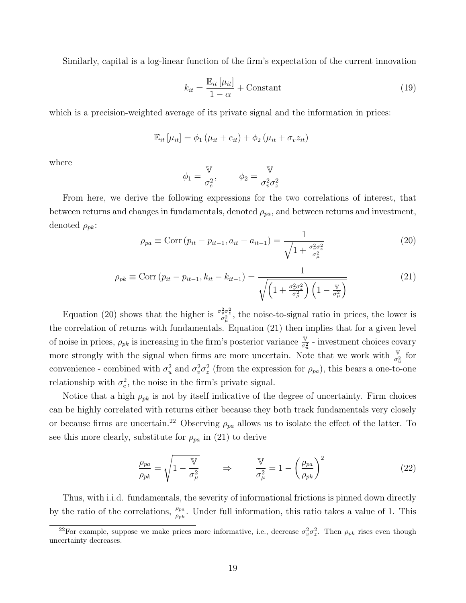Similarly, capital is a log-linear function of the firm's expectation of the current innovation

$$
k_{it} = \frac{\mathbb{E}_{it} \left[ \mu_{it} \right]}{1 - \alpha} + \text{Constant}
$$
 (19)

which is a precision-weighted average of its private signal and the information in prices:

$$
\mathbb{E}_{it} \left[ \mu_{it} \right] = \phi_1 \left( \mu_{it} + e_{it} \right) + \phi_2 \left( \mu_{it} + \sigma_v z_{it} \right)
$$

where

$$
\phi_1 = \frac{\mathbb{V}}{\sigma_e^2}, \qquad \phi_2 = \frac{\mathbb{V}}{\sigma_v^2 \sigma_z^2}
$$

From here, we derive the following expressions for the two correlations of interest, that between returns and changes in fundamentals, denoted  $\rho_{pa}$ , and between returns and investment, denoted  $\rho_{pk}$ :

$$
\rho_{pa} \equiv \text{Corr} \left( p_{it} - p_{it-1}, a_{it} - a_{it-1} \right) = \frac{1}{\sqrt{1 + \frac{\sigma_v^2 \sigma_z^2}{\sigma_\mu^2}}} \tag{20}
$$

$$
\rho_{pk} \equiv \text{Corr}\left(p_{it} - p_{it-1}, k_{it} - k_{it-1}\right) = \frac{1}{\sqrt{\left(1 + \frac{\sigma_v^2 \sigma_z^2}{\sigma_\mu^2}\right)\left(1 - \frac{\mathbb{V}}{\sigma_\mu^2}\right)}}
$$
(21)

Equation (20) shows that the higher is  $\frac{\sigma_v^2 \sigma_z^2}{\sigma_\mu^2}$ , the noise-to-signal ratio in prices, the lower is the correlation of returns with fundamentals. Equation (21) then implies that for a given level of noise in prices,  $\rho_{pk}$  is increasing in the firm's posterior variance  $\frac{V}{\sigma_u^2}$  - investment choices covary more strongly with the signal when firms are more uncertain. Note that we work with  $\frac{v}{\sigma_u^2}$  for convenience - combined with  $\sigma_u^2$  and  $\sigma_v^2 \sigma_z^2$  (from the expression for  $\rho_{pa}$ ), this bears a one-to-one relationship with  $\sigma_e^2$ , the noise in the firm's private signal.

Notice that a high  $\rho_{pk}$  is not by itself indicative of the degree of uncertainty. Firm choices can be highly correlated with returns either because they both track fundamentals very closely or because firms are uncertain.<sup>22</sup> Observing  $\rho_{pa}$  allows us to isolate the effect of the latter. To see this more clearly, substitute for  $\rho_{pa}$  in (21) to derive

$$
\frac{\rho_{pa}}{\rho_{pk}} = \sqrt{1 - \frac{V}{\sigma_{\mu}^2}} \qquad \Rightarrow \qquad \frac{V}{\sigma_{\mu}^2} = 1 - \left(\frac{\rho_{pa}}{\rho_{pk}}\right)^2 \tag{22}
$$

Thus, with i.i.d. fundamentals, the severity of informational frictions is pinned down directly by the ratio of the correlations,  $\frac{\rho_{pa}}{\rho_{pk}}$ . Under full information, this ratio takes a value of 1. This

<sup>&</sup>lt;sup>22</sup>For example, suppose we make prices more informative, i.e., decrease  $\sigma_v^2 \sigma_z^2$ . Then  $\rho_{pk}$  rises even though uncertainty decreases.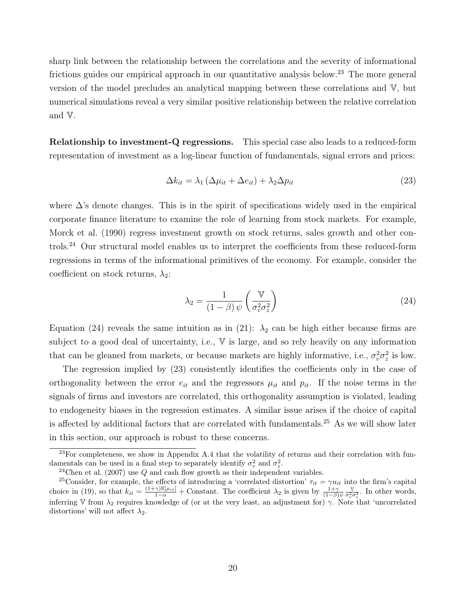sharp link between the relationship between the correlations and the severity of informational frictions guides our empirical approach in our quantitative analysis below.<sup>23</sup> The more general version of the model precludes an analytical mapping between these correlations and V, but numerical simulations reveal a very similar positive relationship between the relative correlation and V.

Relationship to investment-Q regressions. This special case also leads to a reduced-form representation of investment as a log-linear function of fundamentals, signal errors and prices:

$$
\Delta k_{it} = \lambda_1 \left( \Delta \mu_{it} + \Delta e_{it} \right) + \lambda_2 \Delta p_{it} \tag{23}
$$

where  $\Delta$ 's denote changes. This is in the spirit of specifications widely used in the empirical corporate finance literature to examine the role of learning from stock markets. For example, Morck et al. (1990) regress investment growth on stock returns, sales growth and other controls.<sup>24</sup> Our structural model enables us to interpret the coefficients from these reduced-form regressions in terms of the informational primitives of the economy. For example, consider the coefficient on stock returns,  $\lambda_2$ :

$$
\lambda_2 = \frac{1}{(1-\beta)\,\psi} \left(\frac{\mathbb{V}}{\sigma_v^2 \sigma_z^2}\right) \tag{24}
$$

Equation (24) reveals the same intuition as in (21):  $\lambda_2$  can be high either because firms are subject to a good deal of uncertainty, i.e., V is large, and so rely heavily on any information that can be gleaned from markets, or because markets are highly informative, i.e.,  $\sigma_v^2 \sigma_z^2$  is low.

The regression implied by (23) consistently identifies the coefficients only in the case of orthogonality between the error  $e_{it}$  and the regressors  $\mu_{it}$  and  $p_{it}$ . If the noise terms in the signals of firms and investors are correlated, this orthogonality assumption is violated, leading to endogeneity biases in the regression estimates. A similar issue arises if the choice of capital is affected by additional factors that are correlated with fundamentals.<sup>25</sup> As we will show later in this section, our approach is robust to these concerns.

 $^{23}$ For completeness, we show in Appendix A.4 that the volatility of returns and their correlation with fundamentals can be used in a final step to separately identify  $\sigma_v^2$  and  $\sigma_z^2$ .

<sup>&</sup>lt;sup>24</sup>Chen et al. (2007) use  $Q$  and cash flow growth as their independent variables.

<sup>&</sup>lt;sup>25</sup>Consider, for example, the effects of introducing a 'correlated distortion'  $\tau_{it} = \gamma u_{it}$  into the firm's capital choice in (19), so that  $k_{it} = \frac{(1+\gamma)\mathbb{E}[\mu_{it}]}{1-\alpha} + \text{Constant}$ . The coefficient  $\lambda_2$  is given by  $\frac{1+\gamma}{(1-\beta)\psi}$ V  $\frac{\sqrt{2}}{\sigma_v^2 \sigma_z^2}$ . In other words, inferring V from  $\lambda_2$  requires knowledge of (or at the very least, an adjustment for) γ. Note that 'uncorrelated distortions' will not affect  $\lambda_2$ .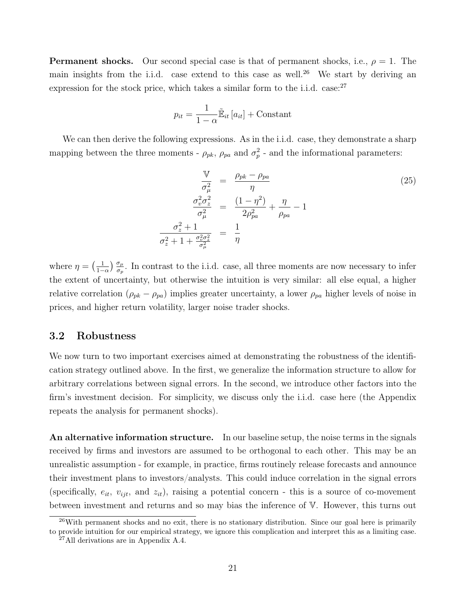**Permanent shocks.** Our second special case is that of permanent shocks, i.e.,  $\rho = 1$ . The main insights from the i.i.d. case extend to this case as well.<sup>26</sup> We start by deriving an expression for the stock price, which takes a similar form to the i.i.d. case: $27$ 

$$
p_{it} = \frac{1}{1 - \alpha} \tilde{\mathbb{E}}_{it} \left[ a_{it} \right] + \text{Constant}
$$

We can then derive the following expressions. As in the i.i.d. case, they demonstrate a sharp mapping between the three moments -  $\rho_{pk}$ ,  $\rho_{pa}$  and  $\sigma_p^2$  - and the informational parameters:

$$
\frac{\mathbb{V}}{\sigma_{\mu}^{2}} = \frac{\rho_{pk} - \rho_{pa}}{\eta}
$$
\n
$$
\frac{\sigma_{v}^{2} \sigma_{z}^{2}}{\sigma_{\mu}^{2}} = \frac{(1 - \eta^{2})}{2\rho_{pa}^{2}} + \frac{\eta}{\rho_{pa}} - 1
$$
\n
$$
\frac{\sigma_{z}^{2} + 1}{\sigma_{z}^{2} + 1 + \frac{\sigma_{v}^{2} \sigma_{z}^{2}}{\sigma_{\mu}^{2}}} = \frac{1}{\eta}
$$
\n(25)

where  $\eta = \left(\frac{1}{1 -}\right)$  $\frac{1}{1-\alpha}$   $\frac{\sigma_{\mu}}{\sigma_p}$ . In contrast to the i.i.d. case, all three moments are now necessary to infer the extent of uncertainty, but otherwise the intuition is very similar: all else equal, a higher relative correlation  $(\rho_{pk} - \rho_{pa})$  implies greater uncertainty, a lower  $\rho_{pa}$  higher levels of noise in prices, and higher return volatility, larger noise trader shocks.

#### 3.2 Robustness

We now turn to two important exercises aimed at demonstrating the robustness of the identification strategy outlined above. In the first, we generalize the information structure to allow for arbitrary correlations between signal errors. In the second, we introduce other factors into the firm's investment decision. For simplicity, we discuss only the i.i.d. case here (the Appendix repeats the analysis for permanent shocks).

An alternative information structure. In our baseline setup, the noise terms in the signals received by firms and investors are assumed to be orthogonal to each other. This may be an unrealistic assumption - for example, in practice, firms routinely release forecasts and announce their investment plans to investors/analysts. This could induce correlation in the signal errors (specifically,  $e_{it}$ ,  $v_{ijt}$ , and  $z_{it}$ ), raising a potential concern - this is a source of co-movement between investment and returns and so may bias the inference of V. However, this turns out

 $^{26}$ With permanent shocks and no exit, there is no stationary distribution. Since our goal here is primarily to provide intuition for our empirical strategy, we ignore this complication and interpret this as a limiting case.

<sup>27</sup>All derivations are in Appendix A.4.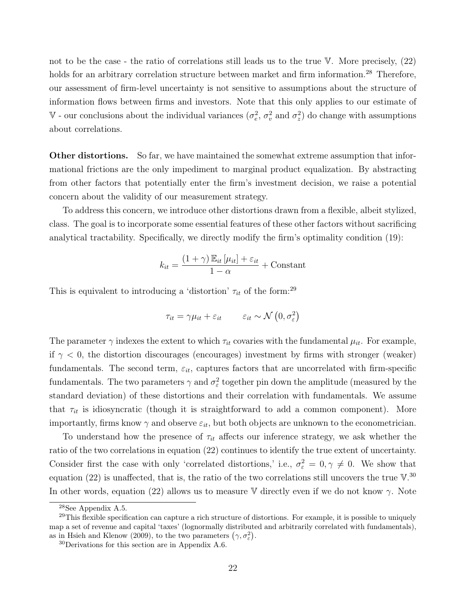not to be the case - the ratio of correlations still leads us to the true V. More precisely, (22) holds for an arbitrary correlation structure between market and firm information.<sup>28</sup> Therefore, our assessment of firm-level uncertainty is not sensitive to assumptions about the structure of information flows between firms and investors. Note that this only applies to our estimate of V - our conclusions about the individual variances  $(\sigma_e^2, \sigma_v^2 \text{ and } \sigma_z^2)$  do change with assumptions about correlations.

**Other distortions.** So far, we have maintained the somewhat extreme assumption that informational frictions are the only impediment to marginal product equalization. By abstracting from other factors that potentially enter the firm's investment decision, we raise a potential concern about the validity of our measurement strategy.

To address this concern, we introduce other distortions drawn from a flexible, albeit stylized, class. The goal is to incorporate some essential features of these other factors without sacrificing analytical tractability. Specifically, we directly modify the firm's optimality condition (19):

$$
k_{it} = \frac{(1+\gamma)\mathbb{E}_{it}[\mu_{it}] + \varepsilon_{it}}{1-\alpha} + \text{Constant}
$$

This is equivalent to introducing a 'distortion'  $\tau_{it}$  of the form:<sup>29</sup>

$$
\tau_{it} = \gamma \mu_{it} + \varepsilon_{it} \qquad \varepsilon_{it} \sim \mathcal{N}\left(0, \sigma_{\varepsilon}^{2}\right)
$$

The parameter  $\gamma$  indexes the extent to which  $\tau_{it}$  covaries with the fundamental  $\mu_{it}$ . For example, if  $\gamma$  < 0, the distortion discourages (encourages) investment by firms with stronger (weaker) fundamentals. The second term,  $\varepsilon_{it}$ , captures factors that are uncorrelated with firm-specific fundamentals. The two parameters  $\gamma$  and  $\sigma_{\varepsilon}^2$  together pin down the amplitude (measured by the standard deviation) of these distortions and their correlation with fundamentals. We assume that  $\tau_{it}$  is idiosyncratic (though it is straightforward to add a common component). More importantly, firms know  $\gamma$  and observe  $\varepsilon_{it}$ , but both objects are unknown to the econometrician.

To understand how the presence of  $\tau_{it}$  affects our inference strategy, we ask whether the ratio of the two correlations in equation (22) continues to identify the true extent of uncertainty. Consider first the case with only 'correlated distortions,' i.e.,  $\sigma_{\varepsilon}^2 = 0, \gamma \neq 0$ . We show that equation (22) is unaffected, that is, the ratio of the two correlations still uncovers the true  $V^{30}$ In other words, equation (22) allows us to measure V directly even if we do not know  $\gamma$ . Note

<sup>28</sup>See Appendix A.5.

<sup>&</sup>lt;sup>29</sup>This flexible specification can capture a rich structure of distortions. For example, it is possible to uniquely map a set of revenue and capital 'taxes' (lognormally distributed and arbitrarily correlated with fundamentals), as in Hsieh and Klenow (2009), to the two parameters  $(\gamma, \sigma_{\varepsilon}^2)$ .

 $30$ Derivations for this section are in Appendix A.6.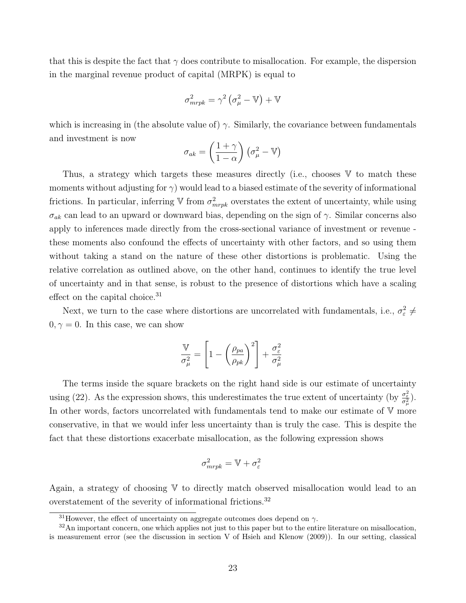that this is despite the fact that  $\gamma$  does contribute to misallocation. For example, the dispersion in the marginal revenue product of capital (MRPK) is equal to

$$
\sigma_{mrpk}^{2} = \gamma^{2} \left( \sigma_{\mu}^{2} - \mathbb{V} \right) + \mathbb{V}
$$

which is increasing in (the absolute value of)  $\gamma$ . Similarly, the covariance between fundamentals and investment is now

$$
\sigma_{ak} = \left(\frac{1+\gamma}{1-\alpha}\right) \left(\sigma_{\mu}^2 - \mathbb{V}\right)
$$

Thus, a strategy which targets these measures directly (i.e., chooses  $V$  to match these moments without adjusting for  $\gamma$ ) would lead to a biased estimate of the severity of informational frictions. In particular, inferring  $\mathbb V$  from  $\sigma_{mrpk}^2$  overstates the extent of uncertainty, while using  $\sigma_{ak}$  can lead to an upward or downward bias, depending on the sign of  $\gamma$ . Similar concerns also apply to inferences made directly from the cross-sectional variance of investment or revenue these moments also confound the effects of uncertainty with other factors, and so using them without taking a stand on the nature of these other distortions is problematic. Using the relative correlation as outlined above, on the other hand, continues to identify the true level of uncertainty and in that sense, is robust to the presence of distortions which have a scaling effect on the capital choice.<sup>31</sup>

Next, we turn to the case where distortions are uncorrelated with fundamentals, i.e.,  $\sigma_{\varepsilon}^2 \neq$  $0, \gamma = 0$ . In this case, we can show

$$
\frac{\mathbb{V}}{\sigma_{\mu}^{2}} = \left[1 - \left(\frac{\rho_{pa}}{\rho_{pk}}\right)^{2}\right] + \frac{\sigma_{\varepsilon}^{2}}{\sigma_{\mu}^{2}}
$$

The terms inside the square brackets on the right hand side is our estimate of uncertainty using (22). As the expression shows, this underestimates the true extent of uncertainty (by  $\frac{\sigma_{\varepsilon}^2}{\sigma_{\mu}^2}$ ). In other words, factors uncorrelated with fundamentals tend to make our estimate of V more conservative, in that we would infer less uncertainty than is truly the case. This is despite the fact that these distortions exacerbate misallocation, as the following expression shows

$$
\sigma_{mrpk}^2 = \mathbb{V} + \sigma_{\varepsilon}^2
$$

Again, a strategy of choosing V to directly match observed misallocation would lead to an overstatement of the severity of informational frictions.<sup>32</sup>

<sup>&</sup>lt;sup>31</sup>However, the effect of uncertainty on aggregate outcomes does depend on  $\gamma$ .

 $32$ An important concern, one which applies not just to this paper but to the entire literature on misallocation, is measurement error (see the discussion in section V of Hsieh and Klenow (2009)). In our setting, classical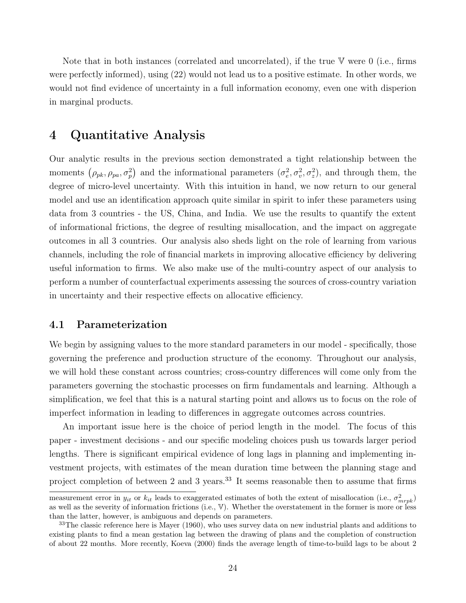Note that in both instances (correlated and uncorrelated), if the true  $V$  were 0 (i.e., firms were perfectly informed), using (22) would not lead us to a positive estimate. In other words, we would not find evidence of uncertainty in a full information economy, even one with disperion in marginal products.

## 4 Quantitative Analysis

Our analytic results in the previous section demonstrated a tight relationship between the moments  $(\rho_{pk}, \rho_{pa}, \sigma_p^2)$  and the informational parameters  $(\sigma_e^2, \sigma_v^2, \sigma_z^2)$ , and through them, the degree of micro-level uncertainty. With this intuition in hand, we now return to our general model and use an identification approach quite similar in spirit to infer these parameters using data from 3 countries - the US, China, and India. We use the results to quantify the extent of informational frictions, the degree of resulting misallocation, and the impact on aggregate outcomes in all 3 countries. Our analysis also sheds light on the role of learning from various channels, including the role of financial markets in improving allocative efficiency by delivering useful information to firms. We also make use of the multi-country aspect of our analysis to perform a number of counterfactual experiments assessing the sources of cross-country variation in uncertainty and their respective effects on allocative efficiency.

#### 4.1 Parameterization

We begin by assigning values to the more standard parameters in our model - specifically, those governing the preference and production structure of the economy. Throughout our analysis, we will hold these constant across countries; cross-country differences will come only from the parameters governing the stochastic processes on firm fundamentals and learning. Although a simplification, we feel that this is a natural starting point and allows us to focus on the role of imperfect information in leading to differences in aggregate outcomes across countries.

An important issue here is the choice of period length in the model. The focus of this paper - investment decisions - and our specific modeling choices push us towards larger period lengths. There is significant empirical evidence of long lags in planning and implementing investment projects, with estimates of the mean duration time between the planning stage and project completion of between 2 and 3 years.<sup>33</sup> It seems reasonable then to assume that firms

measurement error in  $y_{it}$  or  $k_{it}$  leads to exaggerated estimates of both the extent of misallocation (i.e.,  $\sigma_{mrpk}^2$ ) as well as the severity of information frictions (i.e., V). Whether the overstatement in the former is more or less than the latter, however, is ambiguous and depends on parameters.

 $33$ The classic reference here is Mayer (1960), who uses survey data on new industrial plants and additions to existing plants to find a mean gestation lag between the drawing of plans and the completion of construction of about 22 months. More recently, Koeva (2000) finds the average length of time-to-build lags to be about 2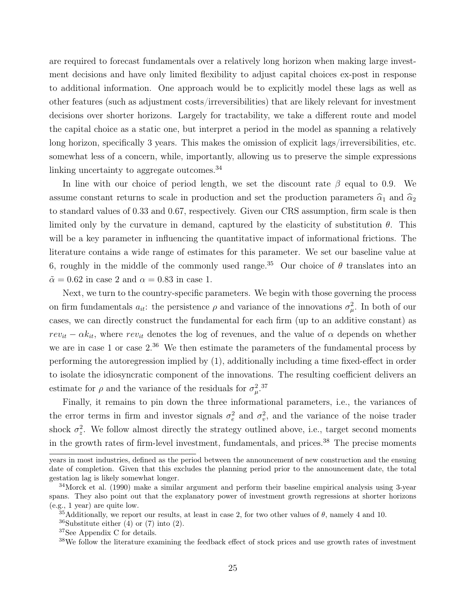are required to forecast fundamentals over a relatively long horizon when making large investment decisions and have only limited flexibility to adjust capital choices ex-post in response to additional information. One approach would be to explicitly model these lags as well as other features (such as adjustment costs/irreversibilities) that are likely relevant for investment decisions over shorter horizons. Largely for tractability, we take a different route and model the capital choice as a static one, but interpret a period in the model as spanning a relatively long horizon, specifically 3 years. This makes the omission of explicit lags/irreversibilities, etc. somewhat less of a concern, while, importantly, allowing us to preserve the simple expressions linking uncertainty to aggregate outcomes.<sup>34</sup>

In line with our choice of period length, we set the discount rate  $\beta$  equal to 0.9. We assume constant returns to scale in production and set the production parameters  $\hat{\alpha}_1$  and  $\hat{\alpha}_2$ to standard values of 0.33 and 0.67, respectively. Given our CRS assumption, firm scale is then limited only by the curvature in demand, captured by the elasticity of substitution  $\theta$ . This will be a key parameter in influencing the quantitative impact of informational frictions. The literature contains a wide range of estimates for this parameter. We set our baseline value at 6, roughly in the middle of the commonly used range.<sup>35</sup> Our choice of  $\theta$  translates into an  $\tilde{\alpha} = 0.62$  in case 2 and  $\alpha = 0.83$  in case 1.

Next, we turn to the country-specific parameters. We begin with those governing the process on firm fundamentals  $a_{it}$ : the persistence  $\rho$  and variance of the innovations  $\sigma_{\mu}^2$ . In both of our cases, we can directly construct the fundamental for each firm (up to an additive constant) as  $rev_{it} - \alpha k_{it}$ , where  $rev_{it}$  denotes the log of revenues, and the value of  $\alpha$  depends on whether we are in case 1 or case  $2^{36}$  We then estimate the parameters of the fundamental process by performing the autoregression implied by (1), additionally including a time fixed-effect in order to isolate the idiosyncratic component of the innovations. The resulting coefficient delivers an estimate for  $\rho$  and the variance of the residuals for  $\sigma_{\mu}^2$ .<sup>37</sup>

Finally, it remains to pin down the three informational parameters, i.e., the variances of the error terms in firm and investor signals  $\sigma_e^2$  and  $\sigma_v^2$ , and the variance of the noise trader shock  $\sigma_z^2$ . We follow almost directly the strategy outlined above, i.e., target second moments in the growth rates of firm-level investment, fundamentals, and prices.<sup>38</sup> The precise moments

years in most industries, defined as the period between the announcement of new construction and the ensuing date of completion. Given that this excludes the planning period prior to the announcement date, the total gestation lag is likely somewhat longer.

<sup>34</sup>Morck et al. (1990) make a similar argument and perform their baseline empirical analysis using 3-year spans. They also point out that the explanatory power of investment growth regressions at shorter horizons (e.g., 1 year) are quite low.

<sup>&</sup>lt;sup>35</sup>Additionally, we report our results, at least in case 2, for two other values of  $\theta$ , namely 4 and 10.

 $36$ Substitute either (4) or (7) into (2).

<sup>&</sup>lt;sup>37</sup>See Appendix C for details.

<sup>&</sup>lt;sup>38</sup>We follow the literature examining the feedback effect of stock prices and use growth rates of investment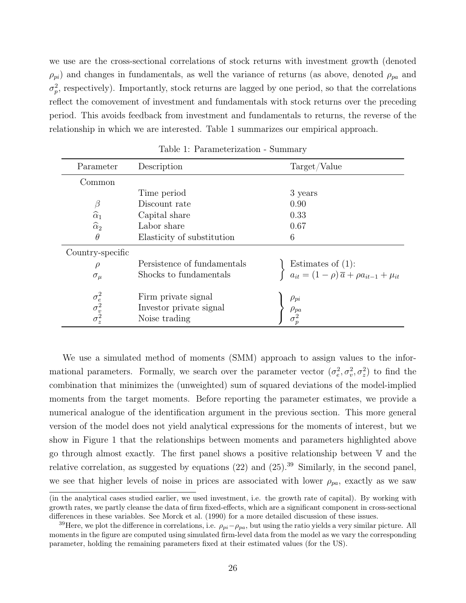we use are the cross-sectional correlations of stock returns with investment growth (denoted  $\rho_{pi}$ ) and changes in fundamentals, as well the variance of returns (as above, denoted  $\rho_{pa}$  and  $\sigma_p^2$ , respectively). Importantly, stock returns are lagged by one period, so that the correlations reflect the comovement of investment and fundamentals with stock returns over the preceding period. This avoids feedback from investment and fundamentals to returns, the reverse of the relationship in which we are interested. Table 1 summarizes our empirical approach.

| Parameter                                                             | Description                                                     | Target/Value                                                                       |
|-----------------------------------------------------------------------|-----------------------------------------------------------------|------------------------------------------------------------------------------------|
| Common                                                                |                                                                 |                                                                                    |
|                                                                       | Time period                                                     | 3 years                                                                            |
|                                                                       | Discount rate                                                   | 0.90                                                                               |
| $\widehat{\alpha}_1$                                                  | Capital share                                                   | 0.33                                                                               |
| $\widehat{\alpha}_2$                                                  | Labor share                                                     | 0.67                                                                               |
| $\theta$                                                              | Elasticity of substitution                                      | 6                                                                                  |
| Country-specific                                                      |                                                                 |                                                                                    |
| $\rho$                                                                | Persistence of fundamentals                                     |                                                                                    |
| $\sigma_{\mu}$                                                        | Shocks to fundamentals                                          | Estimates of (1):<br>$a_{it} = (1 - \rho) \overline{a} + \rho a_{it-1} + \mu_{it}$ |
| $\begin{array}{c} \sigma_e^2 \\ \sigma_v^2 \\ \sigma_z^2 \end{array}$ | Firm private signal<br>Investor private signal<br>Noise trading | $\rho_{pi}$<br>$\rho_{pa}$<br>$\sigma_p^2$                                         |

Table 1: Parameterization - Summary

We use a simulated method of moments (SMM) approach to assign values to the informational parameters. Formally, we search over the parameter vector  $(\sigma_e^2, \sigma_v^2, \sigma_z^2)$  to find the combination that minimizes the (unweighted) sum of squared deviations of the model-implied moments from the target moments. Before reporting the parameter estimates, we provide a numerical analogue of the identification argument in the previous section. This more general version of the model does not yield analytical expressions for the moments of interest, but we show in Figure 1 that the relationships between moments and parameters highlighted above go through almost exactly. The first panel shows a positive relationship between V and the relative correlation, as suggested by equations  $(22)$  and  $(25)$ .<sup>39</sup> Similarly, in the second panel, we see that higher levels of noise in prices are associated with lower  $\rho_{pa}$ , exactly as we saw

<sup>(</sup>in the analytical cases studied earlier, we used investment, i.e. the growth rate of capital). By working with growth rates, we partly cleanse the data of firm fixed-effects, which are a significant component in cross-sectional differences in these variables. See Morck et al. (1990) for a more detailed discussion of these issues.

<sup>&</sup>lt;sup>39</sup>Here, we plot the difference in correlations, i.e.  $\rho_{pi}-\rho_{pa}$ , but using the ratio yields a very similar picture. All moments in the figure are computed using simulated firm-level data from the model as we vary the corresponding parameter, holding the remaining parameters fixed at their estimated values (for the US).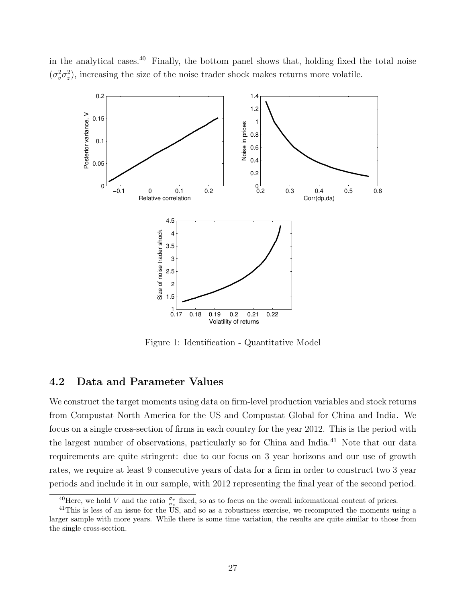in the analytical cases.<sup>40</sup> Finally, the bottom panel shows that, holding fixed the total noise  $(\sigma_v^2 \sigma_z^2)$ , increasing the size of the noise trader shock makes returns more volatile.



Figure 1: Identification - Quantitative Model

#### 4.2 Data and Parameter Values

We construct the target moments using data on firm-level production variables and stock returns from Compustat North America for the US and Compustat Global for China and India. We focus on a single cross-section of firms in each country for the year 2012. This is the period with the largest number of observations, particularly so for China and India.<sup>41</sup> Note that our data requirements are quite stringent: due to our focus on 3 year horizons and our use of growth rates, we require at least 9 consecutive years of data for a firm in order to construct two 3 year periods and include it in our sample, with 2012 representing the final year of the second period.

<sup>&</sup>lt;sup>40</sup>Here, we hold V and the ratio  $\frac{\sigma_v}{\sigma_z}$  fixed, so as to focus on the overall informational content of prices.

 $^{41}$ This is less of an issue for the US, and so as a robustness exercise, we recomputed the moments using a larger sample with more years. While there is some time variation, the results are quite similar to those from the single cross-section.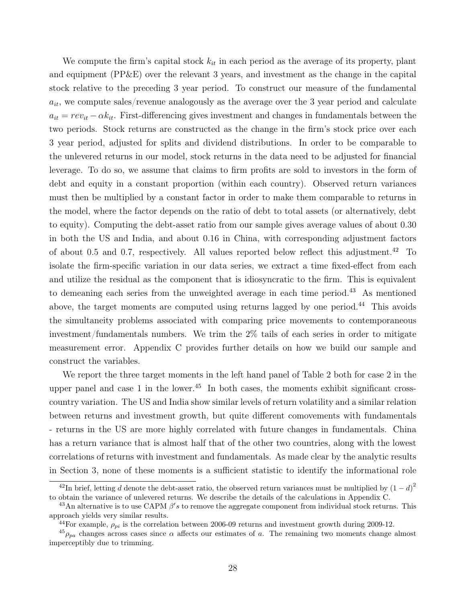We compute the firm's capital stock  $k_{it}$  in each period as the average of its property, plant and equipment (PP&E) over the relevant 3 years, and investment as the change in the capital stock relative to the preceding 3 year period. To construct our measure of the fundamental  $a_{it}$ , we compute sales/revenue analogously as the average over the 3 year period and calculate  $a_{it} = rev_{it} - \alpha k_{it}$ . First-differencing gives investment and changes in fundamentals between the two periods. Stock returns are constructed as the change in the firm's stock price over each 3 year period, adjusted for splits and dividend distributions. In order to be comparable to the unlevered returns in our model, stock returns in the data need to be adjusted for financial leverage. To do so, we assume that claims to firm profits are sold to investors in the form of debt and equity in a constant proportion (within each country). Observed return variances must then be multiplied by a constant factor in order to make them comparable to returns in the model, where the factor depends on the ratio of debt to total assets (or alternatively, debt to equity). Computing the debt-asset ratio from our sample gives average values of about 0.30 in both the US and India, and about 0.16 in China, with corresponding adjustment factors of about 0.5 and 0.7, respectively. All values reported below reflect this adjustment.<sup>42</sup> To isolate the firm-specific variation in our data series, we extract a time fixed-effect from each and utilize the residual as the component that is idiosyncratic to the firm. This is equivalent to demeaning each series from the unweighted average in each time period.<sup>43</sup> As mentioned above, the target moments are computed using returns lagged by one period.<sup>44</sup> This avoids the simultaneity problems associated with comparing price movements to contemporaneous investment/fundamentals numbers. We trim the 2% tails of each series in order to mitigate measurement error. Appendix C provides further details on how we build our sample and construct the variables.

We report the three target moments in the left hand panel of Table 2 both for case 2 in the upper panel and case 1 in the lower. $45$  In both cases, the moments exhibit significant crosscountry variation. The US and India show similar levels of return volatility and a similar relation between returns and investment growth, but quite different comovements with fundamentals - returns in the US are more highly correlated with future changes in fundamentals. China has a return variance that is almost half that of the other two countries, along with the lowest correlations of returns with investment and fundamentals. As made clear by the analytic results in Section 3, none of these moments is a sufficient statistic to identify the informational role

<sup>&</sup>lt;sup>42</sup>In brief, letting d denote the debt-asset ratio, the observed return variances must be multiplied by  $(1-d)^2$ to obtain the variance of unlevered returns. We describe the details of the calculations in Appendix C.

<sup>&</sup>lt;sup>43</sup>An alternative is to use CAPM  $\beta's$  to remove the aggregate component from individual stock returns. This approach yields very similar results.

<sup>&</sup>lt;sup>44</sup>For example,  $\rho_{pi}$  is the correlation between 2006-09 returns and investment growth during 2009-12.

 $^{45}\rho_{pa}$  changes across cases since  $\alpha$  affects our estimates of a. The remaining two moments change almost imperceptibly due to trimming.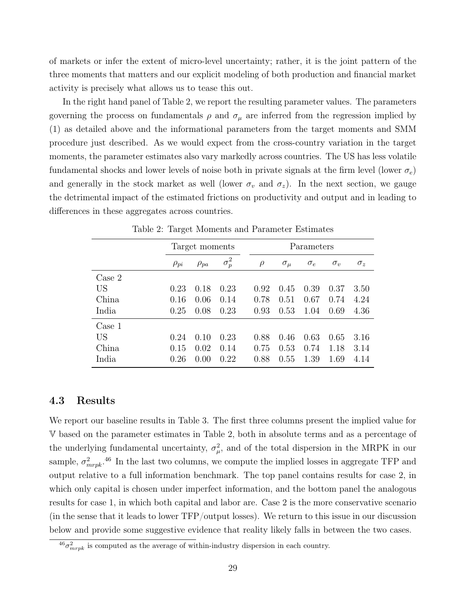of markets or infer the extent of micro-level uncertainty; rather, it is the joint pattern of the three moments that matters and our explicit modeling of both production and financial market activity is precisely what allows us to tease this out.

In the right hand panel of Table 2, we report the resulting parameter values. The parameters governing the process on fundamentals  $\rho$  and  $\sigma_{\mu}$  are inferred from the regression implied by (1) as detailed above and the informational parameters from the target moments and SMM procedure just described. As we would expect from the cross-country variation in the target moments, the parameter estimates also vary markedly across countries. The US has less volatile fundamental shocks and lower levels of noise both in private signals at the firm level (lower  $\sigma_e$ ) and generally in the stock market as well (lower  $\sigma_v$  and  $\sigma_z$ ). In the next section, we gauge the detrimental impact of the estimated frictions on productivity and output and in leading to differences in these aggregates across countries.

|                 |             | Target moments |              |  | Parameters |                |            |            |            |  |
|-----------------|-------------|----------------|--------------|--|------------|----------------|------------|------------|------------|--|
|                 | $\rho_{pi}$ | $\rho_{pa}$    | $\sigma_p^2$ |  | $\rho$     | $\sigma_{\mu}$ | $\sigma_e$ | $\sigma_v$ | $\sigma_z$ |  |
| Case 2          |             |                |              |  |            |                |            |            |            |  |
| <b>US</b>       | 0.23        | 0.18           | 0.23         |  | 0.92       | 0.45           | 0.39       | 0.37       | 3.50       |  |
| China           | 0.16        | 0.06           | 0.14         |  | 0.78       | 0.51           | 0.67       | 0.74       | 4.24       |  |
| India           | 0.25        | 0.08           | 0.23         |  | 0.93       | 0.53           | 1.04       | 0.69       | 4.36       |  |
| $\text{Case} 1$ |             |                |              |  |            |                |            |            |            |  |
| US              | 0.24        | 0.10           | 0.23         |  | 0.88       | 0.46           | 0.63       | 0.65       | 3.16       |  |
| China           | 0.15        | 0.02           | 0.14         |  | 0.75       | 0.53           | 0.74       | 1.18       | 3.14       |  |
| India           | 0.26        | 0.00           | 0.22         |  | 0.88       | 0.55           | 1.39       | 1.69       | 4.14       |  |

Table 2: Target Moments and Parameter Estimates

#### 4.3 Results

We report our baseline results in Table 3. The first three columns present the implied value for V based on the parameter estimates in Table 2, both in absolute terms and as a percentage of the underlying fundamental uncertainty,  $\sigma_{\mu}^2$ , and of the total dispersion in the MRPK in our sample,  $\sigma_{mrpk}^2$ <sup>46</sup> In the last two columns, we compute the implied losses in aggregate TFP and output relative to a full information benchmark. The top panel contains results for case 2, in which only capital is chosen under imperfect information, and the bottom panel the analogous results for case 1, in which both capital and labor are. Case 2 is the more conservative scenario (in the sense that it leads to lower TFP/output losses). We return to this issue in our discussion below and provide some suggestive evidence that reality likely falls in between the two cases.

 $^{46}\sigma_{mrpk}^2$  is computed as the average of within-industry dispersion in each country.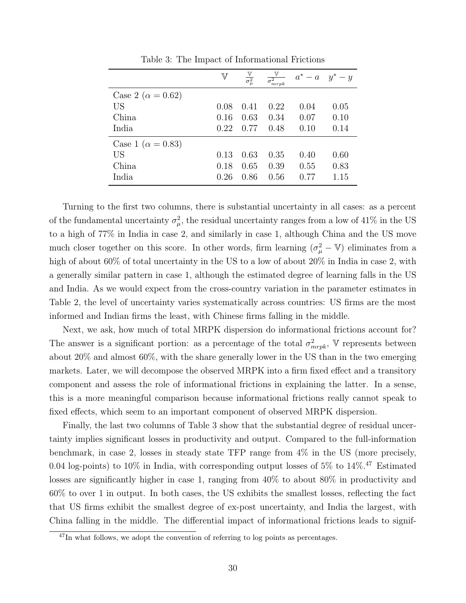|                            | $\mathbb {V}$ | $\frac{\mathbb{V}}{\sigma^2_{\mu}}$ | $\frac{1}{\sigma^2}$<br>mrpk | $a^* - a$ $y^* - y$ |      |
|----------------------------|---------------|-------------------------------------|------------------------------|---------------------|------|
| Case 2 ( $\alpha = 0.62$ ) |               |                                     |                              |                     |      |
| US                         | 0.08          | 0.41                                | 0.22                         | 0.04                | 0.05 |
| China                      | 0.16          | 0.63                                | 0.34                         | 0.07                | 0.10 |
| India                      | 0.22          | 0.77                                | 0.48                         | 0.10                | 0.14 |
| Case 1 ( $\alpha = 0.83$ ) |               |                                     |                              |                     |      |
| <b>US</b>                  | 0.13          | 0.63                                | 0.35                         | 0.40                | 0.60 |
| China                      | 0.18          | 0.65                                | 0.39                         | 0.55                | 0.83 |
| India                      | 0.26          | 0.86                                | 0.56                         | 0.77                | 1.15 |

Table 3: The Impact of Informational Frictions

Turning to the first two columns, there is substantial uncertainty in all cases: as a percent of the fundamental uncertainty  $\sigma_{\mu}^2$ , the residual uncertainty ranges from a low of 41% in the US to a high of 77% in India in case 2, and similarly in case 1, although China and the US move much closer together on this score. In other words, firm learning  $(\sigma_{\mu}^2 - V)$  eliminates from a high of about 60% of total uncertainty in the US to a low of about 20% in India in case 2, with a generally similar pattern in case 1, although the estimated degree of learning falls in the US and India. As we would expect from the cross-country variation in the parameter estimates in Table 2, the level of uncertainty varies systematically across countries: US firms are the most informed and Indian firms the least, with Chinese firms falling in the middle.

Next, we ask, how much of total MRPK dispersion do informational frictions account for? The answer is a significant portion: as a percentage of the total  $\sigma_{mrpk}^2$ , V represents between about 20% and almost 60%, with the share generally lower in the US than in the two emerging markets. Later, we will decompose the observed MRPK into a firm fixed effect and a transitory component and assess the role of informational frictions in explaining the latter. In a sense, this is a more meaningful comparison because informational frictions really cannot speak to fixed effects, which seem to an important component of observed MRPK dispersion.

Finally, the last two columns of Table 3 show that the substantial degree of residual uncertainty implies significant losses in productivity and output. Compared to the full-information benchmark, in case 2, losses in steady state TFP range from 4% in the US (more precisely, 0.04 log-points) to 10% in India, with corresponding output losses of 5% to 14%.<sup>47</sup> Estimated losses are significantly higher in case 1, ranging from 40% to about 80% in productivity and 60% to over 1 in output. In both cases, the US exhibits the smallest losses, reflecting the fact that US firms exhibit the smallest degree of ex-post uncertainty, and India the largest, with China falling in the middle. The differential impact of informational frictions leads to signif-

 $^{47}$ In what follows, we adopt the convention of referring to log points as percentages.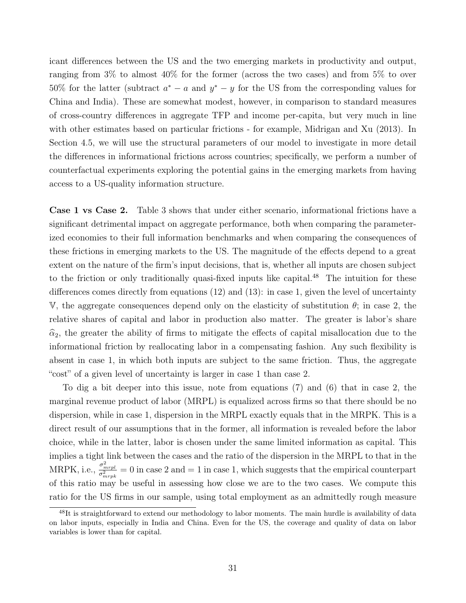icant differences between the US and the two emerging markets in productivity and output, ranging from 3% to almost 40% for the former (across the two cases) and from 5% to over 50% for the latter (subtract  $a^* - a$  and  $y^* - y$  for the US from the corresponding values for China and India). These are somewhat modest, however, in comparison to standard measures of cross-country differences in aggregate TFP and income per-capita, but very much in line with other estimates based on particular frictions - for example, Midrigan and Xu (2013). In Section 4.5, we will use the structural parameters of our model to investigate in more detail the differences in informational frictions across countries; specifically, we perform a number of counterfactual experiments exploring the potential gains in the emerging markets from having access to a US-quality information structure.

Case 1 vs Case 2. Table 3 shows that under either scenario, informational frictions have a significant detrimental impact on aggregate performance, both when comparing the parameterized economies to their full information benchmarks and when comparing the consequences of these frictions in emerging markets to the US. The magnitude of the effects depend to a great extent on the nature of the firm's input decisions, that is, whether all inputs are chosen subject to the friction or only traditionally quasi-fixed inputs like capital. $48$  The intuition for these differences comes directly from equations (12) and (13): in case 1, given the level of uncertainty V, the aggregate consequences depend only on the elasticity of substitution  $\theta$ ; in case 2, the relative shares of capital and labor in production also matter. The greater is labor's share  $\hat{\alpha}_2$ , the greater the ability of firms to mitigate the effects of capital misallocation due to the informational friction by reallocating labor in a compensating fashion. Any such flexibility is absent in case 1, in which both inputs are subject to the same friction. Thus, the aggregate "cost" of a given level of uncertainty is larger in case 1 than case 2.

To dig a bit deeper into this issue, note from equations (7) and (6) that in case 2, the marginal revenue product of labor (MRPL) is equalized across firms so that there should be no dispersion, while in case 1, dispersion in the MRPL exactly equals that in the MRPK. This is a direct result of our assumptions that in the former, all information is revealed before the labor choice, while in the latter, labor is chosen under the same limited information as capital. This implies a tight link between the cases and the ratio of the dispersion in the MRPL to that in the MRPK, i.e.,  $\frac{\sigma_{m r p l}^2}{\sigma_{m r p k}^2} = 0$  in case 2 and = 1 in case 1, which suggests that the empirical counterpart of this ratio may be useful in assessing how close we are to the two cases. We compute this ratio for the US firms in our sample, using total employment as an admittedly rough measure

<sup>&</sup>lt;sup>48</sup>It is straightforward to extend our methodology to labor moments. The main hurdle is availability of data on labor inputs, especially in India and China. Even for the US, the coverage and quality of data on labor variables is lower than for capital.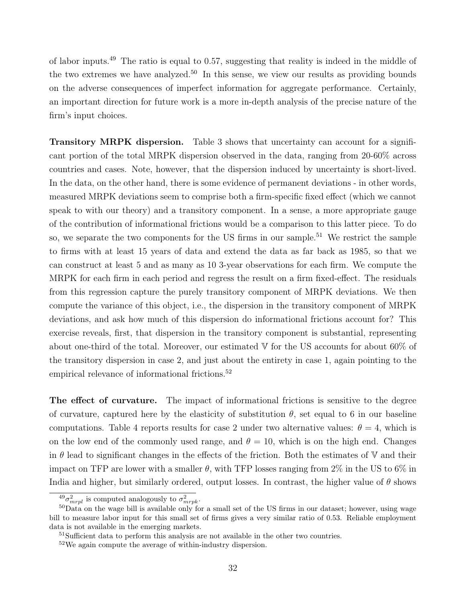of labor inputs.<sup>49</sup> The ratio is equal to 0.57, suggesting that reality is indeed in the middle of the two extremes we have analyzed.<sup>50</sup> In this sense, we view our results as providing bounds on the adverse consequences of imperfect information for aggregate performance. Certainly, an important direction for future work is a more in-depth analysis of the precise nature of the firm's input choices.

Transitory MRPK dispersion. Table 3 shows that uncertainty can account for a significant portion of the total MRPK dispersion observed in the data, ranging from 20-60% across countries and cases. Note, however, that the dispersion induced by uncertainty is short-lived. In the data, on the other hand, there is some evidence of permanent deviations - in other words, measured MRPK deviations seem to comprise both a firm-specific fixed effect (which we cannot speak to with our theory) and a transitory component. In a sense, a more appropriate gauge of the contribution of informational frictions would be a comparison to this latter piece. To do so, we separate the two components for the US firms in our sample.<sup>51</sup> We restrict the sample to firms with at least 15 years of data and extend the data as far back as 1985, so that we can construct at least 5 and as many as 10 3-year observations for each firm. We compute the MRPK for each firm in each period and regress the result on a firm fixed-effect. The residuals from this regression capture the purely transitory component of MRPK deviations. We then compute the variance of this object, i.e., the dispersion in the transitory component of MRPK deviations, and ask how much of this dispersion do informational frictions account for? This exercise reveals, first, that dispersion in the transitory component is substantial, representing about one-third of the total. Moreover, our estimated V for the US accounts for about 60% of the transitory dispersion in case 2, and just about the entirety in case 1, again pointing to the empirical relevance of informational frictions.<sup>52</sup>

The effect of curvature. The impact of informational frictions is sensitive to the degree of curvature, captured here by the elasticity of substitution  $\theta$ , set equal to 6 in our baseline computations. Table 4 reports results for case 2 under two alternative values:  $\theta = 4$ , which is on the low end of the commonly used range, and  $\theta = 10$ , which is on the high end. Changes in  $\theta$  lead to significant changes in the effects of the friction. Both the estimates of V and their impact on TFP are lower with a smaller  $\theta$ , with TFP losses ranging from 2% in the US to 6% in India and higher, but similarly ordered, output losses. In contrast, the higher value of  $\theta$  shows

 $^{49}\sigma_{mrpl}^2$  is computed analogously to  $\sigma_{mrpk}^2$ .

 $50\,\text{Data}$  on the wage bill is available only for a small set of the US firms in our dataset; however, using wage bill to measure labor input for this small set of firms gives a very similar ratio of 0.53. Reliable employment data is not available in the emerging markets.

<sup>&</sup>lt;sup>51</sup>Sufficient data to perform this analysis are not available in the other two countries.

<sup>52</sup>We again compute the average of within-industry dispersion.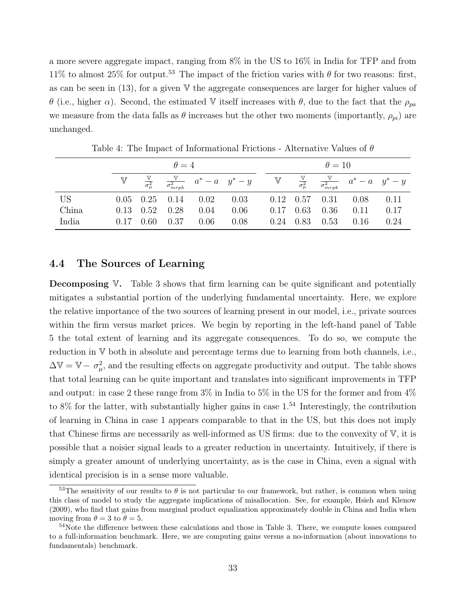a more severe aggregate impact, ranging from 8% in the US to 16% in India for TFP and from 11% to almost 25% for output.<sup>53</sup> The impact of the friction varies with  $\theta$  for two reasons: first, as can be seen in  $(13)$ , for a given  $V$  the aggregate consequences are larger for higher values of θ (i.e., higher α). Second, the estimated V itself increases with θ, due to the fact that the  $ρ_{pa}$ we measure from the data falls as  $\theta$  increases but the other two moments (importantly,  $\rho_{pi}$ ) are unchanged.

|                |      | $\theta = 4$ |                             |      |                                                                                                                                                                                                                                                                  |  | $\theta = 10$ |      |                              |      |      |  |
|----------------|------|--------------|-----------------------------|------|------------------------------------------------------------------------------------------------------------------------------------------------------------------------------------------------------------------------------------------------------------------|--|---------------|------|------------------------------|------|------|--|
|                |      |              |                             |      | $\mathbb{V} \qquad \frac{\mathbb{V}}{\sigma_{\mu}^2} \quad \frac{\mathbb{V}}{\sigma_{m r p k}^2} \quad a^* - a \quad y^* - y \qquad \mathbb{V} \qquad \frac{\mathbb{V}}{\sigma_{\mu}^2} \quad \frac{\mathbb{V}}{\sigma_{m r p k}^2} \quad a^* - a \quad y^* - y$ |  |               |      |                              |      |      |  |
| US <sub></sub> |      |              | $0.05$ $0.25$ $0.14$ $0.02$ |      | 0.03                                                                                                                                                                                                                                                             |  |               |      | $0.12 \quad 0.57 \quad 0.31$ | 0.08 | 0.11 |  |
| China          | 0.13 | 0.52         | 0.28                        | 0.04 | 0.06                                                                                                                                                                                                                                                             |  | 0.17          | 0.63 | 0.36                         | 0.11 | 0.17 |  |
| India          | 0.17 | 0.60         | 0.37                        | 0.06 | 0.08                                                                                                                                                                                                                                                             |  | 0.24          | 0.83 | 0.53                         | 0.16 | 0.24 |  |

Table 4: The Impact of Informational Frictions - Alternative Values of θ

#### 4.4 The Sources of Learning

Decomposing V. Table 3 shows that firm learning can be quite significant and potentially mitigates a substantial portion of the underlying fundamental uncertainty. Here, we explore the relative importance of the two sources of learning present in our model, i.e., private sources within the firm versus market prices. We begin by reporting in the left-hand panel of Table 5 the total extent of learning and its aggregate consequences. To do so, we compute the reduction in V both in absolute and percentage terms due to learning from both channels, i.e.,  $\Delta V = V - \sigma_{\mu}^2$ , and the resulting effects on aggregate productivity and output. The table shows that total learning can be quite important and translates into significant improvements in TFP and output: in case 2 these range from  $3\%$  in India to  $5\%$  in the US for the former and from  $4\%$ to  $8\%$  for the latter, with substantially higher gains in case  $1<sup>54</sup>$  Interestingly, the contribution of learning in China in case 1 appears comparable to that in the US, but this does not imply that Chinese firms are necessarily as well-informed as US firms: due to the convexity of V, it is possible that a noisier signal leads to a greater reduction in uncertainty. Intuitively, if there is simply a greater amount of underlying uncertainty, as is the case in China, even a signal with identical precision is in a sense more valuable.

<sup>&</sup>lt;sup>53</sup>The sensitivity of our results to  $\theta$  is not particular to our framework, but rather, is common when using this class of model to study the aggregate implications of misallocation. See, for example, Hsieh and Klenow (2009), who find that gains from marginal product equalization approximately double in China and India when moving from  $\theta = 3$  to  $\theta = 5$ .

<sup>&</sup>lt;sup>54</sup>Note the difference between these calculations and those in Table 3. There, we compute losses compared to a full-information benchmark. Here, we are computing gains versus a no-information (about innovations to fundamentals) benchmark.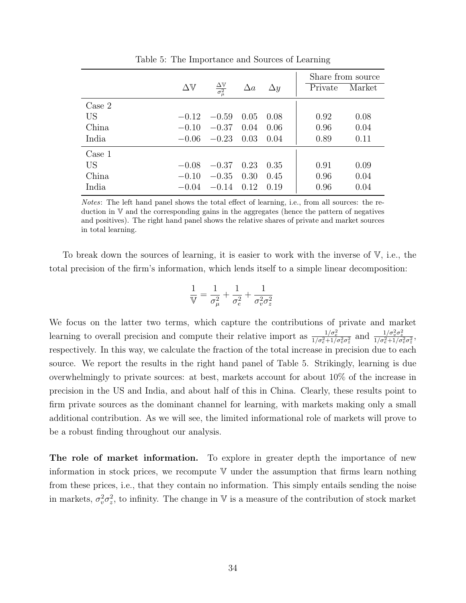|           |                     |                                 |            |            | Share from source |        |
|-----------|---------------------|---------------------------------|------------|------------|-------------------|--------|
|           | $\Delta \mathbb{V}$ | $\frac{\Delta V}{\sigma_\mu^2}$ | $\Delta a$ | $\Delta y$ | Private           | Market |
| Case 2    |                     |                                 |            |            |                   |        |
| <b>US</b> | $-0.12$             | $-0.59$                         | 0.05       | 0.08       | 0.92              | 0.08   |
| China     | $-0.10$             | $-0.37$                         | 0.04       | 0.06       | 0.96              | 0.04   |
| India     | $-0.06$             | $-0.23$                         | 0.03       | 0.04       | 0.89              | 0.11   |
| Case 1    |                     |                                 |            |            |                   |        |
| <b>US</b> | $-0.08$             | $-0.37$                         | 0.23       | 0.35       | 0.91              | 0.09   |
| China     | $-0.10$             | $-0.35$                         | 0.30       | 0.45       | 0.96              | 0.04   |
| India     | $-0.04$             | $-0.14$                         | 0.12       | 0.19       | 0.96              | 0.04   |

Table 5: The Importance and Sources of Learning

Notes: The left hand panel shows the total effect of learning, i.e., from all sources: the reduction in V and the corresponding gains in the aggregates (hence the pattern of negatives and positives). The right hand panel shows the relative shares of private and market sources in total learning.

To break down the sources of learning, it is easier to work with the inverse of V, i.e., the total precision of the firm's information, which lends itself to a simple linear decomposition:

$$
\frac{1}{\mathbb{V}}=\frac{1}{\sigma_{\mu}^2}+\frac{1}{\sigma_{e}^2}+\frac{1}{\sigma_{v}^2\sigma_{z}^2}
$$

We focus on the latter two terms, which capture the contributions of private and market learning to overall precision and compute their relative import as  $\frac{1/\sigma_e^2}{1/\sigma_e^2 + 1/\sigma_v^2 \sigma_z^2}$  and  $\frac{1/\sigma_v^2 \sigma_z^2}{1/\sigma_e^2 + 1/\sigma_v^2 \sigma_z^2}$ , respectively. In this way, we calculate the fraction of the total increase in precision due to each source. We report the results in the right hand panel of Table 5. Strikingly, learning is due overwhelmingly to private sources: at best, markets account for about 10% of the increase in precision in the US and India, and about half of this in China. Clearly, these results point to firm private sources as the dominant channel for learning, with markets making only a small additional contribution. As we will see, the limited informational role of markets will prove to be a robust finding throughout our analysis.

The role of market information. To explore in greater depth the importance of new information in stock prices, we recompute  $V$  under the assumption that firms learn nothing from these prices, i.e., that they contain no information. This simply entails sending the noise in markets,  $\sigma_v^2 \sigma_z^2$ , to infinity. The change in V is a measure of the contribution of stock market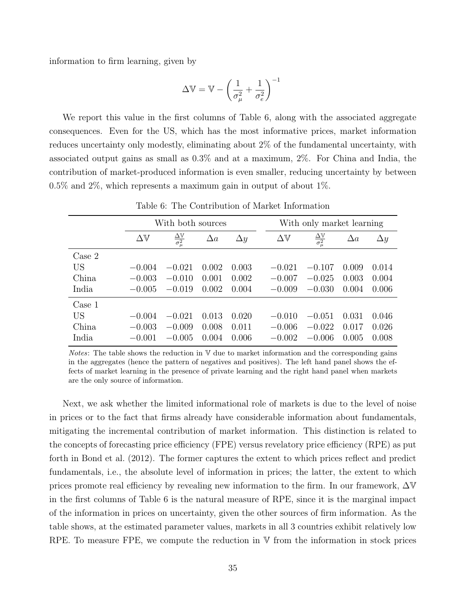information to firm learning, given by

$$
\Delta V = V - \left(\frac{1}{\sigma_{\mu}^2} + \frac{1}{\sigma_e^2}\right)^{-1}
$$

We report this value in the first columns of Table 6, along with the associated aggregate consequences. Even for the US, which has the most informative prices, market information reduces uncertainty only modestly, eliminating about 2% of the fundamental uncertainty, with associated output gains as small as 0.3% and at a maximum, 2%. For China and India, the contribution of market-produced information is even smaller, reducing uncertainty by between  $0.5\%$  and  $2\%$ , which represents a maximum gain in output of about  $1\%$ .

|           |                     | With both sources               |            |            | With only market learning |                                 |            |            |  |  |
|-----------|---------------------|---------------------------------|------------|------------|---------------------------|---------------------------------|------------|------------|--|--|
|           | $\Delta \mathbb{V}$ | $\frac{\Delta V}{\sigma_\mu^2}$ | $\Delta a$ | $\Delta y$ | $\Delta V$                | $\frac{\Delta V}{\sigma_\mu^2}$ | $\Delta a$ | $\Delta y$ |  |  |
| Case 2    |                     |                                 |            |            |                           |                                 |            |            |  |  |
| <b>US</b> | $-0.004$            | $-0.021$                        | 0.002      | 0.003      | $-0.021$                  | $-0.107$                        | 0.009      | 0.014      |  |  |
| China     | $-0.003$            | $-0.010$                        | 0.001      | 0.002      | $-0.007$                  | $-0.025$                        | 0.003      | 0.004      |  |  |
| India     | $-0.005$            | $-0.019$                        | 0.002      | 0.004      | $-0.009$                  | $-0.030$                        | 0.004      | 0.006      |  |  |
| Case 1    |                     |                                 |            |            |                           |                                 |            |            |  |  |
| <b>US</b> | $-0.004$            | $-0.021$                        | 0.013      | 0.020      | $-0.010$                  | $-0.051$                        | 0.031      | 0.046      |  |  |
| China     | $-0.003$            | $-0.009$                        | 0.008      | 0.011      | $-0.006$                  | $-0.022$                        | 0.017      | 0.026      |  |  |
| India     | $-0.001$            | $-0.005$                        | 0.004      | 0.006      | $-0.002$                  | $-0.006$                        | 0.005      | 0.008      |  |  |

Table 6: The Contribution of Market Information

*Notes*: The table shows the reduction in  $V$  due to market information and the corresponding gains in the aggregates (hence the pattern of negatives and positives). The left hand panel shows the effects of market learning in the presence of private learning and the right hand panel when markets are the only source of information.

Next, we ask whether the limited informational role of markets is due to the level of noise in prices or to the fact that firms already have considerable information about fundamentals, mitigating the incremental contribution of market information. This distinction is related to the concepts of forecasting price efficiency (FPE) versus revelatory price efficiency (RPE) as put forth in Bond et al. (2012). The former captures the extent to which prices reflect and predict fundamentals, i.e., the absolute level of information in prices; the latter, the extent to which prices promote real efficiency by revealing new information to the firm. In our framework,  $\Delta V$ in the first columns of Table 6 is the natural measure of RPE, since it is the marginal impact of the information in prices on uncertainty, given the other sources of firm information. As the table shows, at the estimated parameter values, markets in all 3 countries exhibit relatively low RPE. To measure FPE, we compute the reduction in  $V$  from the information in stock prices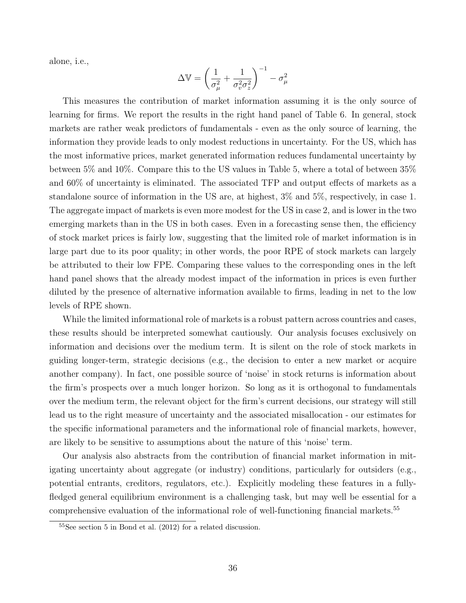alone, i.e.,

$$
\Delta V = \left(\frac{1}{\sigma_{\mu}^2} + \frac{1}{\sigma_v^2 \sigma_z^2}\right)^{-1} - \sigma_{\mu}^2
$$

This measures the contribution of market information assuming it is the only source of learning for firms. We report the results in the right hand panel of Table 6. In general, stock markets are rather weak predictors of fundamentals - even as the only source of learning, the information they provide leads to only modest reductions in uncertainty. For the US, which has the most informative prices, market generated information reduces fundamental uncertainty by between 5% and 10%. Compare this to the US values in Table 5, where a total of between 35% and 60% of uncertainty is eliminated. The associated TFP and output effects of markets as a standalone source of information in the US are, at highest, 3% and 5%, respectively, in case 1. The aggregate impact of markets is even more modest for the US in case 2, and is lower in the two emerging markets than in the US in both cases. Even in a forecasting sense then, the efficiency of stock market prices is fairly low, suggesting that the limited role of market information is in large part due to its poor quality; in other words, the poor RPE of stock markets can largely be attributed to their low FPE. Comparing these values to the corresponding ones in the left hand panel shows that the already modest impact of the information in prices is even further diluted by the presence of alternative information available to firms, leading in net to the low levels of RPE shown.

While the limited informational role of markets is a robust pattern across countries and cases, these results should be interpreted somewhat cautiously. Our analysis focuses exclusively on information and decisions over the medium term. It is silent on the role of stock markets in guiding longer-term, strategic decisions (e.g., the decision to enter a new market or acquire another company). In fact, one possible source of 'noise' in stock returns is information about the firm's prospects over a much longer horizon. So long as it is orthogonal to fundamentals over the medium term, the relevant object for the firm's current decisions, our strategy will still lead us to the right measure of uncertainty and the associated misallocation - our estimates for the specific informational parameters and the informational role of financial markets, however, are likely to be sensitive to assumptions about the nature of this 'noise' term.

Our analysis also abstracts from the contribution of financial market information in mitigating uncertainty about aggregate (or industry) conditions, particularly for outsiders (e.g., potential entrants, creditors, regulators, etc.). Explicitly modeling these features in a fullyfledged general equilibrium environment is a challenging task, but may well be essential for a comprehensive evaluation of the informational role of well-functioning financial markets.<sup>55</sup>

 $55$ See section 5 in Bond et al.  $(2012)$  for a related discussion.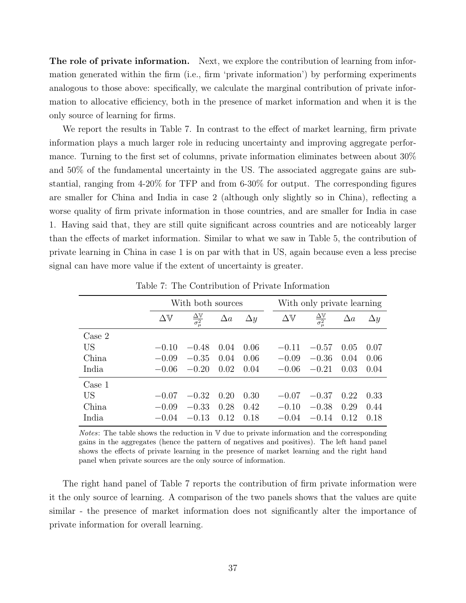The role of private information. Next, we explore the contribution of learning from information generated within the firm (i.e., firm 'private information') by performing experiments analogous to those above: specifically, we calculate the marginal contribution of private information to allocative efficiency, both in the presence of market information and when it is the only source of learning for firms.

We report the results in Table 7. In contrast to the effect of market learning, firm private information plays a much larger role in reducing uncertainty and improving aggregate performance. Turning to the first set of columns, private information eliminates between about 30% and 50% of the fundamental uncertainty in the US. The associated aggregate gains are substantial, ranging from 4-20% for TFP and from 6-30% for output. The corresponding figures are smaller for China and India in case 2 (although only slightly so in China), reflecting a worse quality of firm private information in those countries, and are smaller for India in case 1. Having said that, they are still quite significant across countries and are noticeably larger than the effects of market information. Similar to what we saw in Table 5, the contribution of private learning in China in case 1 is on par with that in US, again because even a less precise signal can have more value if the extent of uncertainty is greater.

|                 |            | With both sources               |            |            |  | With only private learning |                                 |            |            |  |  |
|-----------------|------------|---------------------------------|------------|------------|--|----------------------------|---------------------------------|------------|------------|--|--|
|                 | $\Delta V$ | $\frac{\Delta V}{\sigma_\mu^2}$ | $\Delta a$ | $\Delta y$ |  | $\Delta V$                 | $\frac{\Delta V}{\sigma_\mu^2}$ | $\Delta a$ | $\Delta y$ |  |  |
| Case 2          |            |                                 |            |            |  |                            |                                 |            |            |  |  |
| US <sup>-</sup> | $-0.10$    | $-0.48$                         | 0.04       | 0.06       |  | $-0.11$                    | $-0.57$                         | 0.05       | 0.07       |  |  |
| China           | $-0.09$    | $-0.35$                         | 0.04       | 0.06       |  | $-0.09$                    | $-0.36$                         | 0.04       | 0.06       |  |  |
| India           | $-0.06$    | $-0.20$                         | 0.02       | 0.04       |  | $-0.06$                    | $-0.21$                         | 0.03       | 0.04       |  |  |
| Case 1          |            |                                 |            |            |  |                            |                                 |            |            |  |  |
| US              | $-0.07$    | $-0.32$                         | 0.20       | 0.30       |  | $-0.07$                    | $-0.37$                         | 0.22       | 0.33       |  |  |
| China           | $-0.09$    | $-0.33$                         | 0.28       | 0.42       |  | $-0.10$                    | $-0.38$                         | 0.29       | 0.44       |  |  |
| India           | $-0.04$    | $-0.13$                         | 0.12       | 0.18       |  | $-0.04$                    | $-0.14$                         | 0.12       | 0.18       |  |  |
|                 |            |                                 |            |            |  |                            |                                 |            |            |  |  |

Table 7: The Contribution of Private Information

*Notes*: The table shows the reduction in  $\nabla$  due to private information and the corresponding gains in the aggregates (hence the pattern of negatives and positives). The left hand panel shows the effects of private learning in the presence of market learning and the right hand panel when private sources are the only source of information.

The right hand panel of Table 7 reports the contribution of firm private information were it the only source of learning. A comparison of the two panels shows that the values are quite similar - the presence of market information does not significantly alter the importance of private information for overall learning.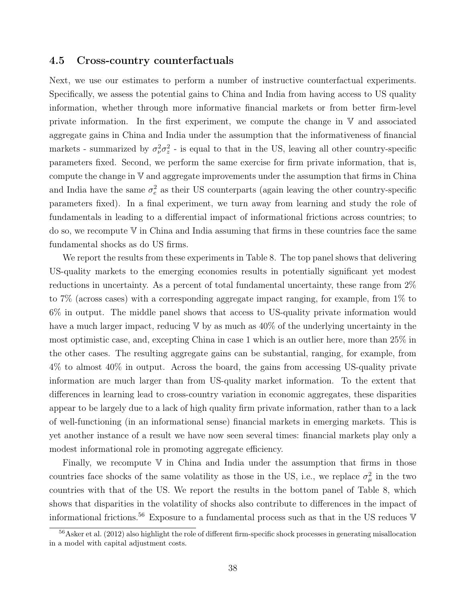#### 4.5 Cross-country counterfactuals

Next, we use our estimates to perform a number of instructive counterfactual experiments. Specifically, we assess the potential gains to China and India from having access to US quality information, whether through more informative financial markets or from better firm-level private information. In the first experiment, we compute the change in  $V$  and associated aggregate gains in China and India under the assumption that the informativeness of financial markets - summarized by  $\sigma_{\nu}^2 \sigma_{z}^2$  - is equal to that in the US, leaving all other country-specific parameters fixed. Second, we perform the same exercise for firm private information, that is, compute the change in V and aggregate improvements under the assumption that firms in China and India have the same  $\sigma_e^2$  as their US counterparts (again leaving the other country-specific parameters fixed). In a final experiment, we turn away from learning and study the role of fundamentals in leading to a differential impact of informational frictions across countries; to do so, we recompute V in China and India assuming that firms in these countries face the same fundamental shocks as do US firms.

We report the results from these experiments in Table 8. The top panel shows that delivering US-quality markets to the emerging economies results in potentially significant yet modest reductions in uncertainty. As a percent of total fundamental uncertainty, these range from 2% to 7% (across cases) with a corresponding aggregate impact ranging, for example, from 1% to 6% in output. The middle panel shows that access to US-quality private information would have a much larger impact, reducing  $V$  by as much as  $40\%$  of the underlying uncertainty in the most optimistic case, and, excepting China in case 1 which is an outlier here, more than 25% in the other cases. The resulting aggregate gains can be substantial, ranging, for example, from 4% to almost 40% in output. Across the board, the gains from accessing US-quality private information are much larger than from US-quality market information. To the extent that differences in learning lead to cross-country variation in economic aggregates, these disparities appear to be largely due to a lack of high quality firm private information, rather than to a lack of well-functioning (in an informational sense) financial markets in emerging markets. This is yet another instance of a result we have now seen several times: financial markets play only a modest informational role in promoting aggregate efficiency.

Finally, we recompute  $V$  in China and India under the assumption that firms in those countries face shocks of the same volatility as those in the US, i.e., we replace  $\sigma_{\mu}^2$  in the two countries with that of the US. We report the results in the bottom panel of Table 8, which shows that disparities in the volatility of shocks also contribute to differences in the impact of informational frictions.<sup>56</sup> Exposure to a fundamental process such as that in the US reduces  $V$ 

<sup>56</sup>Asker et al. (2012) also highlight the role of different firm-specific shock processes in generating misallocation in a model with capital adjustment costs.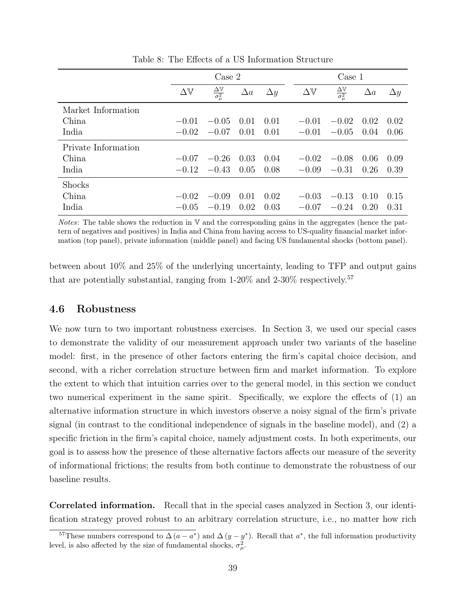|                     |            | Case 2                          |            |            |            | Case 1                          |            |            |  |  |
|---------------------|------------|---------------------------------|------------|------------|------------|---------------------------------|------------|------------|--|--|
|                     | $\Delta V$ | $\frac{\Delta V}{\sigma_\mu^2}$ | $\Delta a$ | $\Delta y$ | $\Delta V$ | $\frac{\Delta V}{\sigma_\mu^2}$ | $\Delta a$ | $\Delta y$ |  |  |
| Market Information  |            |                                 |            |            |            |                                 |            |            |  |  |
| China               | $-0.01$    | $-0.05$                         | 0.01       | 0.01       | $-0.01$    | $-0.02$                         | 0.02       | 0.02       |  |  |
| India               | $-0.02$    | $-0.07$                         | 0.01       | 0.01       | $-0.01$    | $-0.05$                         | 0.04       | 0.06       |  |  |
| Private Information |            |                                 |            |            |            |                                 |            |            |  |  |
| China               | $-0.07$    | $-0.26$                         | 0.03       | 0.04       | $-0.02$    | $-0.08$                         | 0.06       | 0.09       |  |  |
| India               | $-0.12$    | $-0.43$                         | 0.05       | 0.08       | $-0.09$    | $-0.31$                         | 0.26       | 0.39       |  |  |
| <b>Shocks</b>       |            |                                 |            |            |            |                                 |            |            |  |  |
| China               | $-0.02$    | $-0.09$                         | 0.01       | 0.02       | $-0.03$    | $-0.13$                         | 0.10       | 0.15       |  |  |
| India               | $-0.05$    | $-0.19$                         | 0.02       | 0.03       | $-0.07$    | $-0.24$                         | 0.20       | 0.31       |  |  |

Table 8: The Effects of a US Information Structure

*Notes*: The table shows the reduction in  $V$  and the corresponding gains in the aggregates (hence the pattern of negatives and positives) in India and China from having access to US-quality financial market information (top panel), private information (middle panel) and facing US fundamental shocks (bottom panel).

between about 10% and 25% of the underlying uncertainty, leading to TFP and output gains that are potentially substantial, ranging from 1-20% and 2-30% respectively.<sup>57</sup>

#### 4.6 Robustness

We now turn to two important robustness exercises. In Section 3, we used our special cases to demonstrate the validity of our measurement approach under two variants of the baseline model: first, in the presence of other factors entering the firm's capital choice decision, and second, with a richer correlation structure between firm and market information. To explore the extent to which that intuition carries over to the general model, in this section we conduct two numerical experiment in the same spirit. Specifically, we explore the effects of (1) an alternative information structure in which investors observe a noisy signal of the firm's private signal (in contrast to the conditional independence of signals in the baseline model), and (2) a specific friction in the firm's capital choice, namely adjustment costs. In both experiments, our goal is to assess how the presence of these alternative factors affects our measure of the severity of informational frictions; the results from both continue to demonstrate the robustness of our baseline results.

Correlated information. Recall that in the special cases analyzed in Section 3, our identification strategy proved robust to an arbitrary correlation structure, i.e., no matter how rich

<sup>&</sup>lt;sup>57</sup>These numbers correspond to  $\Delta (a - a^*)$  and  $\Delta (y - y^*)$ . Recall that  $a^*$ , the full information productivity level, is also affected by the size of fundamental shocks,  $\sigma_{\mu}^2$ .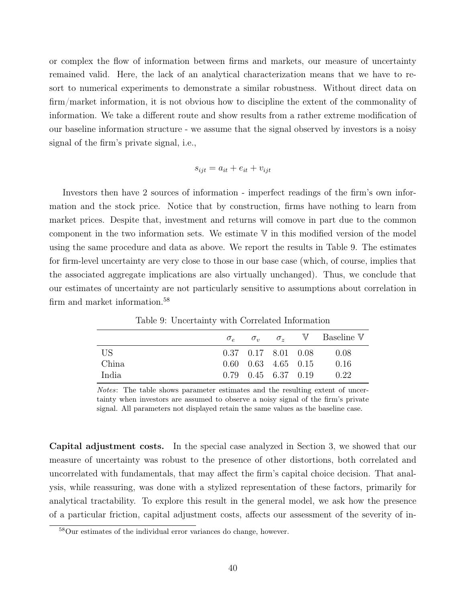or complex the flow of information between firms and markets, our measure of uncertainty remained valid. Here, the lack of an analytical characterization means that we have to resort to numerical experiments to demonstrate a similar robustness. Without direct data on firm/market information, it is not obvious how to discipline the extent of the commonality of information. We take a different route and show results from a rather extreme modification of our baseline information structure - we assume that the signal observed by investors is a noisy signal of the firm's private signal, i.e.,

$$
s_{ijt} = a_{it} + e_{it} + v_{ijt}
$$

Investors then have 2 sources of information - imperfect readings of the firm's own information and the stock price. Notice that by construction, firms have nothing to learn from market prices. Despite that, investment and returns will comove in part due to the common component in the two information sets. We estimate  $\nabla$  in this modified version of the model using the same procedure and data as above. We report the results in Table 9. The estimates for firm-level uncertainty are very close to those in our base case (which, of course, implies that the associated aggregate implications are also virtually unchanged). Thus, we conclude that our estimates of uncertainty are not particularly sensitive to assumptions about correlation in firm and market information.<sup>58</sup>

|            |                                         |  | $\sigma_e$ $\sigma_v$ $\sigma_z$ V Baseline V |
|------------|-----------------------------------------|--|-----------------------------------------------|
| <b>IIS</b> | $0.37$ $0.17$ $8.01$ $0.08$             |  | 0.08                                          |
| China      | $0.60 \quad 0.63 \quad 4.65 \quad 0.15$ |  | $-0.16$                                       |
| India      | 0.79 0.45 6.37 0.19                     |  | 0.22                                          |

Table 9: Uncertainty with Correlated Information

Notes: The table shows parameter estimates and the resulting extent of uncertainty when investors are assumed to observe a noisy signal of the firm's private signal. All parameters not displayed retain the same values as the baseline case.

Capital adjustment costs. In the special case analyzed in Section 3, we showed that our measure of uncertainty was robust to the presence of other distortions, both correlated and uncorrelated with fundamentals, that may affect the firm's capital choice decision. That analysis, while reassuring, was done with a stylized representation of these factors, primarily for analytical tractability. To explore this result in the general model, we ask how the presence of a particular friction, capital adjustment costs, affects our assessment of the severity of in-

<sup>58</sup>Our estimates of the individual error variances do change, however.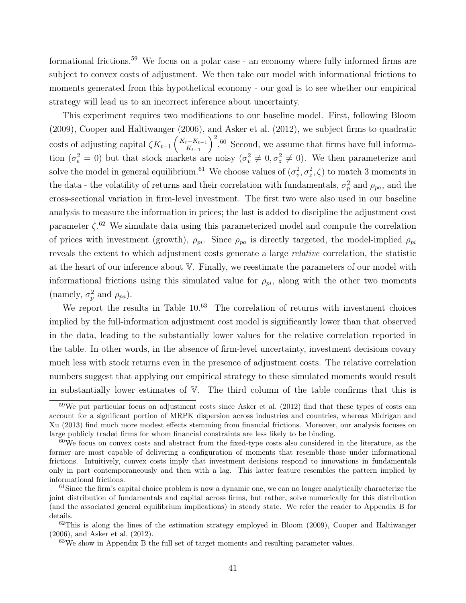formational frictions.<sup>59</sup> We focus on a polar case - an economy where fully informed firms are subject to convex costs of adjustment. We then take our model with informational frictions to moments generated from this hypothetical economy - our goal is to see whether our empirical strategy will lead us to an incorrect inference about uncertainty.

This experiment requires two modifications to our baseline model. First, following Bloom (2009), Cooper and Haltiwanger (2006), and Asker et al. (2012), we subject firms to quadratic costs of adjusting capital  $\zeta K_{t-1} \left( \frac{K_t - K_{t-1}}{K_{t-1}} \right)$  $K_{t-1}$  $\int_{0}^{2.60}$  Second, we assume that firms have full information  $(\sigma_e^2 = 0)$  but that stock markets are noisy  $(\sigma_v^2 \neq 0, \sigma_z^2 \neq 0)$ . We then parameterize and solve the model in general equilibrium.<sup>61</sup> We choose values of  $(\sigma_v^2, \sigma_z^2, \zeta)$  to match 3 moments in the data - the volatility of returns and their correlation with fundamentals,  $\sigma_p^2$  and  $\rho_{pa}$ , and the cross-sectional variation in firm-level investment. The first two were also used in our baseline analysis to measure the information in prices; the last is added to discipline the adjustment cost parameter  $\zeta$ <sup>62</sup> We simulate data using this parameterized model and compute the correlation of prices with investment (growth),  $\rho_{pi}$ . Since  $\rho_{pa}$  is directly targeted, the model-implied  $\rho_{pi}$ reveals the extent to which adjustment costs generate a large *relative* correlation, the statistic at the heart of our inference about V. Finally, we reestimate the parameters of our model with informational frictions using this simulated value for  $\rho_{pi}$ , along with the other two moments (namely,  $\sigma_p^2$  and  $\rho_{pa}$ ).

We report the results in Table 10.<sup>63</sup> The correlation of returns with investment choices implied by the full-information adjustment cost model is significantly lower than that observed in the data, leading to the substantially lower values for the relative correlation reported in the table. In other words, in the absence of firm-level uncertainty, investment decisions covary much less with stock returns even in the presence of adjustment costs. The relative correlation numbers suggest that applying our empirical strategy to these simulated moments would result in substantially lower estimates of V. The third column of the table confirms that this is

<sup>59</sup>We put particular focus on adjustment costs since Asker et al. (2012) find that these types of costs can account for a significant portion of MRPK dispersion across industries and countries, whereas Midrigan and Xu (2013) find much more modest effects stemming from financial frictions. Moreover, our analysis focuses on large publicly traded firms for whom financial constraints are less likely to be binding.

 $60$ We focus on convex costs and abstract from the fixed-type costs also considered in the literature, as the former are most capable of delivering a configuration of moments that resemble those under informational frictions. Intuitively, convex costs imply that investment decisions respond to innovations in fundamentals only in part contemporaneously and then with a lag. This latter feature resembles the pattern implied by informational frictions.

 $61$ Since the firm's capital choice problem is now a dynamic one, we can no longer analytically characterize the joint distribution of fundamentals and capital across firms, but rather, solve numerically for this distribution (and the associated general equilibrium implications) in steady state. We refer the reader to Appendix B for details.

 $62$ This is along the lines of the estimation strategy employed in Bloom (2009), Cooper and Haltiwanger (2006), and Asker et al. (2012).

<sup>&</sup>lt;sup>63</sup>We show in Appendix B the full set of target moments and resulting parameter values.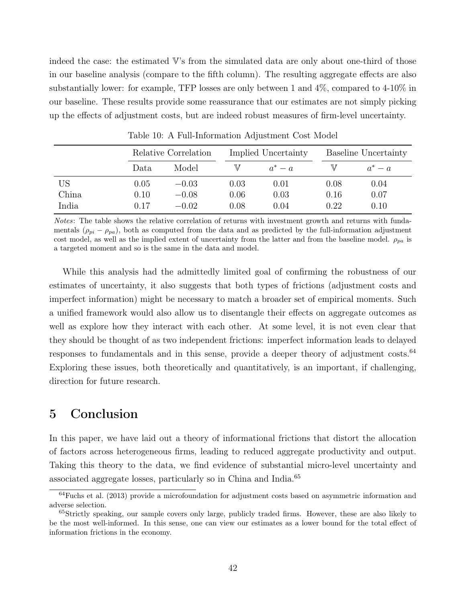indeed the case: the estimated V's from the simulated data are only about one-third of those in our baseline analysis (compare to the fifth column). The resulting aggregate effects are also substantially lower: for example, TFP losses are only between 1 and 4%, compared to 4-10% in our baseline. These results provide some reassurance that our estimates are not simply picking up the effects of adjustment costs, but are indeed robust measures of firm-level uncertainty.

|       |          | Relative Correlation |      | Implied Uncertainty | Baseline Uncertainty |           |  |
|-------|----------|----------------------|------|---------------------|----------------------|-----------|--|
|       | Data.    | Model                | W    | $a^* - a$           |                      | $a^* - a$ |  |
| US    | $0.05\,$ | $-0.03$              | 0.03 | 0.01                | 0.08                 | 0.04      |  |
| China | 0.10     | $-0.08$              | 0.06 | 0.03                | 0.16                 | 0.07      |  |
| India | በ 17     | $-0.02$              | 0.08 | 0.04                | 0.22                 | 0.10      |  |

Table 10: A Full-Information Adjustment Cost Model

Notes: The table shows the relative correlation of returns with investment growth and returns with fundamentals  $(\rho_{pi} - \rho_{pa})$ , both as computed from the data and as predicted by the full-information adjustment cost model, as well as the implied extent of uncertainty from the latter and from the baseline model.  $\rho_{pa}$  is a targeted moment and so is the same in the data and model.

While this analysis had the admittedly limited goal of confirming the robustness of our estimates of uncertainty, it also suggests that both types of frictions (adjustment costs and imperfect information) might be necessary to match a broader set of empirical moments. Such a unified framework would also allow us to disentangle their effects on aggregate outcomes as well as explore how they interact with each other. At some level, it is not even clear that they should be thought of as two independent frictions: imperfect information leads to delayed responses to fundamentals and in this sense, provide a deeper theory of adjustment costs.<sup>64</sup> Exploring these issues, both theoretically and quantitatively, is an important, if challenging, direction for future research.

## 5 Conclusion

In this paper, we have laid out a theory of informational frictions that distort the allocation of factors across heterogeneous firms, leading to reduced aggregate productivity and output. Taking this theory to the data, we find evidence of substantial micro-level uncertainty and associated aggregate losses, particularly so in China and India.<sup>65</sup>

<sup>64</sup>Fuchs et al. (2013) provide a microfoundation for adjustment costs based on asymmetric information and adverse selection.

<sup>&</sup>lt;sup>65</sup>Strictly speaking, our sample covers only large, publicly traded firms. However, these are also likely to be the most well-informed. In this sense, one can view our estimates as a lower bound for the total effect of information frictions in the economy.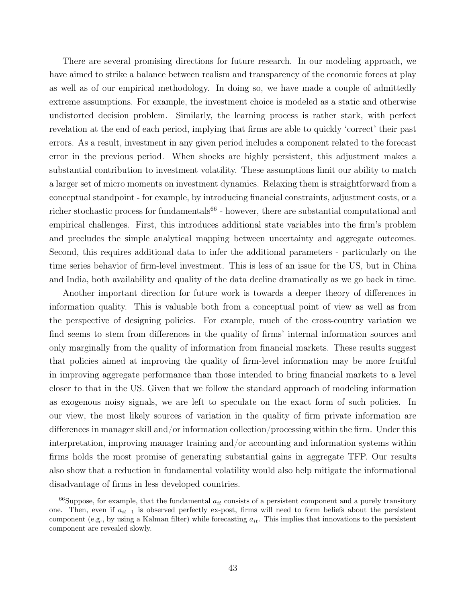There are several promising directions for future research. In our modeling approach, we have aimed to strike a balance between realism and transparency of the economic forces at play as well as of our empirical methodology. In doing so, we have made a couple of admittedly extreme assumptions. For example, the investment choice is modeled as a static and otherwise undistorted decision problem. Similarly, the learning process is rather stark, with perfect revelation at the end of each period, implying that firms are able to quickly 'correct' their past errors. As a result, investment in any given period includes a component related to the forecast error in the previous period. When shocks are highly persistent, this adjustment makes a substantial contribution to investment volatility. These assumptions limit our ability to match a larger set of micro moments on investment dynamics. Relaxing them is straightforward from a conceptual standpoint - for example, by introducing financial constraints, adjustment costs, or a richer stochastic process for fundamentals<sup>66</sup> - however, there are substantial computational and empirical challenges. First, this introduces additional state variables into the firm's problem and precludes the simple analytical mapping between uncertainty and aggregate outcomes. Second, this requires additional data to infer the additional parameters - particularly on the time series behavior of firm-level investment. This is less of an issue for the US, but in China and India, both availability and quality of the data decline dramatically as we go back in time.

Another important direction for future work is towards a deeper theory of differences in information quality. This is valuable both from a conceptual point of view as well as from the perspective of designing policies. For example, much of the cross-country variation we find seems to stem from differences in the quality of firms' internal information sources and only marginally from the quality of information from financial markets. These results suggest that policies aimed at improving the quality of firm-level information may be more fruitful in improving aggregate performance than those intended to bring financial markets to a level closer to that in the US. Given that we follow the standard approach of modeling information as exogenous noisy signals, we are left to speculate on the exact form of such policies. In our view, the most likely sources of variation in the quality of firm private information are differences in manager skill and/or information collection/processing within the firm. Under this interpretation, improving manager training and/or accounting and information systems within firms holds the most promise of generating substantial gains in aggregate TFP. Our results also show that a reduction in fundamental volatility would also help mitigate the informational disadvantage of firms in less developed countries.

 $^{66}$ Suppose, for example, that the fundamental  $a_{it}$  consists of a persistent component and a purely transitory one. Then, even if  $a_{it-1}$  is observed perfectly ex-post, firms will need to form beliefs about the persistent component (e.g., by using a Kalman filter) while forecasting  $a_{it}$ . This implies that innovations to the persistent component are revealed slowly.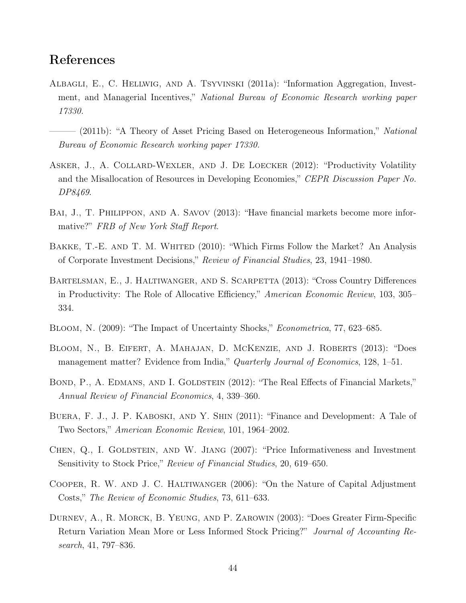## References

- Albagli, E., C. Hellwig, and A. Tsyvinski (2011a): "Information Aggregation, Investment, and Managerial Incentives," National Bureau of Economic Research working paper 17330.
- (2011b): "A Theory of Asset Pricing Based on Heterogeneous Information," National Bureau of Economic Research working paper 17330.
- Asker, J., A. Collard-Wexler, and J. De Loecker (2012): "Productivity Volatility and the Misallocation of Resources in Developing Economies," CEPR Discussion Paper No. DP8469.
- BAI, J., T. PHILIPPON, AND A. SAVOV (2013): "Have financial markets become more informative?" FRB of New York Staff Report.
- BAKKE, T.-E. AND T. M. WHITED (2010): "Which Firms Follow the Market? An Analysis of Corporate Investment Decisions," Review of Financial Studies, 23, 1941–1980.
- BARTELSMAN, E., J. HALTIWANGER, AND S. SCARPETTA (2013): "Cross Country Differences in Productivity: The Role of Allocative Efficiency," American Economic Review, 103, 305– 334.
- Bloom, N. (2009): "The Impact of Uncertainty Shocks," Econometrica, 77, 623–685.
- Bloom, N., B. Eifert, A. Mahajan, D. McKenzie, and J. Roberts (2013): "Does management matter? Evidence from India," Quarterly Journal of Economics, 128, 1–51.
- BOND, P., A. EDMANS, AND I. GOLDSTEIN (2012): "The Real Effects of Financial Markets," Annual Review of Financial Economics, 4, 339–360.
- Buera, F. J., J. P. Kaboski, and Y. Shin (2011): "Finance and Development: A Tale of Two Sectors," American Economic Review, 101, 1964–2002.
- CHEN, Q., I. GOLDSTEIN, AND W. JIANG (2007): "Price Informativeness and Investment Sensitivity to Stock Price," Review of Financial Studies, 20, 619–650.
- Cooper, R. W. and J. C. Haltiwanger (2006): "On the Nature of Capital Adjustment Costs," The Review of Economic Studies, 73, 611–633.
- Durnev, A., R. Morck, B. Yeung, and P. Zarowin (2003): "Does Greater Firm-Specific Return Variation Mean More or Less Informed Stock Pricing?" Journal of Accounting Research, 41, 797–836.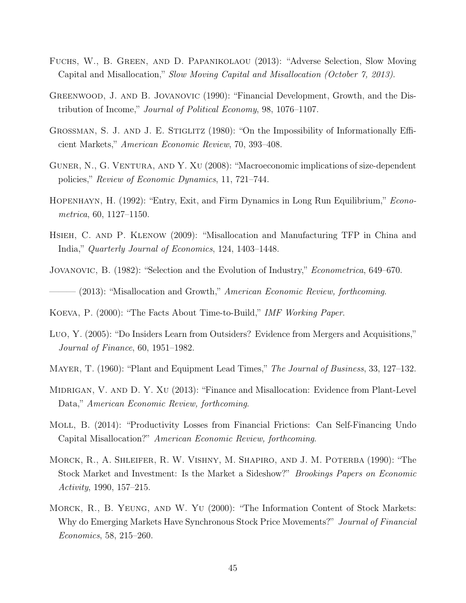- Fuchs, W., B. Green, and D. Papanikolaou (2013): "Adverse Selection, Slow Moving Capital and Misallocation," Slow Moving Capital and Misallocation (October 7, 2013).
- Greenwood, J. and B. Jovanovic (1990): "Financial Development, Growth, and the Distribution of Income," Journal of Political Economy, 98, 1076–1107.
- GROSSMAN, S. J. AND J. E. STIGLITZ (1980): "On the Impossibility of Informationally Efficient Markets," American Economic Review, 70, 393–408.
- GUNER, N., G. VENTURA, AND Y. XU (2008): "Macroeconomic implications of size-dependent policies," Review of Economic Dynamics, 11, 721–744.
- HOPENHAYN, H. (1992): "Entry, Exit, and Firm Dynamics in Long Run Equilibrium," *Econo*metrica, 60, 1127–1150.
- Hsieh, C. and P. Klenow (2009): "Misallocation and Manufacturing TFP in China and India," Quarterly Journal of Economics, 124, 1403–1448.
- JOVANOVIC, B. (1982): "Selection and the Evolution of Industry," *Econometrica*, 649–670.

 $-$  (2013): "Misallocation and Growth," *American Economic Review, forthcoming.* 

- Koeva, P. (2000): "The Facts About Time-to-Build," IMF Working Paper.
- Luo, Y. (2005): "Do Insiders Learn from Outsiders? Evidence from Mergers and Acquisitions," Journal of Finance, 60, 1951–1982.
- MAYER, T. (1960): "Plant and Equipment Lead Times," The Journal of Business, 33, 127–132.
- MIDRIGAN, V. AND D. Y. XU (2013): "Finance and Misallocation: Evidence from Plant-Level Data," American Economic Review, forthcoming.
- Moll, B. (2014): "Productivity Losses from Financial Frictions: Can Self-Financing Undo Capital Misallocation?" American Economic Review, forthcoming.
- Morck, R., A. Shleifer, R. W. Vishny, M. Shapiro, and J. M. Poterba (1990): "The Stock Market and Investment: Is the Market a Sideshow?" Brookings Papers on Economic Activity, 1990, 157–215.
- Morck, R., B. Yeung, and W. Yu (2000): "The Information Content of Stock Markets: Why do Emerging Markets Have Synchronous Stock Price Movements?" *Journal of Financial* Economics, 58, 215–260.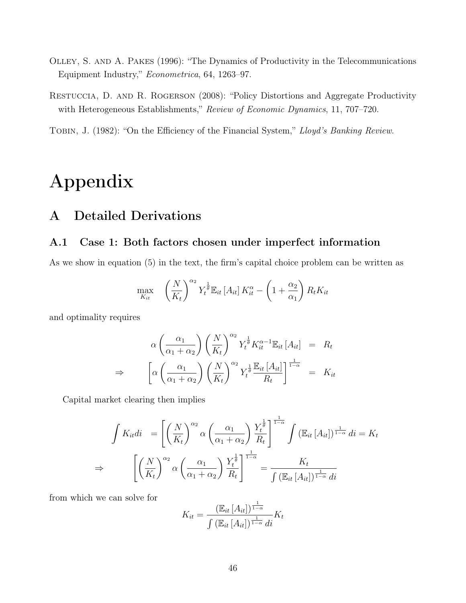- Olley, S. and A. Pakes (1996): "The Dynamics of Productivity in the Telecommunications Equipment Industry," Econometrica, 64, 1263–97.
- Restuccia, D. and R. Rogerson (2008): "Policy Distortions and Aggregate Productivity with Heterogeneous Establishments," Review of Economic Dynamics, 11, 707–720.
- TOBIN, J. (1982): "On the Efficiency of the Financial System," Lloyd's Banking Review.

# Appendix

# A Detailed Derivations

#### A.1 Case 1: Both factors chosen under imperfect information

As we show in equation (5) in the text, the firm's capital choice problem can be written as

$$
\max_{K_{it}} \quad \left(\frac{N}{K_t}\right)^{\alpha_2} Y_t^{\frac{1}{\theta}} \mathbb{E}_{it} \left[A_{it}\right] K_{it}^{\alpha} - \left(1 + \frac{\alpha_2}{\alpha_1}\right) R_t K_{it}
$$

and optimality requires

$$
\alpha \left( \frac{\alpha_1}{\alpha_1 + \alpha_2} \right) \left( \frac{N}{K_t} \right)^{\alpha_2} Y_t^{\frac{1}{\theta}} K_{it}^{\alpha - 1} \mathbb{E}_{it} \left[ A_{it} \right] = R_t
$$
  
\n
$$
\Rightarrow \qquad \left[ \alpha \left( \frac{\alpha_1}{\alpha_1 + \alpha_2} \right) \left( \frac{N}{K_t} \right)^{\alpha_2} Y_t^{\frac{1}{\theta}} \frac{\mathbb{E}_{it} \left[ A_{it} \right]}{R_t} \right]^{\frac{1}{1 - \alpha}} = K_{it}
$$

Capital market clearing then implies

$$
\int K_{it}di = \left[ \left( \frac{N}{K_t} \right)^{\alpha_2} \alpha \left( \frac{\alpha_1}{\alpha_1 + \alpha_2} \right) \frac{Y_t^{\frac{1}{\theta}}}{R_t} \right]^{\frac{1}{1-\alpha}} \int (\mathbb{E}_{it} [A_{it}])^{\frac{1}{1-\alpha}} di = K_t
$$
  
\n
$$
\Rightarrow \qquad \left[ \left( \frac{N}{K_t} \right)^{\alpha_2} \alpha \left( \frac{\alpha_1}{\alpha_1 + \alpha_2} \right) \frac{Y_t^{\frac{1}{\theta}}}{R_t} \right]^{\frac{1}{1-\alpha}} = \frac{K_t}{\int (\mathbb{E}_{it} [A_{it}])^{\frac{1}{1-\alpha}} di}
$$

from which we can solve for

$$
K_{it} = \frac{\left(\mathbb{E}_{it}\left[A_{it}\right]\right)^{\frac{1}{1-\alpha}}}{\int \left(\mathbb{E}_{it}\left[A_{it}\right]\right)^{\frac{1}{1-\alpha}} di} K_t
$$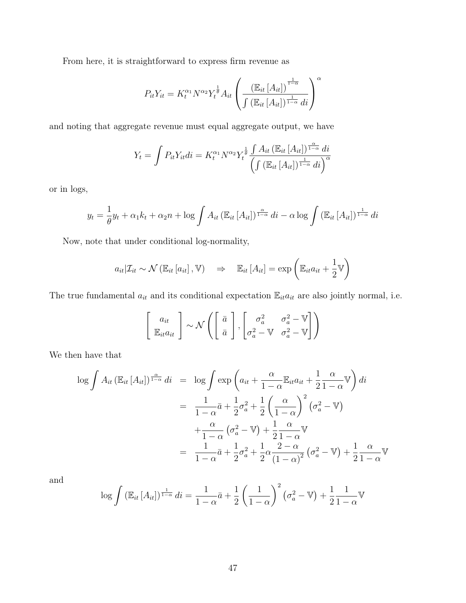From here, it is straightforward to express firm revenue as

$$
P_{it}Y_{it} = K_t^{\alpha_1} N^{\alpha_2} Y_t^{\frac{1}{\theta}} A_{it} \left( \frac{\left( \mathbb{E}_{it} \left[ A_{it} \right] \right)^{\frac{1}{1-\alpha}}}{\int \left( \mathbb{E}_{it} \left[ A_{it} \right] \right)^{\frac{1}{1-\alpha}} di} \right)^{\alpha}
$$

and noting that aggregate revenue must equal aggregate output, we have

$$
Y_t = \int P_{it} Y_{it} di = K_t^{\alpha_1} N^{\alpha_2} Y_t^{\frac{1}{\theta}} \frac{\int A_{it} (\mathbb{E}_{it} [A_{it}])^{\frac{\alpha}{1-\alpha}} di}{\left(\int (\mathbb{E}_{it} [A_{it}])^{\frac{1}{1-\alpha}} di\right)^{\alpha}}
$$

or in logs,

$$
y_t = \frac{1}{\theta}y_t + \alpha_1 k_t + \alpha_2 n + \log \int A_{it} \left(\mathbb{E}_{it} \left[A_{it}\right]\right)^{\frac{\alpha}{1-\alpha}} di - \alpha \log \int \left(\mathbb{E}_{it} \left[A_{it}\right]\right)^{\frac{1}{1-\alpha}} di
$$

Now, note that under conditional log-normality,

$$
a_{it}|\mathcal{I}_{it} \sim \mathcal{N}\left(\mathbb{E}_{it}\left[a_{it}\right],\mathbb{V}\right) \Rightarrow \mathbb{E}_{it}\left[A_{it}\right] = \exp\left(\mathbb{E}_{it}a_{it} + \frac{1}{2}\mathbb{V}\right)
$$

The true fundamental  $a_{it}$  and its conditional expectation  $\mathbb{E}_{it}a_{it}$  are also jointly normal, i.e.

$$
\begin{bmatrix} a_{it} \\ \mathbb{E}_{it} a_{it} \end{bmatrix} \sim \mathcal{N} \left( \begin{bmatrix} \bar{a} \\ \bar{a} \end{bmatrix}, \begin{bmatrix} \sigma_a^2 & \sigma_a^2 - \mathbb{V} \\ \sigma_a^2 - \mathbb{V} & \sigma_a^2 - \mathbb{V} \end{bmatrix} \right)
$$

We then have that

$$
\log \int A_{it} \left( \mathbb{E}_{it} \left[ A_{it} \right] \right)^{\frac{\alpha}{1-\alpha}} di = \log \int \exp \left( a_{it} + \frac{\alpha}{1-\alpha} \mathbb{E}_{it} a_{it} + \frac{1}{2} \frac{\alpha}{1-\alpha} \mathbb{V} \right) di
$$

$$
= \frac{1}{1-\alpha} \bar{a} + \frac{1}{2} \sigma_a^2 + \frac{1}{2} \left( \frac{\alpha}{1-\alpha} \right)^2 \left( \sigma_a^2 - \mathbb{V} \right)
$$

$$
+ \frac{\alpha}{1-\alpha} \left( \sigma_a^2 - \mathbb{V} \right) + \frac{1}{2} \frac{\alpha}{1-\alpha} \mathbb{V}
$$

$$
= \frac{1}{1-\alpha} \bar{a} + \frac{1}{2} \sigma_a^2 + \frac{1}{2} \alpha \frac{2-\alpha}{(1-\alpha)^2} \left( \sigma_a^2 - \mathbb{V} \right) + \frac{1}{2} \frac{\alpha}{1-\alpha} \mathbb{V}
$$

and

$$
\log \int \left( \mathbb{E}_{it} \left[ A_{it} \right] \right)^{\frac{1}{1-\alpha}} di = \frac{1}{1-\alpha} \bar{a} + \frac{1}{2} \left( \frac{1}{1-\alpha} \right)^2 \left( \sigma_a^2 - \mathbb{V} \right) + \frac{1}{2} \frac{1}{1-\alpha} \mathbb{V}
$$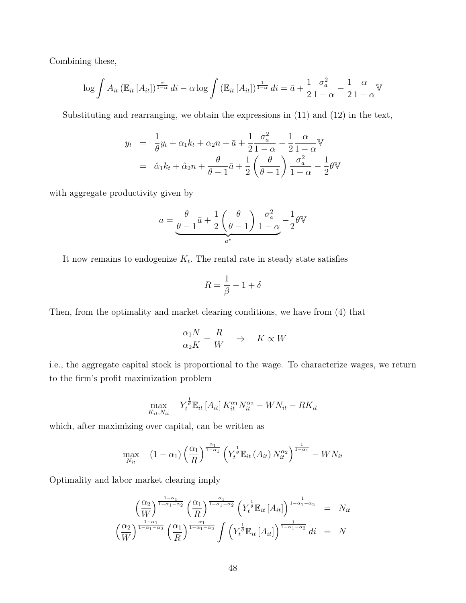Combining these,

$$
\log \int A_{it} \left( \mathbb{E}_{it} \left[ A_{it} \right] \right) ^{\frac{\alpha}{1-\alpha}} di - \alpha \log \int \left( \mathbb{E}_{it} \left[ A_{it} \right] \right) ^{\frac{1}{1-\alpha}} di = \bar{a} + \frac{1}{2} \frac{\sigma_a^2}{1-\alpha} - \frac{1}{2} \frac{\alpha}{1-\alpha} \mathbb{V}
$$

Substituting and rearranging, we obtain the expressions in (11) and (12) in the text,

$$
y_t = \frac{1}{\theta} y_t + \alpha_1 k_t + \alpha_2 n + \bar{a} + \frac{1}{2} \frac{\sigma_a^2}{1 - \alpha} - \frac{1}{2} \frac{\alpha}{1 - \alpha} \mathbb{V}
$$
  
=  $\hat{\alpha}_1 k_t + \hat{\alpha}_2 n + \frac{\theta}{\theta - 1} \bar{a} + \frac{1}{2} \left( \frac{\theta}{\theta - 1} \right) \frac{\sigma_a^2}{1 - \alpha} - \frac{1}{2} \theta \mathbb{V}$ 

with aggregate productivity given by

$$
a = \underbrace{\frac{\theta}{\theta - 1}\bar{a} + \frac{1}{2}\left(\frac{\theta}{\theta - 1}\right)\frac{\sigma_a^2}{1 - \alpha}}_{a^*} - \frac{1}{2}\theta\mathbb{V}
$$

It now remains to endogenize  $K_t$ . The rental rate in steady state satisfies

$$
R = \frac{1}{\beta} - 1 + \delta
$$

Then, from the optimality and market clearing conditions, we have from (4) that

$$
\frac{\alpha_1 N}{\alpha_2 K} = \frac{R}{W} \quad \Rightarrow \quad K \propto W
$$

i.e., the aggregate capital stock is proportional to the wage. To characterize wages, we return to the firm's profit maximization problem

$$
\max_{K_{it}, N_{it}} Y_t^{\frac{1}{\theta}} \mathbb{E}_{it} \left[ A_{it} \right] K_{it}^{\alpha_1} N_{it}^{\alpha_2} - W N_{it} - R K_{it}
$$

which, after maximizing over capital, can be written as

$$
\max_{N_{it}} \quad (1 - \alpha_1) \left(\frac{\alpha_1}{R}\right)^{\frac{\alpha_1}{1 - \alpha_1}} \left(Y_t^{\frac{1}{\theta}} \mathbb{E}_{it} \left(A_{it}\right) N_{it}^{\alpha_2}\right)^{\frac{1}{1 - \alpha_1}} - W N_{it}
$$

Optimality and labor market clearing imply

$$
\left(\frac{\alpha_2}{W}\right)^{\frac{1-\alpha_1}{1-\alpha_1-\alpha_2}} \left(\frac{\alpha_1}{R}\right)^{\frac{\alpha_1}{1-\alpha_1-\alpha_2}} \left(Y_t^{\frac{1}{\theta}} \mathbb{E}_{it}[A_{it}]\right)^{\frac{1}{1-\alpha_1-\alpha_2}} = N_{it}
$$
\n
$$
\left(\frac{\alpha_2}{W}\right)^{\frac{1-\alpha_1}{1-\alpha_1-\alpha_2}} \left(\frac{\alpha_1}{R}\right)^{\frac{\alpha_1}{1-\alpha_1-\alpha_2}} \int \left(Y_t^{\frac{1}{\theta}} \mathbb{E}_{it}[A_{it}]\right)^{\frac{1}{1-\alpha_1-\alpha_2}} di = N
$$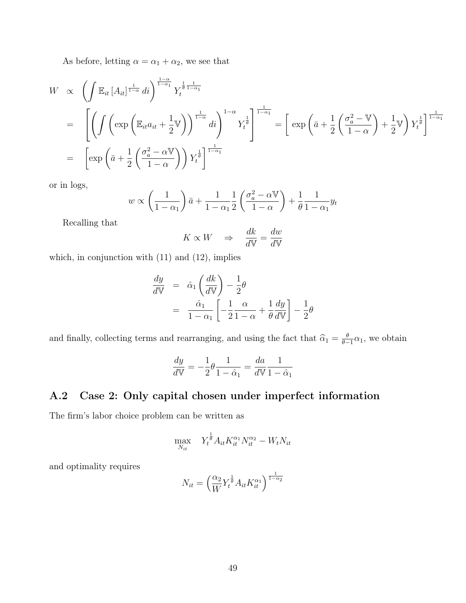As before, letting  $\alpha = \alpha_1 + \alpha_2$ , we see that

$$
W \propto \left( \int \mathbb{E}_{it} \left[ A_{it} \right]^{\frac{1}{1-\alpha}} di \right)^{\frac{1-\alpha}{1-\alpha_1}} Y_t^{\frac{1}{\theta} \frac{1}{1-\alpha_1}}
$$
  
\n
$$
= \left[ \left( \int \left( \exp \left( \mathbb{E}_{it} a_{it} + \frac{1}{2} \mathbb{V} \right) \right)^{\frac{1}{1-\alpha_1}} di \right)^{1-\alpha} Y_t^{\frac{1}{\theta}} \right]^{\frac{1}{1-\alpha_1}} = \left[ \exp \left( \bar{a} + \frac{1}{2} \left( \frac{\sigma_a^2 - \mathbb{V}}{1-\alpha} \right) + \frac{1}{2} \mathbb{V} \right) Y_t^{\frac{1}{\theta}} \right]^{\frac{1}{1-\alpha_1}}
$$
  
\n
$$
= \left[ \exp \left( \bar{a} + \frac{1}{2} \left( \frac{\sigma_a^2 - \alpha \mathbb{V}}{1-\alpha} \right) \right) Y_t^{\frac{1}{\theta}} \right]^{\frac{1}{1-\alpha_1}}
$$

or in logs,

$$
w \propto \left(\frac{1}{1-\alpha_1}\right)\bar{a} + \frac{1}{1-\alpha_1} \frac{1}{2} \left(\frac{\sigma_a^2 - \alpha \mathbb{V}}{1-\alpha}\right) + \frac{1}{\theta} \frac{1}{1-\alpha_1} y_t
$$

Recalling that

$$
K \propto W \quad \Rightarrow \quad \frac{dk}{d\mathbb{V}} = \frac{dw}{d\mathbb{V}}
$$

which, in conjunction with (11) and (12), implies

$$
\frac{dy}{dV} = \hat{\alpha}_1 \left( \frac{dk}{dV} \right) - \frac{1}{2} \theta
$$

$$
= \frac{\hat{\alpha}_1}{1 - \alpha_1} \left[ -\frac{1}{2} \frac{\alpha}{1 - \alpha} + \frac{1}{\theta} \frac{dy}{dV} \right] - \frac{1}{2} \theta
$$

and finally, collecting terms and rearranging, and using the fact that  $\hat{\alpha}_1 = \frac{\theta}{\theta-1}$  $\frac{\theta}{\theta-1}\alpha_1$ , we obtain

$$
\frac{dy}{dV} = -\frac{1}{2}\theta \frac{1}{1 - \hat{\alpha}_1} = \frac{da}{dV} \frac{1}{1 - \hat{\alpha}_1}
$$

## A.2 Case 2: Only capital chosen under imperfect information

The firm's labor choice problem can be written as

$$
\max_{N_{it}} Y_t^{\frac{1}{\theta}} A_{it} K_{it}^{\alpha_1} N_{it}^{\alpha_2} - W_t N_{it}
$$

and optimality requires

$$
N_{it} = \left(\frac{\alpha_2}{W} Y_t^{\frac{1}{\theta}} A_{it} K_{it}^{\alpha_1}\right)^{\frac{1}{1-\alpha_2}}
$$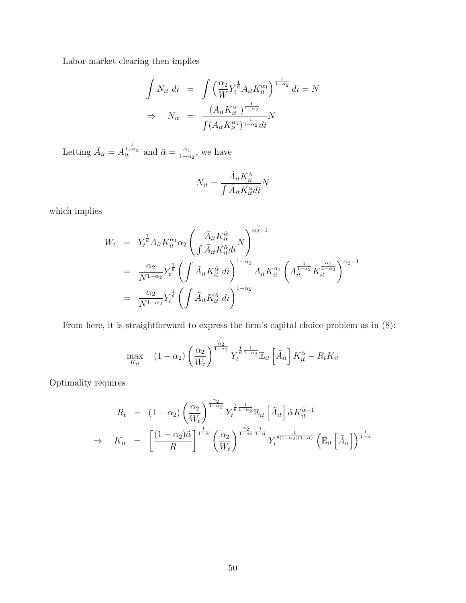Labor market clearing then implies

$$
\int N_{it} \, di \ = \ \int \left(\frac{\alpha_2}{W} Y_t^{\frac{1}{\theta}} A_{it} K_{it}^{\alpha_1}\right)^{\frac{1}{1-\alpha_2}} di = N
$$
\n
$$
\Rightarrow \quad N_{it} \ = \ \frac{(A_{it} K_{it}^{\alpha_1})^{\frac{1}{1-\alpha_2}}}{\int (A_{it} K_{it}^{\alpha_1})^{\frac{1}{1-\alpha_2}} di} N
$$

Letting  $\tilde{A}_{it} = A_{it}^{\frac{1}{1-\alpha_2}}$  and  $\tilde{\alpha} = \frac{\alpha_1}{1-c_1}$  $\frac{\alpha_1}{1-\alpha_2}$ , we have

$$
N_{it} = \frac{\tilde{A}_{it} K_{it}^{\tilde{\alpha}}}{\int \tilde{A}_{it} K_{it}^{\tilde{\alpha}} di} N
$$

which implies

$$
W_t = Y_t^{\frac{1}{\theta}} A_{it} K_{it}^{\alpha_1} \alpha_2 \left( \frac{\tilde{A}_{it} K_{it}^{\tilde{\alpha}}}{\int \tilde{A}_{it} K_{it}^{\tilde{\alpha}} di} N \right)^{\alpha_2 - 1}
$$
  
\n
$$
= \frac{\alpha_2}{N^{1 - \alpha_2}} Y_t^{\frac{1}{\theta}} \left( \int \tilde{A}_{it} K_{it}^{\tilde{\alpha}} di \right)^{1 - \alpha_2} A_{it} K_{it}^{\alpha_1} \left( A_{it}^{\frac{1}{1 - \alpha_2}} K_{it}^{\frac{\alpha_1}{1 - \alpha_2}} \right)^{\alpha_2 - 1}
$$
  
\n
$$
= \frac{\alpha_2}{N^{1 - \alpha_2}} Y_t^{\frac{1}{\theta}} \left( \int \tilde{A}_{it} K_{it}^{\tilde{\alpha}} di \right)^{1 - \alpha_2}
$$

From here, it is straightforward to express the firm's capital choice problem as in (8):

$$
\max_{K_{it}} \quad (1 - \alpha_2) \left(\frac{\alpha_2}{W_t}\right)^{\frac{\alpha_2}{1 - \alpha_2}} Y_t^{\frac{1}{\theta} \frac{1}{1 - \alpha_2}} \mathbb{E}_{it} \left[\tilde{A}_{it}\right] K_{it}^{\tilde{\alpha}} - R_t K_{it}
$$

Optimality requires

$$
R_t = (1 - \alpha_2) \left(\frac{\alpha_2}{W_t}\right)^{\frac{\alpha_2}{1 - \alpha_2}} Y_t^{\frac{1}{\theta} \frac{1}{1 - \alpha_2}} \mathbb{E}_{it} \left[\tilde{A}_{it}\right] \tilde{\alpha} K_{it}^{\tilde{\alpha} - 1}
$$
  
\n
$$
\Rightarrow K_{it} = \left[\frac{(1 - \alpha_2)\tilde{\alpha}}{R}\right]^{\frac{1}{1 - \tilde{\alpha}}} \left(\frac{\alpha_2}{W_t}\right)^{\frac{\alpha_2}{1 - \alpha_2} \frac{1}{1 - \tilde{\alpha}}} Y_t^{\frac{1}{\theta(1 - \alpha_2)(1 - \tilde{\alpha})}} \left(\mathbb{E}_{it} \left[\tilde{A}_{it}\right]\right)^{\frac{1}{1 - \tilde{\alpha}}}
$$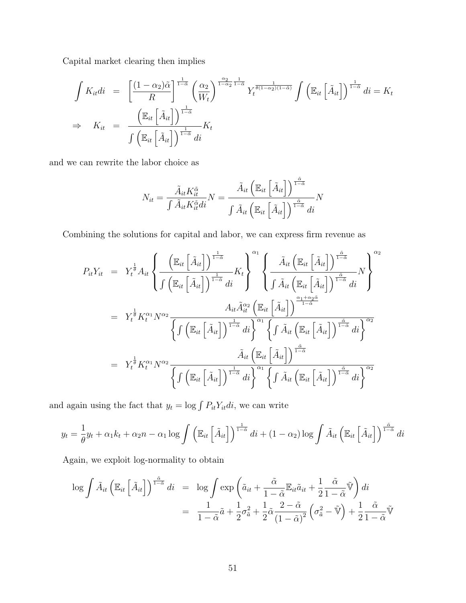Capital market clearing then implies

$$
\int K_{it}di = \left[\frac{(1-\alpha_2)\tilde{\alpha}}{R}\right]^{\frac{1}{1-\tilde{\alpha}}} \left(\frac{\alpha_2}{W_t}\right)^{\frac{\alpha_2}{1-\alpha_2} \frac{1}{1-\tilde{\alpha}}} Y_t^{\frac{1}{\theta(1-\alpha_2)(1-\tilde{\alpha})}} \int \left(\mathbb{E}_{it} \left[\tilde{A}_{it}\right]\right)^{\frac{1}{1-\tilde{\alpha}}} di = K_t
$$
\n
$$
\Rightarrow K_{it} = \frac{\left(\mathbb{E}_{it} \left[\tilde{A}_{it}\right]\right)^{\frac{1}{1-\tilde{\alpha}}}}{\int \left(\mathbb{E}_{it} \left[\tilde{A}_{it}\right]\right)^{\frac{1}{1-\tilde{\alpha}}} di} K_t
$$

and we can rewrite the labor choice as

$$
N_{it} = \frac{\tilde{A}_{it} K_{it}^{\tilde{\alpha}}}{\int \tilde{A}_{it} K_{it}^{\tilde{\alpha}} di} N = \frac{\tilde{A}_{it} \left( \mathbb{E}_{it} \left[ \tilde{A}_{it} \right] \right)^{\frac{\tilde{\alpha}}{1 - \tilde{\alpha}}}}{\int \tilde{A}_{it} \left( \mathbb{E}_{it} \left[ \tilde{A}_{it} \right] \right)^{\frac{\tilde{\alpha}}{1 - \tilde{\alpha}}} di} N
$$

Combining the solutions for capital and labor, we can express firm revenue as

$$
P_{it}Y_{it} = Y_{t}^{\frac{1}{\theta}} A_{it} \left\{ \frac{\left(\mathbb{E}_{it} \left[\tilde{A}_{it}\right]\right)^{\frac{1}{1-\tilde{\alpha}}}}{\int \left(\mathbb{E}_{it} \left[\tilde{A}_{it}\right]\right)^{\frac{1}{1-\tilde{\alpha}}} di} K_{t} \right\}^{\alpha_{1}} \left\{ \frac{\tilde{A}_{it} \left(\mathbb{E}_{it} \left[\tilde{A}_{it}\right]\right)^{\frac{\tilde{\alpha}}{1-\tilde{\alpha}}}}{\int \tilde{A}_{it} \left(\mathbb{E}_{it} \left[\tilde{A}_{it}\right]\right)^{\frac{\tilde{\alpha}}{1-\tilde{\alpha}}} di} N \right\}^{\alpha_{2}}
$$
\n
$$
= Y_{t}^{\frac{1}{\theta}} K_{t}^{\alpha_{1}} N^{\alpha_{2}} \frac{A_{it} \tilde{A}_{it}^{\alpha_{2}} \left(\mathbb{E}_{it} \left[\tilde{A}_{it}\right]\right)^{\frac{\alpha_{1}+\alpha_{2}\tilde{\alpha}}{1-\tilde{\alpha}}}}{\left\{\int \left(\mathbb{E}_{it} \left[\tilde{A}_{it}\right]\right)^{\frac{1}{1-\tilde{\alpha}}} di\right\}^{\alpha_{1}} \left\{\int \tilde{A}_{it} \left(\mathbb{E}_{it} \left[\tilde{A}_{it}\right]\right)^{\frac{\tilde{\alpha}}{1-\tilde{\alpha}}} di\right\}^{\alpha_{2}}
$$
\n
$$
= Y_{t}^{\frac{1}{\theta}} K_{t}^{\alpha_{1}} N^{\alpha_{2}} \frac{\tilde{A}_{it} \left(\mathbb{E}_{it} \left[\tilde{A}_{it}\right]\right)^{\frac{1}{1-\tilde{\alpha}}} di\right\}^{\alpha_{1}} \left\{\int \tilde{A}_{it} \left(\mathbb{E}_{it} \left[\tilde{A}_{it}\right]\right)^{\frac{\tilde{\alpha}}{1-\tilde{\alpha}}} di\right\}^{\alpha_{2}}
$$
\n
$$
\left\{\int \left(\mathbb{E}_{it} \left[\tilde{A}_{it}\right]\right)^{\frac{1}{1-\tilde{\alpha}}} di\right\}^{\alpha_{1}} \left\{\int \tilde{A}_{it} \left(\mathbb{E}_{it} \left[\tilde{A}_{it}\right]\right)^{\frac{\tilde{\alpha}}{1-\tilde{\alpha}}} di\right\}^{\alpha_{2}}
$$

and again using the fact that  $y_t = \log \int P_{it} Y_{it} di$ , we can write

$$
y_t = \frac{1}{\theta} y_t + \alpha_1 k_t + \alpha_2 n - \alpha_1 \log \int \left( \mathbb{E}_{it} \left[ \tilde{A}_{it} \right] \right)^{\frac{1}{1-\tilde{\alpha}}} dt + (1-\alpha_2) \log \int \tilde{A}_{it} \left( \mathbb{E}_{it} \left[ \tilde{A}_{it} \right] \right)^{\frac{\tilde{\alpha}}{1-\tilde{\alpha}}} dt
$$

Again, we exploit log-normality to obtain

$$
\log \int \tilde{A}_{it} \left( \mathbb{E}_{it} \left[ \tilde{A}_{it} \right] \right)^{\frac{\tilde{\alpha}}{1-\tilde{\alpha}}} di = \log \int \exp \left( \tilde{a}_{it} + \frac{\tilde{\alpha}}{1-\tilde{\alpha}} \mathbb{E}_{it} \tilde{a}_{it} + \frac{1}{2} \frac{\tilde{\alpha}}{1-\tilde{\alpha}} \tilde{\mathbb{V}} \right) di
$$
  

$$
= \frac{1}{1-\tilde{\alpha}} \tilde{a} + \frac{1}{2} \sigma_{\tilde{a}}^2 + \frac{1}{2} \tilde{\alpha} \frac{2-\tilde{\alpha}}{(1-\tilde{\alpha})^2} \left( \sigma_{\tilde{a}}^2 - \tilde{\mathbb{V}} \right) + \frac{1}{2} \frac{\tilde{\alpha}}{1-\tilde{\alpha}} \tilde{\mathbb{V}}
$$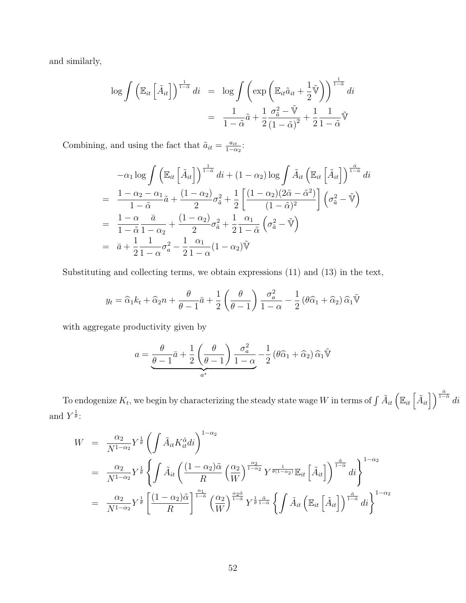and similarly,

$$
\log \int \left( \mathbb{E}_{it} \left[ \tilde{A}_{it} \right] \right)^{\frac{1}{1-\tilde{\alpha}}} di = \log \int \left( \exp \left( \mathbb{E}_{it} \tilde{a}_{it} + \frac{1}{2} \tilde{\mathbb{V}} \right) \right)^{\frac{1}{1-\tilde{\alpha}}} di
$$

$$
= \frac{1}{1-\tilde{\alpha}} \tilde{a} + \frac{1}{2} \frac{\sigma_a^2 - \tilde{\mathbb{V}}}{(1-\tilde{\alpha})^2} + \frac{1}{2} \frac{1}{1-\tilde{\alpha}} \tilde{\mathbb{V}}
$$

Combining, and using the fact that  $\tilde{a}_{it} = \frac{a_{it}}{1-\alpha}$  $\frac{a_{it}}{1-\alpha_2}$ :

$$
-\alpha_1 \log \int \left( \mathbb{E}_{it} \left[ \tilde{A}_{it} \right] \right)^{\frac{1}{1-\tilde{\alpha}}} dt + (1 - \alpha_2) \log \int \tilde{A}_{it} \left( \mathbb{E}_{it} \left[ \tilde{A}_{it} \right] \right)^{\frac{\tilde{\alpha}}{1-\tilde{\alpha}}} dt
$$
  
\n
$$
= \frac{1 - \alpha_2 - \alpha_1}{1 - \tilde{\alpha}} \tilde{a} + \frac{(1 - \alpha_2)}{2} \sigma_{\tilde{a}}^2 + \frac{1}{2} \left[ \frac{(1 - \alpha_2)(2\tilde{\alpha} - \tilde{\alpha}^2)}{(1 - \tilde{\alpha})^2} \right] \left( \sigma_{\tilde{a}}^2 - \tilde{\mathbb{V}} \right)
$$
  
\n
$$
= \frac{1 - \alpha}{1 - \tilde{\alpha}} \frac{\bar{a}}{1 - \alpha_2} + \frac{(1 - \alpha_2)}{2} \sigma_{\tilde{a}}^2 + \frac{1}{2} \frac{\alpha_1}{1 - \tilde{\alpha}} \left( \sigma_{\tilde{a}}^2 - \tilde{\mathbb{V}} \right)
$$
  
\n
$$
= \bar{a} + \frac{1}{2} \frac{1}{1 - \alpha} \sigma_a^2 - \frac{1}{2} \frac{\alpha_1}{1 - \alpha} (1 - \alpha_2) \tilde{\mathbb{V}}
$$

Substituting and collecting terms, we obtain expressions (11) and (13) in the text,

$$
y_t = \hat{\alpha}_1 k_t + \hat{\alpha}_2 n + \frac{\theta}{\theta - 1} \bar{a} + \frac{1}{2} \left( \frac{\theta}{\theta - 1} \right) \frac{\sigma_a^2}{1 - \alpha} - \frac{1}{2} \left( \theta \hat{\alpha}_1 + \hat{\alpha}_2 \right) \hat{\alpha}_1 \tilde{\mathbb{V}}
$$

with aggregate productivity given by

$$
a = \underbrace{\frac{\theta}{\theta - 1}\bar{a} + \frac{1}{2}\left(\frac{\theta}{\theta - 1}\right)\frac{\sigma_a^2}{1 - \alpha}}_{a^*} - \frac{1}{2}\left(\theta\widehat{\alpha}_1 + \widehat{\alpha}_2\right)\widehat{\alpha}_1\widetilde{\mathbb{V}}
$$

To endogenize  $K_t$ , we begin by characterizing the steady state wage  $W$  in terms of  $\int \tilde{A}_{it} \left( \mathbb{E}_{it} \left[ \tilde{A}_{it} \right] \right)^{\frac{\tilde{\alpha}}{1-\tilde{\alpha}}} dt$ and  $Y^{\frac{1}{\theta}}$ : 1

$$
W = \frac{\alpha_2}{N^{1-\alpha_2}} Y^{\frac{1}{\theta}} \left( \int \tilde{A}_{it} K_{it}^{\tilde{\alpha}} di \right)^{1-\alpha_2}
$$
  
\n
$$
= \frac{\alpha_2}{N^{1-\alpha_2}} Y^{\frac{1}{\theta}} \left\{ \int \tilde{A}_{it} \left( \frac{(1-\alpha_2)\tilde{\alpha}}{R} \left( \frac{\alpha_2}{W} \right)^{\frac{\alpha_2}{1-\alpha_2}} Y^{\frac{1}{\theta(1-\alpha_2)}} \mathbb{E}_{it} \left[ \tilde{A}_{it} \right] \right)^{\frac{\tilde{\alpha}}{1-\tilde{\alpha}}} di \right\}
$$
  
\n
$$
= \frac{\alpha_2}{N^{1-\alpha_2}} Y^{\frac{1}{\theta}} \left[ \frac{(1-\alpha_2)\tilde{\alpha}}{R} \right]^{\frac{\alpha_1}{1-\tilde{\alpha}}} \left( \frac{\alpha_2}{W} \right)^{\frac{\alpha_2 \tilde{\alpha}}{1-\tilde{\alpha}}} Y^{\frac{1}{\theta}\frac{\tilde{\alpha}}{1-\tilde{\alpha}}} \left\{ \int \tilde{A}_{it} \left( \mathbb{E}_{it} \left[ \tilde{A}_{it} \right] \right)^{\frac{\tilde{\alpha}}{1-\tilde{\alpha}}} di \right\}^{1-\alpha_2}
$$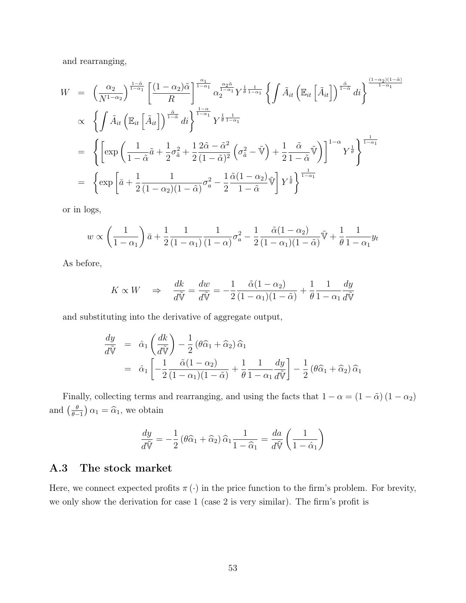and rearranging,

$$
W = \left(\frac{\alpha_2}{N^{1-\alpha_2}}\right)^{\frac{1-\tilde{\alpha}}{1-\alpha_1}} \left[\frac{(1-\alpha_2)\tilde{\alpha}}{R}\right]^{\frac{\alpha_1}{1-\alpha_1}} \alpha_2^{\frac{\alpha_2\tilde{\alpha}}{1-\alpha_1}} Y^{\frac{1}{\theta}\frac{1}{1-\alpha_1}} \left\{ \int \tilde{A}_{it} \left(\mathbb{E}_{it} \left[\tilde{A}_{it}\right]\right)^{\frac{\tilde{\alpha}}{1-\alpha_1}} di \right\}^{\frac{(1-\alpha_2)(1-\tilde{\alpha})}{1-\alpha_1}}
$$
  

$$
\propto \left\{ \int \tilde{A}_{it} \left(\mathbb{E}_{it} \left[\tilde{A}_{it}\right]\right)^{\frac{\tilde{\alpha}}{1-\tilde{\alpha}}} di \right\}^{\frac{1-\alpha}{1-\alpha_1}} Y^{\frac{1}{\theta}\frac{1}{1-\alpha_1}}
$$
  

$$
= \left\{ \left[ \exp\left(\frac{1}{1-\tilde{\alpha}}\tilde{a} + \frac{1}{2}\sigma_{\tilde{a}}^2 + \frac{1}{2}\frac{2\tilde{\alpha} - \tilde{\alpha}^2}{(1-\tilde{\alpha})^2} \left(\sigma_{\tilde{a}}^2 - \tilde{V}\right) + \frac{1}{2}\frac{\tilde{\alpha}}{1-\tilde{\alpha}} \tilde{V} \right) \right\}^{\frac{1-\alpha}{1-\alpha_1}} Y^{\frac{1}{\theta}} \right\}^{\frac{1}{1-\alpha_1}}
$$
  

$$
= \left\{ \exp\left[\bar{a} + \frac{1}{2}\frac{1}{(1-\alpha_2)(1-\tilde{\alpha})}\sigma_a^2 - \frac{1}{2}\frac{\tilde{\alpha}(1-\alpha_2)}{1-\tilde{\alpha}}\tilde{V} \right] Y^{\frac{1}{\theta}} \right\}^{\frac{1}{1-\alpha_1}}
$$

or in logs,

$$
w \propto \left(\frac{1}{1-\alpha_1}\right)\bar{a} + \frac{1}{2}\frac{1}{(1-\alpha_1)}\frac{1}{(1-\alpha)}\sigma_a^2 - \frac{1}{2}\frac{\tilde{\alpha}(1-\alpha_2)}{(1-\alpha_1)(1-\tilde{\alpha})}\tilde{v} + \frac{1}{\theta}\frac{1}{1-\alpha_1}y_t
$$

As before,

$$
K \propto W \quad \Rightarrow \quad \frac{dk}{d\tilde{\mathbf{W}}} = \frac{dw}{d\tilde{\mathbf{W}}} = -\frac{1}{2} \frac{\tilde{\alpha}(1-\alpha_2)}{(1-\alpha_1)(1-\tilde{\alpha})} + \frac{1}{\theta} \frac{1}{1-\alpha_1} \frac{dy}{d\tilde{\mathbf{W}}}
$$

and substituting into the derivative of aggregate output,

$$
\frac{dy}{d\tilde{V}} = \hat{\alpha}_1 \left( \frac{dk}{d\tilde{V}} \right) - \frac{1}{2} (\theta \hat{\alpha}_1 + \hat{\alpha}_2) \hat{\alpha}_1
$$
  
\n
$$
= \hat{\alpha}_1 \left[ -\frac{1}{2} \frac{\tilde{\alpha} (1 - \alpha_2)}{(1 - \alpha_1)(1 - \tilde{\alpha})} + \frac{1}{\theta} \frac{1}{1 - \alpha_1} \frac{dy}{d\tilde{V}} \right] - \frac{1}{2} (\theta \hat{\alpha}_1 + \hat{\alpha}_2) \hat{\alpha}_1
$$

Finally, collecting terms and rearranging, and using the facts that  $1 - \alpha = (1 - \tilde{\alpha})(1 - \alpha_2)$ and  $\left(\frac{\theta}{\theta_{-}}\right)$  $\left(\frac{\theta}{\theta-1}\right) \alpha_1 = \widehat{\alpha}_1$ , we obtain

$$
\frac{dy}{d\widetilde{V}} = -\frac{1}{2} \left( \theta \widehat{\alpha}_1 + \widehat{\alpha}_2 \right) \widehat{\alpha}_1 \frac{1}{1 - \widehat{\alpha}_1} = \frac{da}{d\widetilde{V}} \left( \frac{1}{1 - \widehat{\alpha}_1} \right)
$$

#### A.3 The stock market

Here, we connect expected profits  $\pi(\cdot)$  in the price function to the firm's problem. For brevity, we only show the derivation for case 1 (case 2 is very similar). The firm's profit is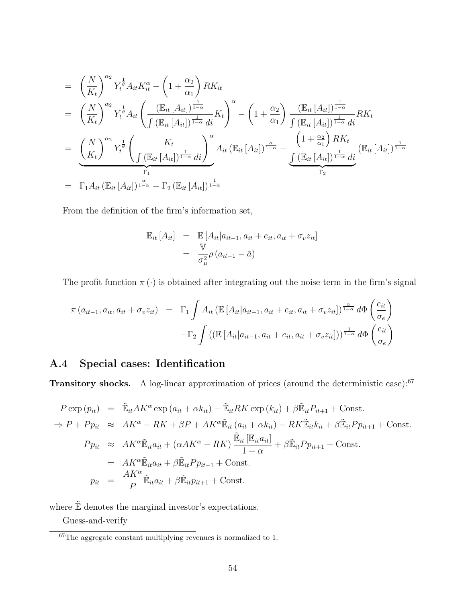$$
= \left(\frac{N}{K_t}\right)^{\alpha_2} Y_t^{\frac{1}{\theta}} A_{it} K_{it}^{\alpha} - \left(1 + \frac{\alpha_2}{\alpha_1}\right) R K_{it}
$$
  
\n
$$
= \left(\frac{N}{K_t}\right)^{\alpha_2} Y_t^{\frac{1}{\theta}} A_{it} \left(\frac{(\mathbb{E}_{it} [A_{it}])^{\frac{1}{1-\alpha}}}{\int (\mathbb{E}_{it} [A_{it}])^{\frac{1}{1-\alpha}} di} K_t\right)^{\alpha} - \left(1 + \frac{\alpha_2}{\alpha_1}\right) \frac{(\mathbb{E}_{it} [A_{it}])^{\frac{1}{1-\alpha}}}{\int (\mathbb{E}_{it} [A_{it}])^{\frac{1}{1-\alpha}} di} R K_t
$$
  
\n
$$
= \left(\frac{N}{K_t}\right)^{\alpha_2} Y_t^{\frac{1}{\theta}} \left(\frac{K_t}{\int (\mathbb{E}_{it} [A_{it}])^{\frac{1}{1-\alpha}} di}\right)^{\alpha} A_{it} (\mathbb{E}_{it} [A_{it}])^{\frac{\alpha}{1-\alpha}} - \frac{\left(1 + \frac{\alpha_2}{\alpha_1}\right) R K_t}{\int (\mathbb{E}_{it} [A_{it}])^{\frac{1}{1-\alpha}} di} (\mathbb{E}_{it} [A_{it}])^{\frac{1}{1-\alpha}}
$$
  
\n
$$
= \Gamma_1 A_{it} (\mathbb{E}_{it} [A_{it}])^{\frac{\alpha}{1-\alpha}} - \Gamma_2 (\mathbb{E}_{it} [A_{it}])^{\frac{1}{1-\alpha}}
$$

From the definition of the firm's information set,

$$
\mathbb{E}_{it}[A_{it}] = \mathbb{E}[A_{it}|a_{it-1}, a_{it} + e_{it}, a_{it} + \sigma_v z_{it}]
$$
  

$$
= \frac{\mathbb{V}}{\sigma_{\mu}^2} \rho (a_{it-1} - \bar{a})
$$

The profit function  $\pi(\cdot)$  is obtained after integrating out the noise term in the firm's signal

$$
\pi (a_{it-1}, a_{it}, a_{it} + \sigma_v z_{it}) = \Gamma_1 \int A_{it} (\mathbb{E} [A_{it}|a_{it-1}, a_{it} + e_{it}, a_{it} + \sigma_v z_{it}])^{\frac{\alpha}{1-\alpha}} d\Phi \left(\frac{e_{it}}{\sigma_e}\right)
$$

$$
-\Gamma_2 \int ((\mathbb{E} [A_{it}|a_{it-1}, a_{it} + e_{it}, a_{it} + \sigma_v z_{it}]))^{\frac{1}{1-\alpha}} d\Phi \left(\frac{e_{it}}{\sigma_e}\right)
$$

## A.4 Special cases: Identification

Transitory shocks. A log-linear approximation of prices (around the deterministic case):<sup>67</sup>

$$
P \exp (p_{it}) = \tilde{\mathbb{E}}_{it} AK^{\alpha} \exp (a_{it} + \alpha k_{it}) - \tilde{\mathbb{E}}_{it} RK \exp (k_{it}) + \beta \tilde{\mathbb{E}}_{it} P_{it+1} + \text{Const.}
$$
  
\n
$$
\Rightarrow P + P p_{it} \approx AK^{\alpha} - RK + \beta P + AK^{\alpha} \tilde{\mathbb{E}}_{it} (a_{it} + \alpha k_{it}) - RK \tilde{\mathbb{E}}_{it} k_{it} + \beta \tilde{\mathbb{E}}_{it} P p_{it+1} + \text{Const.}
$$
  
\n
$$
P p_{it} \approx AK^{\alpha} \tilde{\mathbb{E}}_{it} a_{it} + (\alpha AK^{\alpha} - RK) \frac{\tilde{\mathbb{E}}_{it} [\mathbb{E}_{it} a_{it}]}{1 - \alpha} + \beta \tilde{\mathbb{E}}_{it} P p_{it+1} + \text{Const.}
$$
  
\n
$$
= AK^{\alpha} \tilde{\mathbb{E}}_{it} a_{it} + \beta \tilde{\mathbb{E}}_{it} P p_{it+1} + \text{Const.}
$$
  
\n
$$
p_{it} = \frac{AK^{\alpha}}{P} \tilde{\mathbb{E}}_{it} a_{it} + \beta \tilde{\mathbb{E}}_{it} p_{it+1} + \text{Const.}
$$

where  $\tilde{E}$  denotes the marginal investor's expectations.

Guess-and-verify

 $67$ The aggregate constant multiplying revenues is normalized to 1.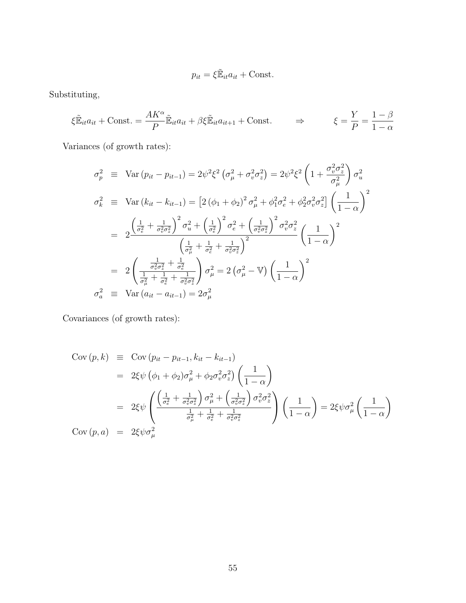$$
p_{it} = \xi \tilde{\mathbb{E}}_{it} a_{it} + \text{Const.}
$$

Substituting,

$$
\xi \tilde{\mathbb{E}}_{it} a_{it} + \text{Const.} = \frac{AK^{\alpha}}{P} \tilde{\mathbb{E}}_{it} a_{it} + \beta \xi \tilde{\mathbb{E}}_{it} a_{it+1} + \text{Const.} \qquad \Rightarrow \qquad \xi = \frac{Y}{P} = \frac{1 - \beta}{1 - \alpha}
$$

Variances (of growth rates):

$$
\sigma_p^2 \equiv \text{Var}(p_{it} - p_{it-1}) = 2\psi^2 \xi^2 \left(\sigma_\mu^2 + \sigma_v^2 \sigma_z^2\right) = 2\psi^2 \xi^2 \left(1 + \frac{\sigma_v^2 \sigma_z^2}{\sigma_\mu^2}\right) \sigma_u^2
$$
  
\n
$$
\sigma_k^2 \equiv \text{Var}(k_{it} - k_{it-1}) = \left[2\left(\phi_1 + \phi_2\right)^2 \sigma_\mu^2 + \phi_1^2 \sigma_e^2 + \phi_2^2 \sigma_v^2 \sigma_z^2\right] \left(\frac{1}{1 - \alpha}\right)^2
$$
  
\n
$$
= 2 \frac{\left(\frac{1}{\sigma_e^2} + \frac{1}{\sigma_v^2 \sigma_z^2}\right)^2 \sigma_u^2 + \left(\frac{1}{\sigma_e^2}\right)^2 \sigma_e^2 + \left(\frac{1}{\sigma_v^2 \sigma_z^2}\right)^2 \sigma_v^2 \sigma_z^2}{\left(\frac{1}{\sigma_\mu^2} + \frac{1}{\sigma_e^2} + \frac{1}{\sigma_v^2 \sigma_z^2}\right)^2}
$$
  
\n
$$
= 2 \left(\frac{\frac{1}{\sigma_\mu^2 \sigma_z^2} + \frac{1}{\sigma_e^2}}{\frac{1}{\sigma_\mu^2 \sigma_z^2} + \frac{1}{\sigma_e^2 \sigma_z^2}}\right) \sigma_\mu^2 = 2\left(\sigma_\mu^2 - \mathbb{V}\right) \left(\frac{1}{1 - \alpha}\right)^2
$$
  
\n
$$
\sigma_a^2 \equiv \text{Var}(a_{it} - a_{it-1}) = 2\sigma_\mu^2
$$

Covariances (of growth rates):

$$
Cov(p,k) \equiv Cov(p_{it} - p_{it-1}, k_{it} - k_{it-1})
$$
  
\n
$$
= 2\xi\psi(\phi_1 + \phi_2)\sigma_\mu^2 + \phi_2\sigma_v^2\sigma_z^2)\left(\frac{1}{1-\alpha}\right)
$$
  
\n
$$
= 2\xi\psi\left(\frac{\left(\frac{1}{\sigma_e^2} + \frac{1}{\sigma_v^2\sigma_z^2}\right)\sigma_\mu^2 + \left(\frac{1}{\sigma_v^2\sigma_z^2}\right)\sigma_v^2\sigma_z^2}{\frac{1}{\sigma_\mu^2} + \frac{1}{\sigma_e^2} + \frac{1}{\sigma_v^2\sigma_z^2}}\right)\left(\frac{1}{1-\alpha}\right) = 2\xi\psi\sigma_\mu^2\left(\frac{1}{1-\alpha}\right)
$$
  
\n
$$
Cov(p,a) = 2\xi\psi\sigma_\mu^2
$$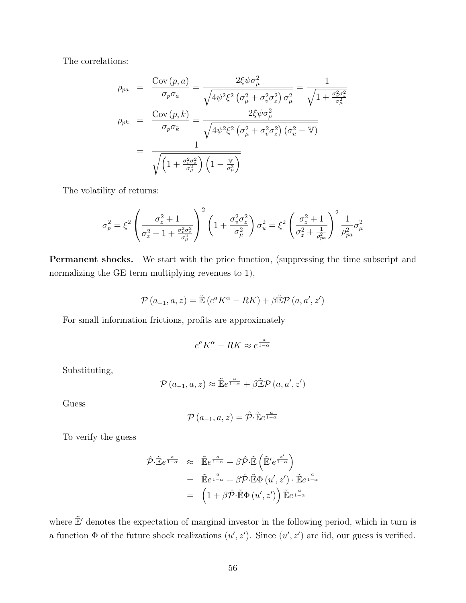The correlations:

$$
\rho_{pa} = \frac{\text{Cov}(p, a)}{\sigma_p \sigma_a} = \frac{2\xi\psi\sigma_\mu^2}{\sqrt{4\psi^2\xi^2 (\sigma_\mu^2 + \sigma_v^2 \sigma_z^2) \sigma_\mu^2}} = \frac{1}{\sqrt{1 + \frac{\sigma_v^2 \sigma_z^2}{\sigma_\mu^2}}}
$$
\n
$$
\rho_{pk} = \frac{\text{Cov}(p, k)}{\sigma_p \sigma_k} = \frac{2\xi\psi\sigma_\mu^2}{\sqrt{4\psi^2\xi^2 (\sigma_\mu^2 + \sigma_v^2 \sigma_z^2) (\sigma_u^2 - \mathbb{V})}}
$$
\n
$$
= \frac{1}{\sqrt{\left(1 + \frac{\sigma_v^2 \sigma_z^2}{\sigma_\mu^2}\right)\left(1 - \frac{\mathbb{V}}{\sigma_\mu^2}\right)}}
$$

The volatility of returns:

$$
\sigma_p^2 = \xi^2 \left( \frac{\sigma_z^2 + 1}{\sigma_z^2 + 1 + \frac{\sigma_v^2 \sigma_z^2}{\sigma_\mu^2}} \right)^2 \left( 1 + \frac{\sigma_v^2 \sigma_z^2}{\sigma_\mu^2} \right) \sigma_u^2 = \xi^2 \left( \frac{\sigma_z^2 + 1}{\sigma_z^2 + \frac{1}{\rho_{pa}^2}} \right)^2 \frac{1}{\rho_{pa}^2} \sigma_\mu^2
$$

Permanent shocks. We start with the price function, (suppressing the time subscript and normalizing the GE term multiplying revenues to 1),

$$
\mathcal{P}\left(a_{-1},a,z\right) = \tilde{\mathbb{E}}\left(e^{a}K^{\alpha} - RK\right) + \beta \tilde{\mathbb{E}}\mathcal{P}\left(a,a',z'\right)
$$

For small information frictions, profits are approximately

$$
e^a K^\alpha - R K \approx e^{\frac{a}{1-\alpha}}
$$

Substituting,

$$
\mathcal{P}\left(a_{-1},a,z\right) \approx \tilde{\mathbb{E}}e^{\frac{a}{1-\alpha}} + \beta \tilde{\mathbb{E}}\mathcal{P}\left(a,a',z'\right)
$$

Guess

$$
\mathcal{P}\left(a_{-1},a,z\right) = \hat{\mathcal{P}}\cdot\tilde{\mathbb{E}}e^{\frac{a}{1-\alpha}}
$$

To verify the guess

$$
\hat{\mathcal{P}} \cdot \tilde{\mathbb{E}} e^{\frac{a}{1-\alpha}} \approx \tilde{\mathbb{E}} e^{\frac{a}{1-\alpha}} + \beta \hat{\mathcal{P}} \cdot \tilde{\mathbb{E}} \left( \tilde{\mathbb{E}}' e^{\frac{a'}{1-\alpha}} \right)
$$
  
\n
$$
= \tilde{\mathbb{E}} e^{\frac{a}{1-\alpha}} + \beta \hat{\mathcal{P}} \cdot \tilde{\mathbb{E}} \Phi (u', z') \cdot \tilde{\mathbb{E}} e^{\frac{a}{1-\alpha}}
$$
  
\n
$$
= \left( 1 + \beta \hat{\mathcal{P}} \cdot \tilde{\mathbb{E}} \Phi (u', z') \right) \tilde{\mathbb{E}} e^{\frac{a}{1-\alpha}}
$$

where  $\tilde{\mathbb{E}}'$  denotes the expectation of marginal investor in the following period, which in turn is a function  $\Phi$  of the future shock realizations  $(u', z')$ . Since  $(u', z')$  are iid, our guess is verified.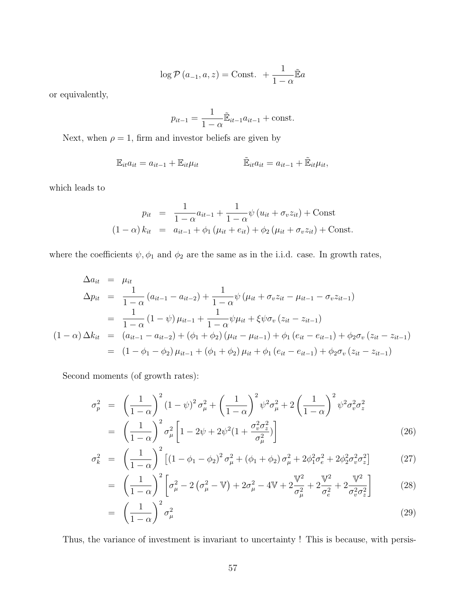$$
\log \mathcal{P}\left(a_{-1}, a, z\right) = \text{Const.} + \frac{1}{1 - \alpha} \tilde{\mathbb{E}} a
$$

or equivalently,

$$
p_{it-1} = \frac{1}{1 - \alpha} \tilde{\mathbb{E}}_{it-1} a_{it-1} + \text{const.}
$$

Next, when  $\rho = 1$ , firm and investor beliefs are given by

$$
\mathbb{E}_{it} a_{it} = a_{it-1} + \mathbb{E}_{it} \mu_{it} \qquad \qquad \mathbb{\tilde{E}}_{it} a_{it} = a_{it-1} + \mathbb{\tilde{E}}_{it} \mu_{it},
$$

which leads to

$$
p_{it} = \frac{1}{1 - \alpha} a_{it-1} + \frac{1}{1 - \alpha} \psi (u_{it} + \sigma_v z_{it}) + \text{Const}
$$
  
(1 - \alpha) k\_{it} = a\_{it-1} + \phi\_1 (\mu\_{it} + e\_{it}) + \phi\_2 (\mu\_{it} + \sigma\_v z\_{it}) + \text{Const.}

where the coefficients  $\psi$ ,  $\phi_1$  and  $\phi_2$  are the same as in the i.i.d. case. In growth rates,

$$
\Delta a_{it} = \mu_{it}
$$
\n
$$
\Delta p_{it} = \frac{1}{1 - \alpha} (a_{it-1} - a_{it-2}) + \frac{1}{1 - \alpha} \psi (\mu_{it} + \sigma_v z_{it} - \mu_{it-1} - \sigma_v z_{it-1})
$$
\n
$$
= \frac{1}{1 - \alpha} (1 - \psi) \mu_{it-1} + \frac{1}{1 - \alpha} \psi \mu_{it} + \xi \psi \sigma_v (z_{it} - z_{it-1})
$$
\n
$$
(1 - \alpha) \Delta k_{it} = (a_{it-1} - a_{it-2}) + (\phi_1 + \phi_2) (\mu_{it} - \mu_{it-1}) + \phi_1 (e_{it} - e_{it-1}) + \phi_2 \sigma_v (z_{it} - z_{it-1})
$$
\n
$$
= (1 - \phi_1 - \phi_2) \mu_{it-1} + (\phi_1 + \phi_2) \mu_{it} + \phi_1 (e_{it} - e_{it-1}) + \phi_2 \sigma_v (z_{it} - z_{it-1})
$$

Second moments (of growth rates):

$$
\sigma_p^2 = \left(\frac{1}{1-\alpha}\right)^2 (1-\psi)^2 \sigma_\mu^2 + \left(\frac{1}{1-\alpha}\right)^2 \psi^2 \sigma_\mu^2 + 2\left(\frac{1}{1-\alpha}\right)^2 \psi^2 \sigma_v^2 \sigma_z^2
$$
\n
$$
= \left(\frac{1}{1-\alpha}\right)^2 \sigma_\mu^2 \left[1 - 2\psi + 2\psi^2 (1 + \frac{\sigma_v^2 \sigma_z^2}{\sigma_\mu^2})\right]
$$
\n(26)

$$
\sigma_k^2 = \left(\frac{1}{1-\alpha}\right)^2 \left[ \left(1-\phi_1-\phi_2\right)^2 \sigma_\mu^2 + \left(\phi_1+\phi_2\right) \sigma_\mu^2 + 2\phi_1^2 \sigma_e^2 + 2\phi_2^2 \sigma_v^2 \sigma_z^2 \right] \tag{27}
$$

$$
= \left(\frac{1}{1-\alpha}\right)^2 \left[\sigma_{\mu}^2 - 2\left(\sigma_{\mu}^2 - \mathbb{V}\right) + 2\sigma_{\mu}^2 - 4\mathbb{V} + 2\frac{\mathbb{V}^2}{\sigma_{\mu}^2} + 2\frac{\mathbb{V}^2}{\sigma_{e}^2} + 2\frac{\mathbb{V}^2}{\sigma_{v}^2 \sigma_{z}^2}\right]
$$
(28)

$$
= \left(\frac{1}{1-\alpha}\right)^2 \sigma_\mu^2 \tag{29}
$$

Thus, the variance of investment is invariant to uncertainty ! This is because, with persis-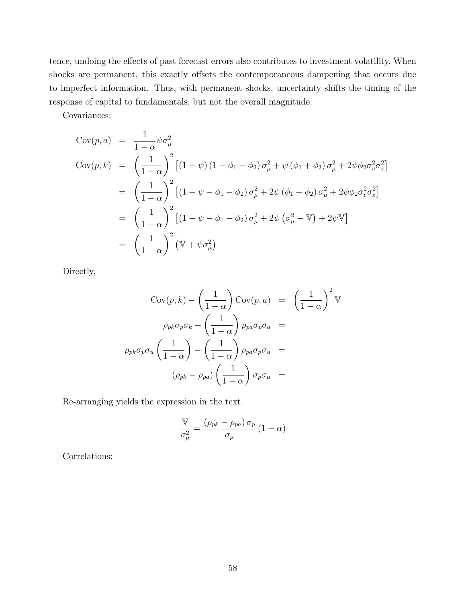tence, undoing the effects of past forecast errors also contributes to investment volatility. When shocks are permanent, this exactly offsets the contemporaneous dampening that occurs due to imperfect information. Thus, with permanent shocks, uncertainty shifts the timing of the response of capital to fundamentals, but not the overall magnitude.

Covariances:

$$
Cov(p, a) = \frac{1}{1 - \alpha} \psi \sigma_{\mu}^{2}
$$
  
\n
$$
Cov(p, k) = \left(\frac{1}{1 - \alpha}\right)^{2} \left[ (1 - \psi) (1 - \phi_{1} - \phi_{2}) \sigma_{\mu}^{2} + \psi (\phi_{1} + \phi_{2}) \sigma_{\mu}^{2} + 2\psi \phi_{2} \sigma_{v}^{2} \sigma_{z}^{2} \right]
$$
  
\n
$$
= \left(\frac{1}{1 - \alpha}\right)^{2} \left[ (1 - \psi - \phi_{1} - \phi_{2}) \sigma_{\mu}^{2} + 2\psi (\phi_{1} + \phi_{2}) \sigma_{\mu}^{2} + 2\psi \phi_{2} \sigma_{v}^{2} \sigma_{z}^{2} \right]
$$
  
\n
$$
= \left(\frac{1}{1 - \alpha}\right)^{2} \left[ (1 - \psi - \phi_{1} - \phi_{2}) \sigma_{\mu}^{2} + 2\psi (\sigma_{\mu}^{2} - \mathbb{V}) + 2\psi \mathbb{V} \right]
$$
  
\n
$$
= \left(\frac{1}{1 - \alpha}\right)^{2} (\mathbb{V} + \psi \sigma_{\mu}^{2})
$$

Directly,

$$
Cov(p, k) - \left(\frac{1}{1 - \alpha}\right) Cov(p, a) = \left(\frac{1}{1 - \alpha}\right)^2 V
$$

$$
\rho_{pk} \sigma_p \sigma_k - \left(\frac{1}{1 - \alpha}\right) \rho_{pa} \sigma_p \sigma_a =
$$

$$
\rho_{pk} \sigma_p \sigma_u \left(\frac{1}{1 - \alpha}\right) - \left(\frac{1}{1 - \alpha}\right) \rho_{pa} \sigma_p \sigma_u =
$$

$$
(\rho_{pk} - \rho_{pa}) \left(\frac{1}{1 - \alpha}\right) \sigma_p \sigma_\mu =
$$

Re-arranging yields the expression in the text.

$$
\frac{\mathbb{V}}{\sigma_{\mu}^{2}} = \frac{(\rho_{pk} - \rho_{pa}) \sigma_{p}}{\sigma_{\mu}} (1 - \alpha)
$$

Correlations: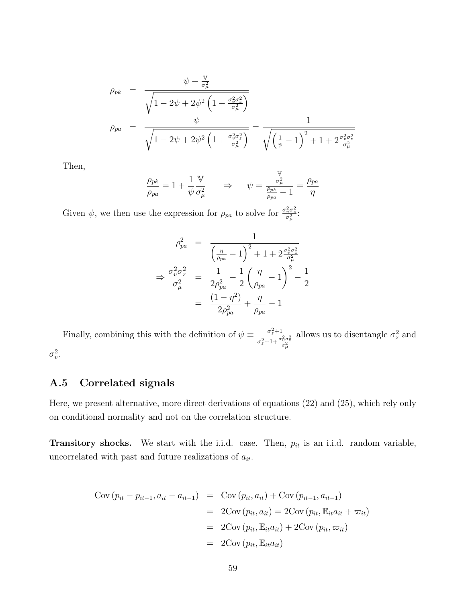$$
\rho_{pk} = \frac{\psi + \frac{\mathbb{V}}{\sigma_{\mu}^{2}}}{\sqrt{1 - 2\psi + 2\psi^{2} \left(1 + \frac{\sigma_{v}^{2} \sigma_{z}^{2}}{\sigma_{\mu}^{2}}\right)}}
$$
\n
$$
\rho_{pa} = \frac{\psi}{\sqrt{1 - 2\psi + 2\psi^{2} \left(1 + \frac{\sigma_{v}^{2} \sigma_{z}^{2}}{\sigma_{\mu}^{2}}\right)}} = \frac{1}{\sqrt{\left(\frac{1}{\psi} - 1\right)^{2} + 1 + 2\frac{\sigma_{v}^{2} \sigma_{z}^{2}}{\sigma_{\mu}^{2}}}}
$$

Then,

$$
\frac{\rho_{pk}}{\rho_{pa}} = 1 + \frac{1}{\psi} \frac{\mathbb{V}}{\sigma_{\mu}^2} \qquad \Rightarrow \qquad \psi = \frac{\frac{\mathbb{V}}{\sigma_{\mu}^2}}{\frac{\rho_{pk}}{\rho_{pa}} - 1} = \frac{\rho_{pa}}{\eta}
$$

Given  $\psi$ , we then use the expression for  $\rho_{pa}$  to solve for  $\frac{\sigma_v^2 \sigma_z^2}{\sigma_\mu^2}$ :

$$
\rho_{pa}^2 = \frac{1}{\left(\frac{\eta}{\rho_{pa}} - 1\right)^2 + 1 + 2\frac{\sigma_v^2 \sigma_z^2}{\sigma_\mu^2}}
$$
\n
$$
\Rightarrow \frac{\sigma_v^2 \sigma_z^2}{\sigma_\mu^2} = \frac{1}{2\rho_{pa}^2} - \frac{1}{2}\left(\frac{\eta}{\rho_{pa}} - 1\right)^2 - \frac{1}{2}
$$
\n
$$
= \frac{(1 - \eta^2)}{2\rho_{pa}^2} + \frac{\eta}{\rho_{pa}} - 1
$$

Finally, combining this with the definition of  $\psi \equiv \frac{\sigma_z^2 + 1}{\sigma_z^2}$  $\overline{\sigma_z^2+1+\frac{\sigma_v^2\sigma_z^2}{\sigma_\mu^2}}$ allows us to disentangle  $\sigma_z^2$  and  $\sigma_v^2$ .

## A.5 Correlated signals

Here, we present alternative, more direct derivations of equations (22) and (25), which rely only on conditional normality and not on the correlation structure.

**Transitory shocks.** We start with the i.i.d. case. Then,  $p_{it}$  is an i.i.d. random variable, uncorrelated with past and future realizations of  $a_{it}$ .

$$
Cov(p_{it} - p_{it-1}, a_{it} - a_{it-1}) = Cov(p_{it}, a_{it}) + Cov(p_{it-1}, a_{it-1})
$$
  

$$
= 2Cov(p_{it}, a_{it}) = 2Cov(p_{it}, \mathbb{E}_{it}a_{it} + \varpi_{it})
$$
  

$$
= 2Cov(p_{it}, \mathbb{E}_{it}a_{it}) + 2Cov(p_{it}, \varpi_{it})
$$
  

$$
= 2Cov(p_{it}, \mathbb{E}_{it}a_{it})
$$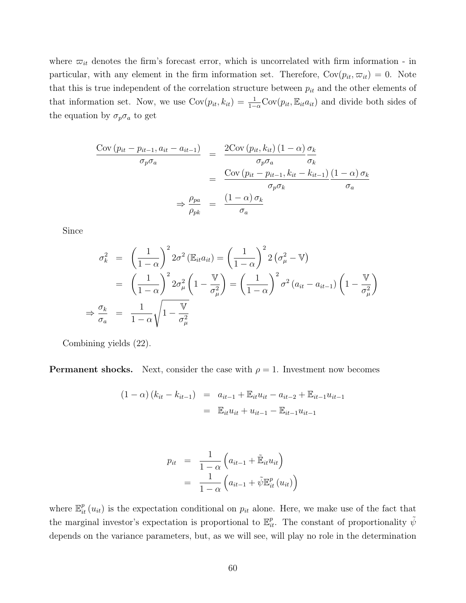where  $\varpi_{it}$  denotes the firm's forecast error, which is uncorrelated with firm information - in particular, with any element in the firm information set. Therefore,  $Cov(p_{it}, \varpi_{it}) = 0$ . Note that this is true independent of the correlation structure between  $p_{it}$  and the other elements of that information set. Now, we use  $Cov(p_{it}, k_{it}) = \frac{1}{1-\alpha} Cov(p_{it}, \mathbb{E}_{it} a_{it})$  and divide both sides of the equation by  $\sigma_p \sigma_a$  to get

$$
\frac{\text{Cov}(p_{it} - p_{it-1}, a_{it} - a_{it-1})}{\sigma_p \sigma_a} = \frac{2\text{Cov}(p_{it}, k_{it}) (1 - \alpha)}{\sigma_p \sigma_a} \frac{\sigma_k}{\sigma_k}
$$

$$
= \frac{\text{Cov}(p_{it} - p_{it-1}, k_{it} - k_{it-1})}{\sigma_p \sigma_k} \frac{(1 - \alpha) \sigma_k}{\sigma_a}
$$

$$
\Rightarrow \frac{\rho_{pa}}{\rho_{pk}} = \frac{(1 - \alpha) \sigma_k}{\sigma_a}
$$

Since

$$
\sigma_k^2 = \left(\frac{1}{1-\alpha}\right)^2 2\sigma^2 \left(\mathbb{E}_{it} a_{it}\right) = \left(\frac{1}{1-\alpha}\right)^2 2\left(\sigma_\mu^2 - \mathbb{V}\right)
$$
  
\n
$$
= \left(\frac{1}{1-\alpha}\right)^2 2\sigma_\mu^2 \left(1 - \frac{\mathbb{V}}{\sigma_\mu^2}\right) = \left(\frac{1}{1-\alpha}\right)^2 \sigma^2 \left(a_{it} - a_{it-1}\right) \left(1 - \frac{\mathbb{V}}{\sigma_\mu^2}\right)
$$
  
\n
$$
\Rightarrow \frac{\sigma_k}{\sigma_a} = \frac{1}{1-\alpha} \sqrt{1 - \frac{\mathbb{V}}{\sigma_\mu^2}}
$$

Combining yields (22).

**Permanent shocks.** Next, consider the case with  $\rho = 1$ . Investment now becomes

$$
(1 - \alpha) (k_{it} - k_{it-1}) = a_{it-1} + \mathbb{E}_{it} u_{it} - a_{it-2} + \mathbb{E}_{it-1} u_{it-1}
$$
  
=  $\mathbb{E}_{it} u_{it} + u_{it-1} - \mathbb{E}_{it-1} u_{it-1}$ 

$$
p_{it} = \frac{1}{1-\alpha} \left( a_{it-1} + \tilde{\mathbb{E}}_{it} u_{it} \right)
$$
  
= 
$$
\frac{1}{1-\alpha} \left( a_{it-1} + \tilde{\psi} \mathbb{E}_{it}^{p} \left( u_{it} \right) \right)
$$

where  $\mathbb{E}_{it}^{p}(u_{it})$  is the expectation conditional on  $p_{it}$  alone. Here, we make use of the fact that the marginal investor's expectation is proportional to  $\mathbb{E}_{it}^p$ . The constant of proportionality  $\tilde{\psi}$ depends on the variance parameters, but, as we will see, will play no role in the determination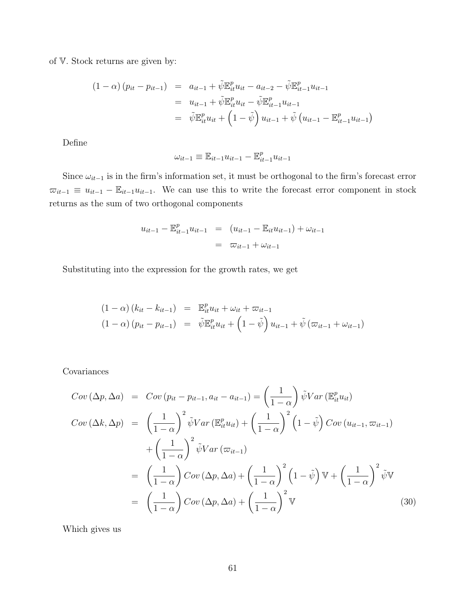of V. Stock returns are given by:

$$
(1 - \alpha) (p_{it} - p_{it-1}) = a_{it-1} + \tilde{\psi} \mathbb{E}_{it}^{p} u_{it} - a_{it-2} - \tilde{\psi} \mathbb{E}_{it-1}^{p} u_{it-1}
$$
  

$$
= u_{it-1} + \tilde{\psi} \mathbb{E}_{it}^{p} u_{it} - \tilde{\psi} \mathbb{E}_{it-1}^{p} u_{it-1}
$$
  

$$
= \tilde{\psi} \mathbb{E}_{it}^{p} u_{it} + (1 - \tilde{\psi}) u_{it-1} + \tilde{\psi} (u_{it-1} - \mathbb{E}_{it-1}^{p} u_{it-1})
$$

Define

$$
\omega_{it-1} \equiv \mathbb{E}_{it-1} u_{it-1} - \mathbb{E}_{it-1}^p u_{it-1}
$$

Since  $\omega_{it-1}$  is in the firm's information set, it must be orthogonal to the firm's forecast error  $\overline{\omega}_{it-1} \equiv u_{it-1} - \mathbb{E}_{it-1}u_{it-1}$ . We can use this to write the forecast error component in stock returns as the sum of two orthogonal components

$$
u_{it-1} - \mathbb{E}_{it-1}^p u_{it-1} = (u_{it-1} - \mathbb{E}_{it} u_{it-1}) + \omega_{it-1}
$$
  
=  $\varpi_{it-1} + \omega_{it-1}$ 

Substituting into the expression for the growth rates, we get

$$
(1 - \alpha) (k_{it} - k_{it-1}) = \mathbb{E}_{it}^{p} u_{it} + \omega_{it} + \varpi_{it-1}
$$
  

$$
(1 - \alpha) (p_{it} - p_{it-1}) = \tilde{\psi} \mathbb{E}_{it}^{p} u_{it} + (1 - \tilde{\psi}) u_{it-1} + \tilde{\psi} (\varpi_{it-1} + \omega_{it-1})
$$

Covariances

$$
Cov (\Delta p, \Delta a) = Cov (p_{it} - p_{it-1}, a_{it} - a_{it-1}) = \left(\frac{1}{1-\alpha}\right) \tilde{\psi} Var \left(\mathbb{E}_{it}^{p} u_{it}\right)
$$
  
\n
$$
Cov (\Delta k, \Delta p) = \left(\frac{1}{1-\alpha}\right)^{2} \tilde{\psi} Var \left(\mathbb{E}_{it}^{p} u_{it}\right) + \left(\frac{1}{1-\alpha}\right)^{2} \left(1-\tilde{\psi}\right) Cov (u_{it-1}, \varpi_{it-1})
$$
  
\n
$$
+ \left(\frac{1}{1-\alpha}\right)^{2} \tilde{\psi} Var (\varpi_{it-1})
$$
  
\n
$$
= \left(\frac{1}{1-\alpha}\right) Cov (\Delta p, \Delta a) + \left(\frac{1}{1-\alpha}\right)^{2} \left(1-\tilde{\psi}\right) \mathbb{V} + \left(\frac{1}{1-\alpha}\right)^{2} \tilde{\psi} \mathbb{V}
$$
  
\n
$$
= \left(\frac{1}{1-\alpha}\right) Cov (\Delta p, \Delta a) + \left(\frac{1}{1-\alpha}\right)^{2} \mathbb{V}
$$
  
\n(30)

Which gives us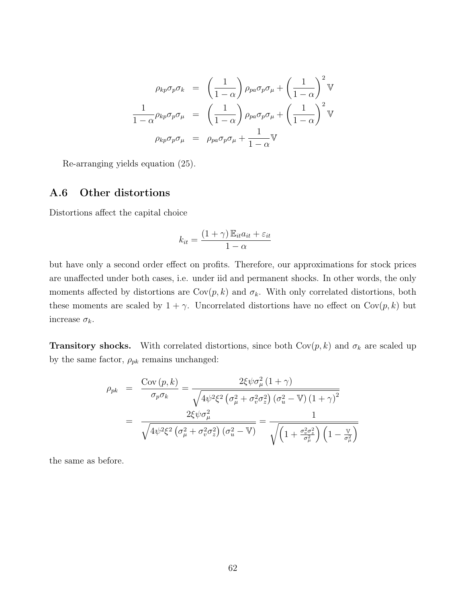$$
\rho_{kp}\sigma_p\sigma_k = \left(\frac{1}{1-\alpha}\right)\rho_{pa}\sigma_p\sigma_\mu + \left(\frac{1}{1-\alpha}\right)^2 \mathbb{V}
$$

$$
\frac{1}{1-\alpha}\rho_{kp}\sigma_p\sigma_\mu = \left(\frac{1}{1-\alpha}\right)\rho_{pa}\sigma_p\sigma_\mu + \left(\frac{1}{1-\alpha}\right)^2 \mathbb{V}
$$

$$
\rho_{kp}\sigma_p\sigma_\mu = \rho_{pa}\sigma_p\sigma_\mu + \frac{1}{1-\alpha}\mathbb{V}
$$

Re-arranging yields equation (25).

#### A.6 Other distortions

Distortions affect the capital choice

$$
k_{it} = \frac{(1+\gamma)\mathbb{E}_{it}a_{it} + \varepsilon_{it}}{1-\alpha}
$$

but have only a second order effect on profits. Therefore, our approximations for stock prices are unaffected under both cases, i.e. under iid and permanent shocks. In other words, the only moments affected by distortions are  $Cov(p, k)$  and  $\sigma_k$ . With only correlated distortions, both these moments are scaled by  $1 + \gamma$ . Uncorrelated distortions have no effect on Cov $(p, k)$  but increase  $\sigma_k$ .

**Transitory shocks.** With correlated distortions, since both  $Cov(p, k)$  and  $\sigma_k$  are scaled up by the same factor,  $\rho_{pk}$  remains unchanged:

$$
\rho_{pk} = \frac{\text{Cov}(p,k)}{\sigma_p \sigma_k} = \frac{2\xi\psi\sigma_\mu^2 (1+\gamma)}{\sqrt{4\psi^2 \xi^2 (\sigma_\mu^2 + \sigma_v^2 \sigma_z^2) (\sigma_u^2 - \mathbb{V}) (1+\gamma)^2}}
$$

$$
= \frac{2\xi\psi\sigma_\mu^2}{\sqrt{4\psi^2 \xi^2 (\sigma_\mu^2 + \sigma_v^2 \sigma_z^2) (\sigma_u^2 - \mathbb{V})}} = \frac{1}{\sqrt{\left(1 + \frac{\sigma_v^2 \sigma_z^2}{\sigma_\mu^2}\right) \left(1 - \frac{\mathbb{V}}{\sigma_\mu^2}\right)}}
$$

the same as before.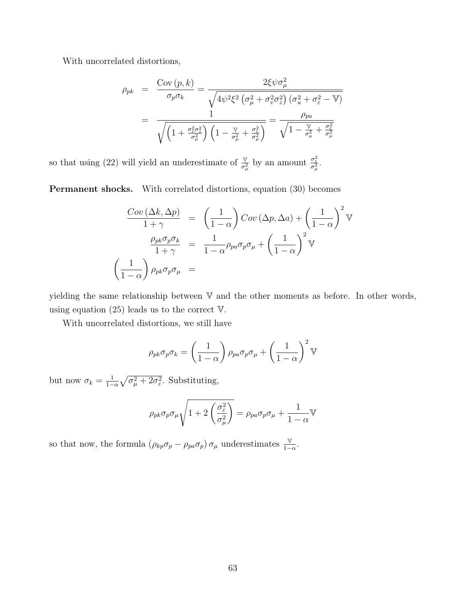With uncorrelated distortions,

$$
\rho_{pk} = \frac{\text{Cov}(p, k)}{\sigma_p \sigma_k} = \frac{2\xi \psi \sigma_\mu^2}{\sqrt{4\psi^2 \xi^2 \left(\sigma_\mu^2 + \sigma_v^2 \sigma_z^2\right) \left(\sigma_u^2 + \sigma_\varepsilon^2 - \mathbb{V}\right)}}
$$
\n
$$
= \frac{1}{\sqrt{\left(1 + \frac{\sigma_v^2 \sigma_z^2}{\sigma_\mu^2}\right) \left(1 - \frac{\mathbb{V}}{\sigma_\mu^2} + \frac{\sigma_\varepsilon^2}{\sigma_\mu^2}\right)}} = \frac{\rho_{pa}}{\sqrt{1 - \frac{\mathbb{V}}{\sigma_\mu^2} + \frac{\sigma_\varepsilon^2}{\sigma_\mu^2}}}
$$

so that using (22) will yield an underestimate of  $\frac{V}{\sigma_\mu^2}$  by an amount  $\frac{\sigma_\varepsilon^2}{\sigma_\mu^2}$ .

Permanent shocks. With correlated distortions, equation (30) becomes

$$
\frac{Cov(\Delta k, \Delta p)}{1+\gamma} = \left(\frac{1}{1-\alpha}\right)Cov(\Delta p, \Delta a) + \left(\frac{1}{1-\alpha}\right)^2 \mathbb{V}
$$

$$
\frac{\rho_{pk}\sigma_p\sigma_k}{1+\gamma} = \frac{1}{1-\alpha}\rho_{pa}\sigma_p\sigma_\mu + \left(\frac{1}{1-\alpha}\right)^2 \mathbb{V}
$$

$$
\left(\frac{1}{1-\alpha}\right)\rho_{pk}\sigma_p\sigma_\mu =
$$

yielding the same relationship between V and the other moments as before. In other words, using equation  $(25)$  leads us to the correct  $V$ .

With uncorrelated distortions, we still have

$$
\rho_{pk}\sigma_p\sigma_k = \left(\frac{1}{1-\alpha}\right)\rho_{pa}\sigma_p\sigma_\mu + \left(\frac{1}{1-\alpha}\right)^2 \mathbb{V}
$$

but now  $\sigma_k = \frac{1}{1 - \epsilon}$  $\frac{1}{1-\alpha}\sqrt{\sigma_{\mu}^2+2\sigma_{\varepsilon}^2}$ . Substituting,

$$
\rho_{pk}\sigma_p\sigma_\mu\sqrt{1+2\left(\frac{\sigma_\varepsilon^2}{\sigma_\mu^2}\right)} = \rho_{pa}\sigma_p\sigma_\mu + \frac{1}{1-\alpha}\mathbb{V}
$$

so that now, the formula  $(\rho_{kp}\sigma_p - \rho_{pa}\sigma_p)\sigma_\mu$  underestimates  $\frac{\mathbb{V}}{1-\alpha}$ .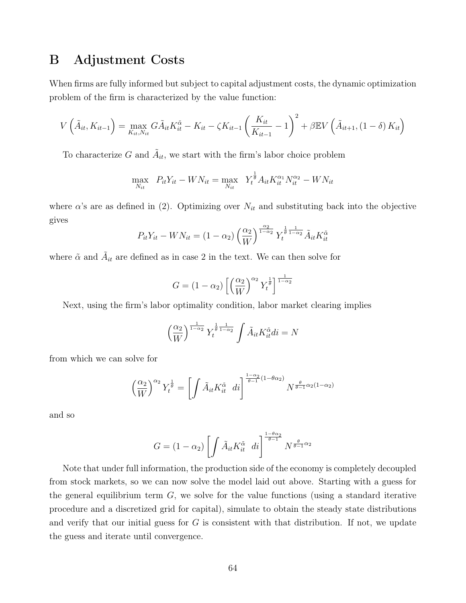## B Adjustment Costs

When firms are fully informed but subject to capital adjustment costs, the dynamic optimization problem of the firm is characterized by the value function:

$$
V\left(\tilde{A}_{it}, K_{it-1}\right) = \max_{K_{it}, N_{it}} G \tilde{A}_{it} K_{it}^{\tilde{\alpha}} - K_{it} - \zeta K_{it-1} \left(\frac{K_{it}}{K_{it-1}} - 1\right)^2 + \beta \mathbb{E} V\left(\tilde{A}_{it+1}, (1-\delta) K_{it}\right)
$$

To characterize G and  $\tilde{A}_{it}$ , we start with the firm's labor choice problem

$$
\max_{N_{it}} P_{it}Y_{it} - WN_{it} = \max_{N_{it}} Y_t^{\frac{1}{\theta}} A_{it} K_{it}^{\alpha_1} N_{it}^{\alpha_2} - WN_{it}
$$

where  $\alpha$ 's are as defined in (2). Optimizing over  $N_{it}$  and substituting back into the objective gives

$$
P_{it}Y_{it} - WN_{it} = (1 - \alpha_2) \left(\frac{\alpha_2}{W}\right)^{\frac{\alpha_2}{1 - \alpha_2}} Y_t^{\frac{1}{\theta} \frac{1}{1 - \alpha_2}} \tilde{A}_{it} K_{it}^{\tilde{\alpha}}
$$

where  $\tilde{\alpha}$  and  $\tilde{A}_{it}$  are defined as in case 2 in the text. We can then solve for

$$
G = (1 - \alpha_2) \left[ \left( \frac{\alpha_2}{W} \right)^{\alpha_2} Y_t^{\frac{1}{\theta}} \right]^{\frac{1}{1 - \alpha_2}}
$$

Next, using the firm's labor optimality condition, labor market clearing implies

$$
\left(\frac{\alpha_2}{W}\right)^{\frac{1}{1-\alpha_2}} Y_t^{\frac{1}{\theta} \frac{1}{1-\alpha_2}} \int \tilde{A}_{it} K_{it}^{\tilde{\alpha}} di = N
$$

from which we can solve for

$$
\left(\frac{\alpha_2}{W}\right)^{\alpha_2} Y_t^{\frac{1}{\theta}} = \left[ \int \tilde{A}_{it} K_{it}^{\tilde{\alpha}} \, di \right]^{\frac{1-\alpha_2}{\theta-1}(1-\theta\alpha_2)} N^{\frac{\theta}{\theta-1}\alpha_2(1-\alpha_2)}
$$

and so

$$
G = (1 - \alpha_2) \left[ \int \tilde{A}_{it} K_{it}^{\tilde{\alpha}} \ d\tilde{\iota} \right]^{\frac{1 - \theta \alpha_2}{\theta - 1}} N^{\frac{\theta}{\theta - 1} \alpha_2}
$$

Note that under full information, the production side of the economy is completely decoupled from stock markets, so we can now solve the model laid out above. Starting with a guess for the general equilibrium term  $G$ , we solve for the value functions (using a standard iterative procedure and a discretized grid for capital), simulate to obtain the steady state distributions and verify that our initial guess for  $G$  is consistent with that distribution. If not, we update the guess and iterate until convergence.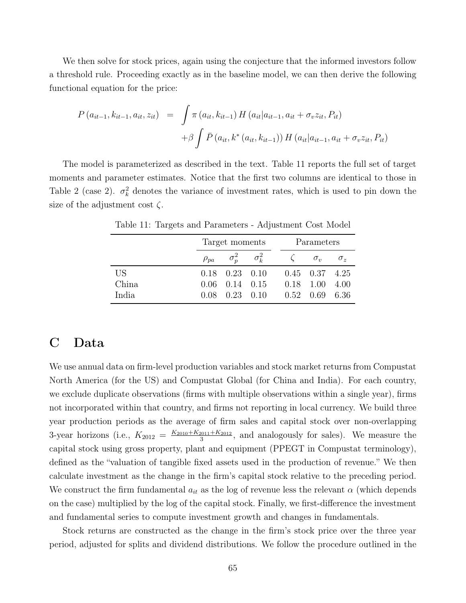We then solve for stock prices, again using the conjecture that the informed investors follow a threshold rule. Proceeding exactly as in the baseline model, we can then derive the following functional equation for the price:

$$
P(a_{it-1}, k_{it-1}, a_{it}, z_{it}) = \int \pi(a_{it}, k_{it-1}) H(a_{it}|a_{it-1}, a_{it} + \sigma_v z_{it}, P_{it})
$$

$$
+ \beta \int \bar{P}(a_{it}, k^*(a_{it}, k_{it-1})) H(a_{it}|a_{it-1}, a_{it} + \sigma_v z_{it}, P_{it})
$$

The model is parameterized as described in the text. Table 11 reports the full set of target moments and parameter estimates. Notice that the first two columns are identical to those in Table 2 (case 2).  $\sigma_k^2$  denotes the variance of investment rates, which is used to pin down the size of the adjustment cost  $\zeta$ .

|                 | Target moments                            |  | Parameters |                              |  |  |
|-----------------|-------------------------------------------|--|------------|------------------------------|--|--|
|                 | $\rho_{pa}$ $\sigma_n^2$ $\sigma_k^2$     |  |            | $\sigma_v$ , $\sigma_z$      |  |  |
| US <sup>-</sup> | $0.18$ $0.23$ $0.10$                      |  |            | $0.45$ $0.37$ $4.25$         |  |  |
| China           | $0.06$ $0.14$ $0.15$ $0.18$ $1.00$ $4.00$ |  |            |                              |  |  |
| India           | $0.08$ $0.23$ $0.10$                      |  |            | $0.52 \quad 0.69 \quad 6.36$ |  |  |

Table 11: Targets and Parameters - Adjustment Cost Model

# C Data

We use annual data on firm-level production variables and stock market returns from Compustat North America (for the US) and Compustat Global (for China and India). For each country, we exclude duplicate observations (firms with multiple observations within a single year), firms not incorporated within that country, and firms not reporting in local currency. We build three year production periods as the average of firm sales and capital stock over non-overlapping 3-year horizons (i.e.,  $K_{2012} = \frac{K_{2010} + K_{2011} + K_{2012}}{3}$  $\frac{2011 + K_{2012}}{3}$ , and analogously for sales). We measure the capital stock using gross property, plant and equipment (PPEGT in Compustat terminology), defined as the "valuation of tangible fixed assets used in the production of revenue." We then calculate investment as the change in the firm's capital stock relative to the preceding period. We construct the firm fundamental  $a_{it}$  as the log of revenue less the relevant  $\alpha$  (which depends on the case) multiplied by the log of the capital stock. Finally, we first-difference the investment and fundamental series to compute investment growth and changes in fundamentals.

Stock returns are constructed as the change in the firm's stock price over the three year period, adjusted for splits and dividend distributions. We follow the procedure outlined in the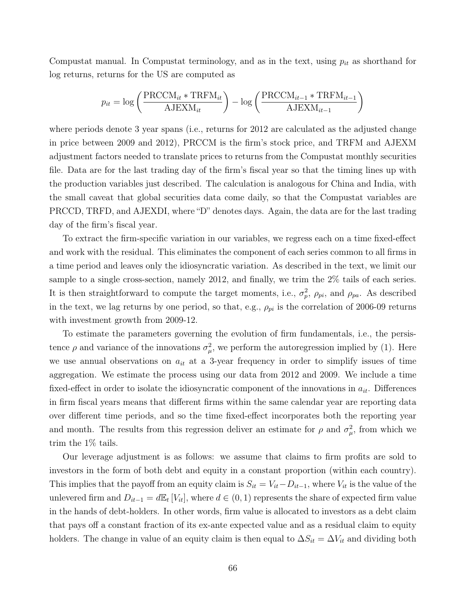Compustat manual. In Compustat terminology, and as in the text, using  $p_{it}$  as shorthand for log returns, returns for the US are computed as

$$
p_{it} = \log \left( \frac{\text{PRCCM}_{it} * \text{TRFM}_{it}}{\text{AJEXM}_{it}} \right) - \log \left( \frac{\text{PRCCM}_{it-1} * \text{TRFM}_{it-1}}{\text{AJEXM}_{it-1}} \right)
$$

where periods denote 3 year spans (i.e., returns for 2012 are calculated as the adjusted change in price between 2009 and 2012), PRCCM is the firm's stock price, and TRFM and AJEXM adjustment factors needed to translate prices to returns from the Compustat monthly securities file. Data are for the last trading day of the firm's fiscal year so that the timing lines up with the production variables just described. The calculation is analogous for China and India, with the small caveat that global securities data come daily, so that the Compustat variables are PRCCD, TRFD, and AJEXDI, where "D" denotes days. Again, the data are for the last trading day of the firm's fiscal year.

To extract the firm-specific variation in our variables, we regress each on a time fixed-effect and work with the residual. This eliminates the component of each series common to all firms in a time period and leaves only the idiosyncratic variation. As described in the text, we limit our sample to a single cross-section, namely 2012, and finally, we trim the 2% tails of each series. It is then straightforward to compute the target moments, i.e.,  $\sigma_p^2$ ,  $\rho_{pi}$ , and  $\rho_{pa}$ . As described in the text, we lag returns by one period, so that, e.g.,  $\rho_{pi}$  is the correlation of 2006-09 returns with investment growth from 2009-12.

To estimate the parameters governing the evolution of firm fundamentals, i.e., the persistence  $\rho$  and variance of the innovations  $\sigma_{\mu}^2$ , we perform the autoregression implied by (1). Here we use annual observations on  $a_{it}$  at a 3-year frequency in order to simplify issues of time aggregation. We estimate the process using our data from 2012 and 2009. We include a time fixed-effect in order to isolate the idiosyncratic component of the innovations in  $a_{it}$ . Differences in firm fiscal years means that different firms within the same calendar year are reporting data over different time periods, and so the time fixed-effect incorporates both the reporting year and month. The results from this regression deliver an estimate for  $\rho$  and  $\sigma_{\mu}^2$ , from which we trim the 1% tails.

Our leverage adjustment is as follows: we assume that claims to firm profits are sold to investors in the form of both debt and equity in a constant proportion (within each country). This implies that the payoff from an equity claim is  $S_{it} = V_{it} - D_{it-1}$ , where  $V_{it}$  is the value of the unlevered firm and  $D_{it-1} = d\mathbb{E}_t[V_{it}]$ , where  $d \in (0, 1)$  represents the share of expected firm value in the hands of debt-holders. In other words, firm value is allocated to investors as a debt claim that pays off a constant fraction of its ex-ante expected value and as a residual claim to equity holders. The change in value of an equity claim is then equal to  $\Delta S_{it} = \Delta V_{it}$  and dividing both